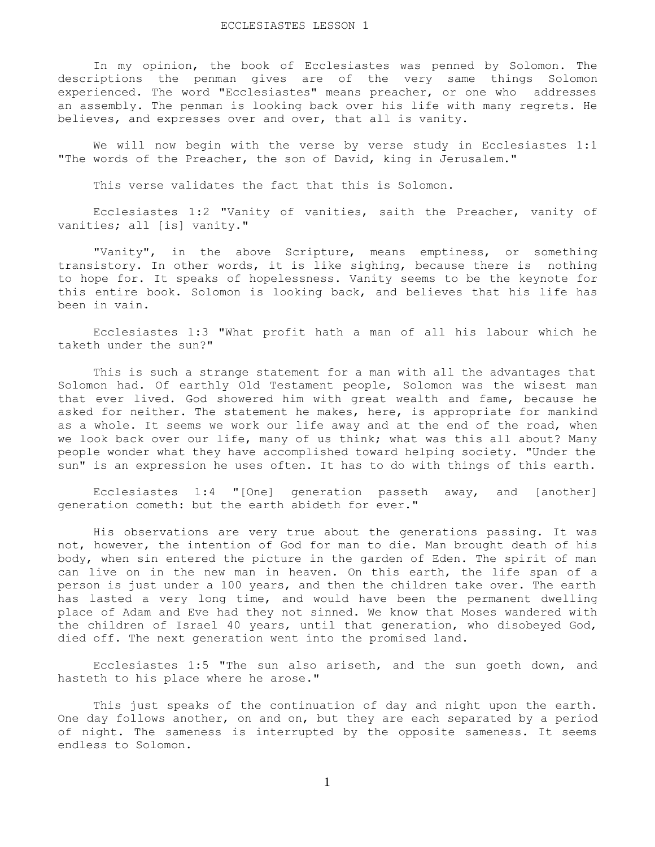In my opinion, the book of Ecclesiastes was penned by Solomon. The descriptions the penman gives are of the very same things Solomon experienced. The word "Ecclesiastes" means preacher, or one who addresses an assembly. The penman is looking back over his life with many regrets. He believes, and expresses over and over, that all is vanity.

 We will now begin with the verse by verse study in Ecclesiastes 1:1 "The words of the Preacher, the son of David, king in Jerusalem."

This verse validates the fact that this is Solomon.

 Ecclesiastes 1:2 "Vanity of vanities, saith the Preacher, vanity of vanities; all [is] vanity."

 "Vanity", in the above Scripture, means emptiness, or something transistory. In other words, it is like sighing, because there is nothing to hope for. It speaks of hopelessness. Vanity seems to be the keynote for this entire book. Solomon is looking back, and believes that his life has been in vain.

 Ecclesiastes 1:3 "What profit hath a man of all his labour which he taketh under the sun?"

 This is such a strange statement for a man with all the advantages that Solomon had. Of earthly Old Testament people, Solomon was the wisest man that ever lived. God showered him with great wealth and fame, because he asked for neither. The statement he makes, here, is appropriate for mankind as a whole. It seems we work our life away and at the end of the road, when we look back over our life, many of us think; what was this all about? Many people wonder what they have accomplished toward helping society. "Under the sun" is an expression he uses often. It has to do with things of this earth.

 Ecclesiastes 1:4 "[One] generation passeth away, and [another] generation cometh: but the earth abideth for ever."

 His observations are very true about the generations passing. It was not, however, the intention of God for man to die. Man brought death of his body, when sin entered the picture in the garden of Eden. The spirit of man can live on in the new man in heaven. On this earth, the life span of a person is just under a 100 years, and then the children take over. The earth has lasted a very long time, and would have been the permanent dwelling place of Adam and Eve had they not sinned. We know that Moses wandered with the children of Israel 40 years, until that generation, who disobeyed God, died off. The next generation went into the promised land.

 Ecclesiastes 1:5 "The sun also ariseth, and the sun goeth down, and hasteth to his place where he arose."

 This just speaks of the continuation of day and night upon the earth. One day follows another, on and on, but they are each separated by a period of night. The sameness is interrupted by the opposite sameness. It seems endless to Solomon.

1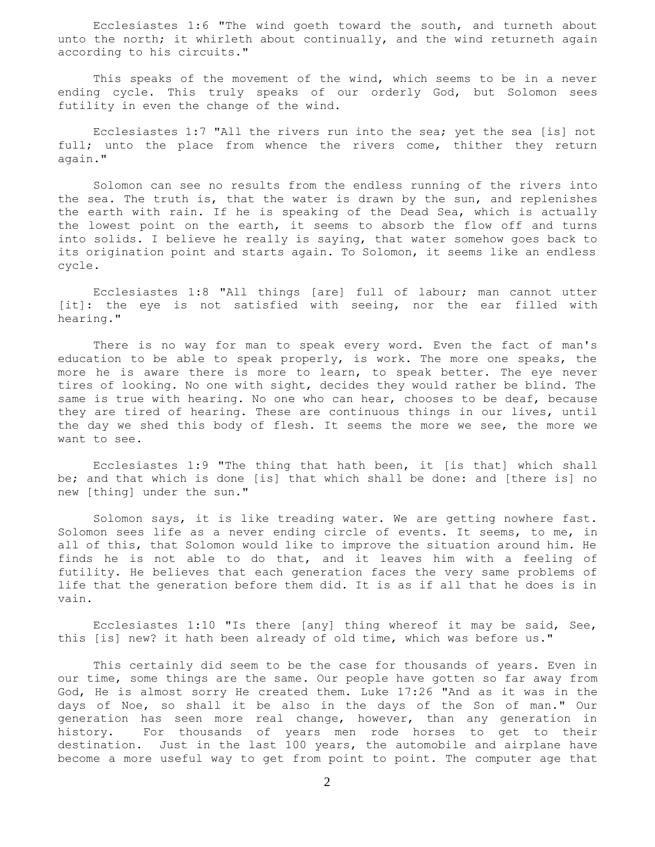Ecclesiastes 1:6 "The wind goeth toward the south, and turneth about unto the north; it whirleth about continually, and the wind returneth again according to his circuits."

This speaks of the movement of the wind, which seems to be in a never ending cycle. This truly speaks of our orderly God, but Solomon sees futility in even the change of the wind.

 Ecclesiastes 1:7 "All the rivers run into the sea; yet the sea [is] not full; unto the place from whence the rivers come, thither they return again."

 Solomon can see no results from the endless running of the rivers into the sea. The truth is, that the water is drawn by the sun, and replenishes the earth with rain. If he is speaking of the Dead Sea, which is actually the lowest point on the earth, it seems to absorb the flow off and turns into solids. I believe he really is saying, that water somehow goes back to its origination point and starts again. To Solomon, it seems like an endless cycle.

 Ecclesiastes 1:8 "All things [are] full of labour; man cannot utter [it]: the eye is not satisfied with seeing, nor the ear filled with hearing."

 There is no way for man to speak every word. Even the fact of man's education to be able to speak properly, is work. The more one speaks, the more he is aware there is more to learn, to speak better. The eye never tires of looking. No one with sight, decides they would rather be blind. The same is true with hearing. No one who can hear, chooses to be deaf, because they are tired of hearing. These are continuous things in our lives, until the day we shed this body of flesh. It seems the more we see, the more we want to see.

 Ecclesiastes 1:9 "The thing that hath been, it [is that] which shall be; and that which is done [is] that which shall be done: and [there is] no new [thing] under the sun."

 Solomon says, it is like treading water. We are getting nowhere fast. Solomon sees life as a never ending circle of events. It seems, to me, in all of this, that Solomon would like to improve the situation around him. He finds he is not able to do that, and it leaves him with a feeling of futility. He believes that each generation faces the very same problems of life that the generation before them did. It is as if all that he does is in vain.

 Ecclesiastes 1:10 "Is there [any] thing whereof it may be said, See, this [is] new? it hath been already of old time, which was before us."

 This certainly did seem to be the case for thousands of years. Even in our time, some things are the same. Our people have gotten so far away from God, He is almost sorry He created them. Luke 17:26 "And as it was in the days of Noe, so shall it be also in the days of the Son of man." Our generation has seen more real change, however, than any generation in history. For thousands of years men rode horses to get to their destination. Just in the last 100 years, the automobile and airplane have become a more useful way to get from point to point. The computer age that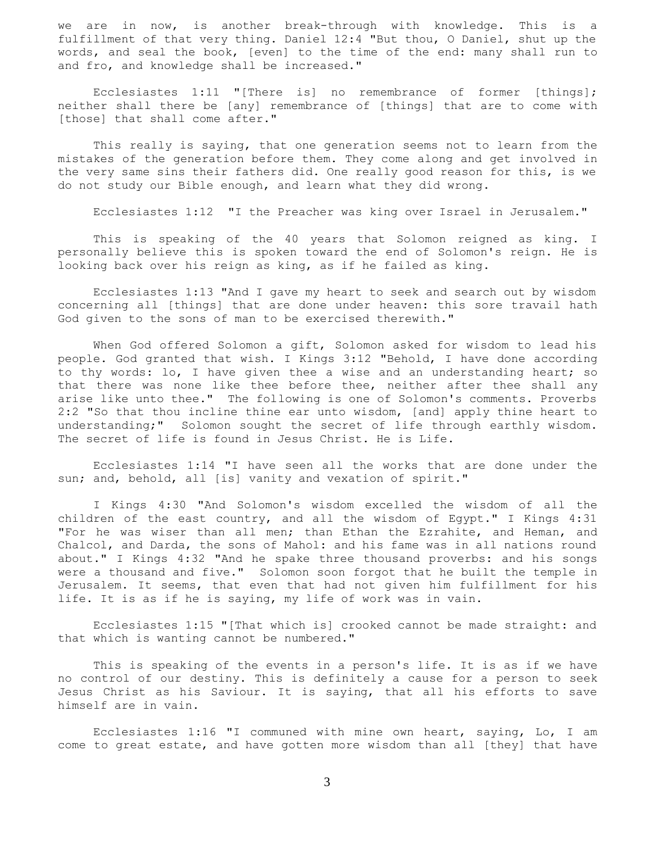we are in now, is another break-through with knowledge. This is a fulfillment of that very thing. Daniel 12:4 "But thou, O Daniel, shut up the words, and seal the book, [even] to the time of the end: many shall run to and fro, and knowledge shall be increased."

 Ecclesiastes 1:11 "[There is] no remembrance of former [things]; neither shall there be [any] remembrance of [things] that are to come with [those] that shall come after."

 This really is saying, that one generation seems not to learn from the mistakes of the generation before them. They come along and get involved in the very same sins their fathers did. One really good reason for this, is we do not study our Bible enough, and learn what they did wrong.

Ecclesiastes 1:12 "I the Preacher was king over Israel in Jerusalem."

 This is speaking of the 40 years that Solomon reigned as king. I personally believe this is spoken toward the end of Solomon's reign. He is looking back over his reign as king, as if he failed as king.

 Ecclesiastes 1:13 "And I gave my heart to seek and search out by wisdom concerning all [things] that are done under heaven: this sore travail hath God given to the sons of man to be exercised therewith."

 When God offered Solomon a gift, Solomon asked for wisdom to lead his people. God granted that wish. I Kings 3:12 "Behold, I have done according to thy words: lo, I have given thee a wise and an understanding heart; so that there was none like thee before thee, neither after thee shall any arise like unto thee." The following is one of Solomon's comments. Proverbs 2:2 "So that thou incline thine ear unto wisdom, [and] apply thine heart to understanding;" Solomon sought the secret of life through earthly wisdom. The secret of life is found in Jesus Christ. He is Life.

 Ecclesiastes 1:14 "I have seen all the works that are done under the sun; and, behold, all [is] vanity and vexation of spirit."

 I Kings 4:30 "And Solomon's wisdom excelled the wisdom of all the children of the east country, and all the wisdom of Egypt." I Kings 4:31 "For he was wiser than all men; than Ethan the Ezrahite, and Heman, and Chalcol, and Darda, the sons of Mahol: and his fame was in all nations round about." I Kings 4:32 "And he spake three thousand proverbs: and his songs were a thousand and five." Solomon soon forgot that he built the temple in Jerusalem. It seems, that even that had not given him fulfillment for his life. It is as if he is saying, my life of work was in vain.

 Ecclesiastes 1:15 "[That which is] crooked cannot be made straight: and that which is wanting cannot be numbered."

 This is speaking of the events in a person's life. It is as if we have no control of our destiny. This is definitely a cause for a person to seek Jesus Christ as his Saviour. It is saying, that all his efforts to save himself are in vain.

 Ecclesiastes 1:16 "I communed with mine own heart, saying, Lo, I am come to great estate, and have gotten more wisdom than all [they] that have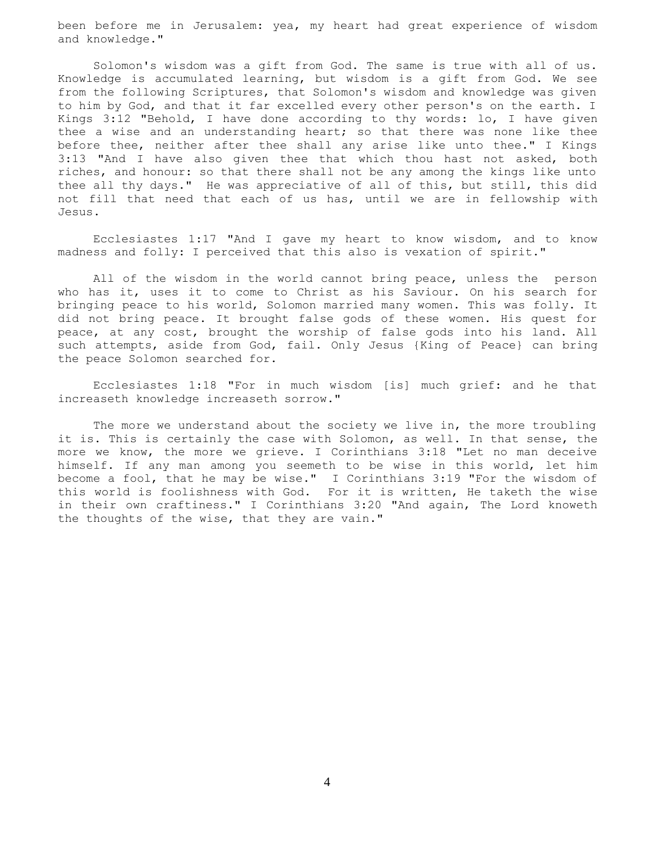been before me in Jerusalem: yea, my heart had great experience of wisdom and knowledge."

 Solomon's wisdom was a gift from God. The same is true with all of us. Knowledge is accumulated learning, but wisdom is a gift from God. We see from the following Scriptures, that Solomon's wisdom and knowledge was given to him by God, and that it far excelled every other person's on the earth. I Kings 3:12 "Behold, I have done according to thy words: lo, I have given thee a wise and an understanding heart; so that there was none like thee before thee, neither after thee shall any arise like unto thee." I Kings 3:13 "And I have also given thee that which thou hast not asked, both riches, and honour: so that there shall not be any among the kings like unto thee all thy days." He was appreciative of all of this, but still, this did not fill that need that each of us has, until we are in fellowship with Jesus.

 Ecclesiastes 1:17 "And I gave my heart to know wisdom, and to know madness and folly: I perceived that this also is vexation of spirit."

 All of the wisdom in the world cannot bring peace, unless the person who has it, uses it to come to Christ as his Saviour. On his search for bringing peace to his world, Solomon married many women. This was folly. It did not bring peace. It brought false gods of these women. His quest for peace, at any cost, brought the worship of false gods into his land. All such attempts, aside from God, fail. Only Jesus {King of Peace} can bring the peace Solomon searched for.

 Ecclesiastes 1:18 "For in much wisdom [is] much grief: and he that increaseth knowledge increaseth sorrow."

 The more we understand about the society we live in, the more troubling it is. This is certainly the case with Solomon, as well. In that sense, the more we know, the more we grieve. I Corinthians 3:18 "Let no man deceive himself. If any man among you seemeth to be wise in this world, let him become a fool, that he may be wise." I Corinthians 3:19 "For the wisdom of this world is foolishness with God. For it is written, He taketh the wise in their own craftiness." I Corinthians 3:20 "And again, The Lord knoweth the thoughts of the wise, that they are vain."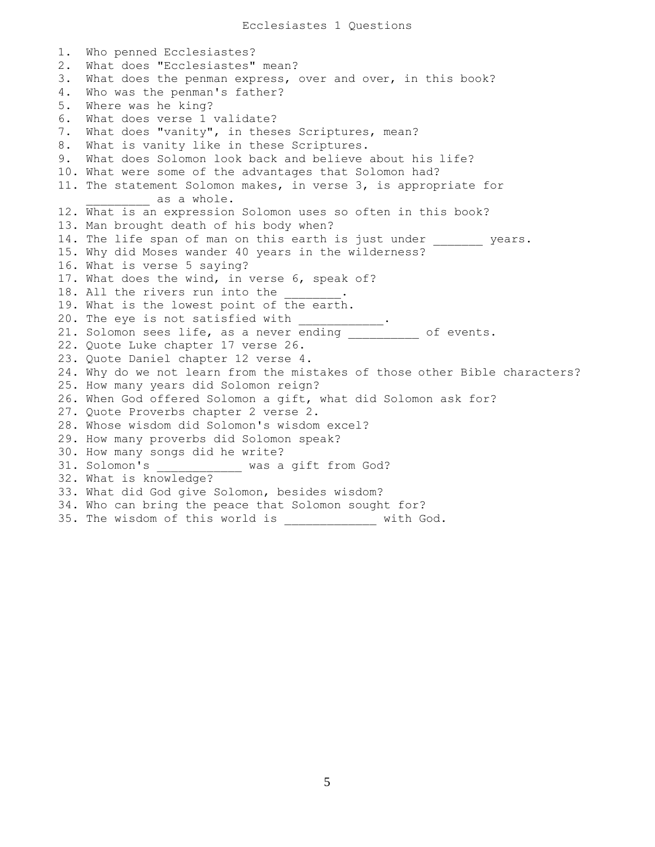1. Who penned Ecclesiastes? 2. What does "Ecclesiastes" mean? 3. What does the penman express, over and over, in this book? 4. Who was the penman's father? 5. Where was he king? 6. What does verse 1 validate? 7. What does "vanity", in theses Scriptures, mean? 8. What is vanity like in these Scriptures. 9. What does Solomon look back and believe about his life? 10. What were some of the advantages that Solomon had? 11. The statement Solomon makes, in verse 3, is appropriate for as a whole. 12. What is an expression Solomon uses so often in this book? 13. Man brought death of his body when? 14. The life span of man on this earth is just under \_\_\_\_\_\_\_ years. 15. Why did Moses wander 40 years in the wilderness? 16. What is verse 5 saying? 17. What does the wind, in verse 6, speak of? 18. All the rivers run into the 19. What is the lowest point of the earth. 20. The eye is not satisfied with \_\_\_\_\_\_\_\_\_\_\_\_. 21. Solomon sees life, as a never ending \_\_\_\_\_\_\_\_\_ of events. 22. Quote Luke chapter 17 verse 26. 23. Quote Daniel chapter 12 verse 4. 24. Why do we not learn from the mistakes of those other Bible characters? 25. How many years did Solomon reign? 26. When God offered Solomon a gift, what did Solomon ask for? 27. Quote Proverbs chapter 2 verse 2. 28. Whose wisdom did Solomon's wisdom excel? 29. How many proverbs did Solomon speak? 30. How many songs did he write? 31. Solomon's \_\_\_\_\_\_\_\_\_\_\_\_ was a gift from God? 32. What is knowledge? 33. What did God give Solomon, besides wisdom? 34. Who can bring the peace that Solomon sought for? 35. The wisdom of this world is \_\_\_\_\_\_\_\_\_\_\_\_\_ with God.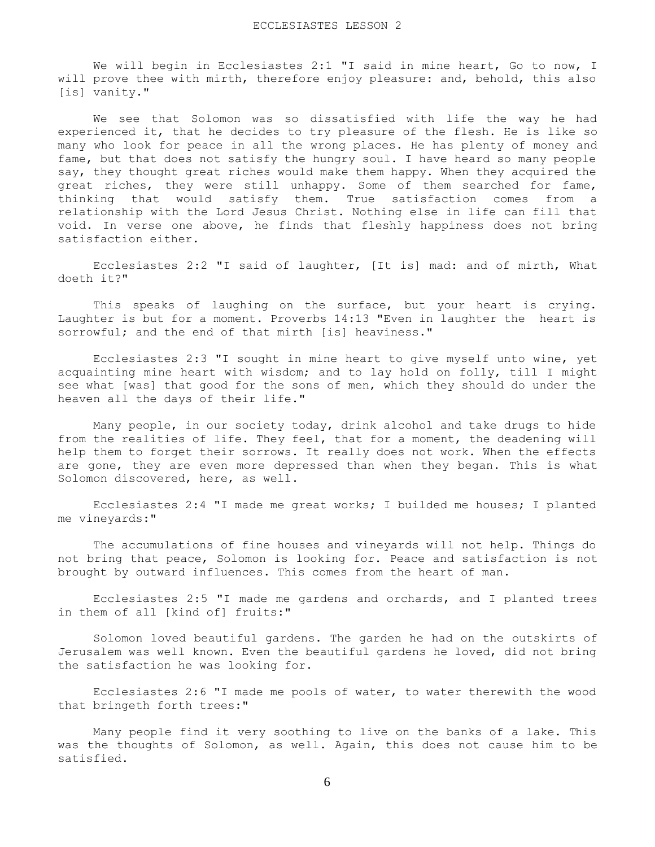We will begin in Ecclesiastes 2:1 "I said in mine heart, Go to now, I will prove thee with mirth, therefore enjoy pleasure: and, behold, this also [is] vanity."

 We see that Solomon was so dissatisfied with life the way he had experienced it, that he decides to try pleasure of the flesh. He is like so many who look for peace in all the wrong places. He has plenty of money and fame, but that does not satisfy the hungry soul. I have heard so many people say, they thought great riches would make them happy. When they acquired the great riches, they were still unhappy. Some of them searched for fame, thinking that would satisfy them. True satisfaction comes from a relationship with the Lord Jesus Christ. Nothing else in life can fill that void. In verse one above, he finds that fleshly happiness does not bring satisfaction either.

 Ecclesiastes 2:2 "I said of laughter, [It is] mad: and of mirth, What doeth it?"

This speaks of laughing on the surface, but your heart is crying. Laughter is but for a moment. Proverbs 14:13 "Even in laughter the heart is sorrowful; and the end of that mirth [is] heaviness."

 Ecclesiastes 2:3 "I sought in mine heart to give myself unto wine, yet acquainting mine heart with wisdom; and to lay hold on folly, till I might see what [was] that good for the sons of men, which they should do under the heaven all the days of their life."

 Many people, in our society today, drink alcohol and take drugs to hide from the realities of life. They feel, that for a moment, the deadening will help them to forget their sorrows. It really does not work. When the effects are gone, they are even more depressed than when they began. This is what Solomon discovered, here, as well.

 Ecclesiastes 2:4 "I made me great works; I builded me houses; I planted me vineyards:"

 The accumulations of fine houses and vineyards will not help. Things do not bring that peace, Solomon is looking for. Peace and satisfaction is not brought by outward influences. This comes from the heart of man.

 Ecclesiastes 2:5 "I made me gardens and orchards, and I planted trees in them of all [kind of] fruits:"

 Solomon loved beautiful gardens. The garden he had on the outskirts of Jerusalem was well known. Even the beautiful gardens he loved, did not bring the satisfaction he was looking for.

 Ecclesiastes 2:6 "I made me pools of water, to water therewith the wood that bringeth forth trees:"

 Many people find it very soothing to live on the banks of a lake. This was the thoughts of Solomon, as well. Again, this does not cause him to be satisfied.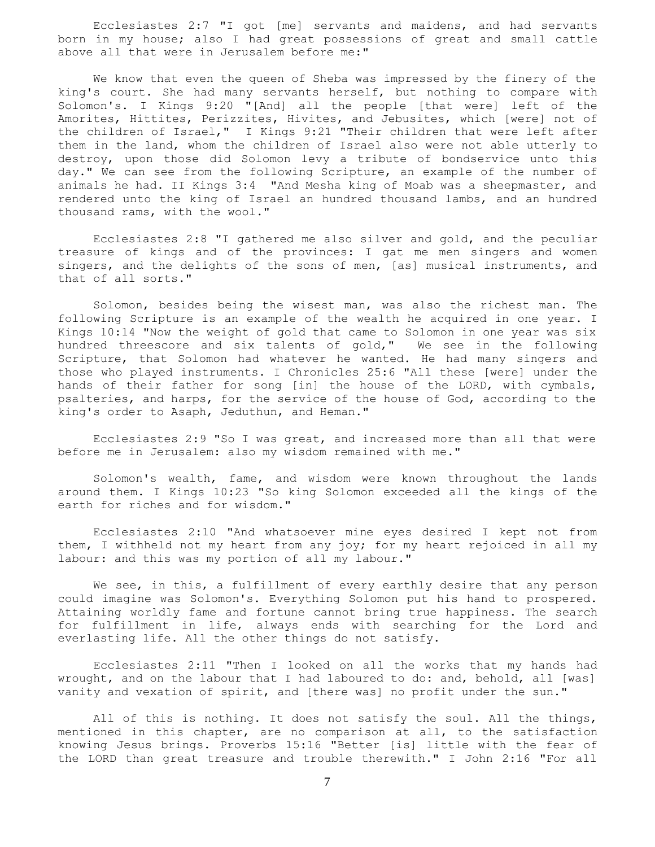Ecclesiastes 2:7 "I got [me] servants and maidens, and had servants born in my house; also I had great possessions of great and small cattle above all that were in Jerusalem before me:"

 We know that even the queen of Sheba was impressed by the finery of the king's court. She had many servants herself, but nothing to compare with Solomon's. I Kings 9:20 "[And] all the people [that were] left of the Amorites, Hittites, Perizzites, Hivites, and Jebusites, which [were] not of the children of Israel," I Kings 9:21 "Their children that were left after them in the land, whom the children of Israel also were not able utterly to destroy, upon those did Solomon levy a tribute of bondservice unto this day." We can see from the following Scripture, an example of the number of animals he had. II Kings 3:4 "And Mesha king of Moab was a sheepmaster, and rendered unto the king of Israel an hundred thousand lambs, and an hundred thousand rams, with the wool."

 Ecclesiastes 2:8 "I gathered me also silver and gold, and the peculiar treasure of kings and of the provinces: I gat me men singers and women singers, and the delights of the sons of men, [as] musical instruments, and that of all sorts."

 Solomon, besides being the wisest man, was also the richest man. The following Scripture is an example of the wealth he acquired in one year. I Kings 10:14 "Now the weight of gold that came to Solomon in one year was six hundred threescore and six talents of gold," We see in the following Scripture, that Solomon had whatever he wanted. He had many singers and those who played instruments. I Chronicles 25:6 "All these [were] under the hands of their father for song [in] the house of the LORD, with cymbals, psalteries, and harps, for the service of the house of God, according to the king's order to Asaph, Jeduthun, and Heman."

 Ecclesiastes 2:9 "So I was great, and increased more than all that were before me in Jerusalem: also my wisdom remained with me."

 Solomon's wealth, fame, and wisdom were known throughout the lands around them. I Kings 10:23 "So king Solomon exceeded all the kings of the earth for riches and for wisdom."

 Ecclesiastes 2:10 "And whatsoever mine eyes desired I kept not from them, I withheld not my heart from any joy; for my heart rejoiced in all my labour: and this was my portion of all my labour."

We see, in this, a fulfillment of every earthly desire that any person could imagine was Solomon's. Everything Solomon put his hand to prospered. Attaining worldly fame and fortune cannot bring true happiness. The search for fulfillment in life, always ends with searching for the Lord and everlasting life. All the other things do not satisfy.

 Ecclesiastes 2:11 "Then I looked on all the works that my hands had wrought, and on the labour that I had laboured to do: and, behold, all [was] vanity and vexation of spirit, and [there was] no profit under the sun."

All of this is nothing. It does not satisfy the soul. All the things, mentioned in this chapter, are no comparison at all, to the satisfaction knowing Jesus brings. Proverbs 15:16 "Better [is] little with the fear of the LORD than great treasure and trouble therewith." I John 2:16 "For all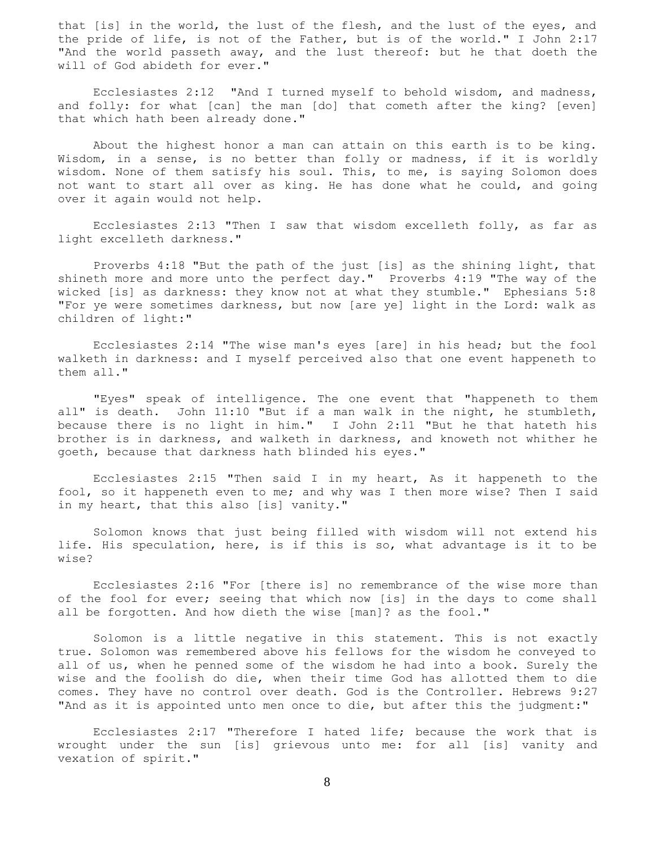that [is] in the world, the lust of the flesh, and the lust of the eyes, and the pride of life, is not of the Father, but is of the world." I John 2:17 "And the world passeth away, and the lust thereof: but he that doeth the will of God abideth for ever."

 Ecclesiastes 2:12 "And I turned myself to behold wisdom, and madness, and folly: for what [can] the man [do] that cometh after the king? [even] that which hath been already done."

 About the highest honor a man can attain on this earth is to be king. Wisdom, in a sense, is no better than folly or madness, if it is worldly wisdom. None of them satisfy his soul. This, to me, is saying Solomon does not want to start all over as king. He has done what he could, and going over it again would not help.

 Ecclesiastes 2:13 "Then I saw that wisdom excelleth folly, as far as light excelleth darkness."

 Proverbs 4:18 "But the path of the just [is] as the shining light, that shineth more and more unto the perfect day." Proverbs 4:19 "The way of the wicked [is] as darkness: they know not at what they stumble." Ephesians 5:8 "For ye were sometimes darkness, but now [are ye] light in the Lord: walk as children of light:"

 Ecclesiastes 2:14 "The wise man's eyes [are] in his head; but the fool walketh in darkness: and I myself perceived also that one event happeneth to them all."

 "Eyes" speak of intelligence. The one event that "happeneth to them all" is death. John 11:10 "But if a man walk in the night, he stumbleth, because there is no light in him." I John 2:11 "But he that hateth his brother is in darkness, and walketh in darkness, and knoweth not whither he goeth, because that darkness hath blinded his eyes."

 Ecclesiastes 2:15 "Then said I in my heart, As it happeneth to the fool, so it happeneth even to me; and why was I then more wise? Then I said in my heart, that this also [is] vanity."

 Solomon knows that just being filled with wisdom will not extend his life. His speculation, here, is if this is so, what advantage is it to be wise?

 Ecclesiastes 2:16 "For [there is] no remembrance of the wise more than of the fool for ever; seeing that which now [is] in the days to come shall all be forgotten. And how dieth the wise [man]? as the fool."

 Solomon is a little negative in this statement. This is not exactly true. Solomon was remembered above his fellows for the wisdom he conveyed to all of us, when he penned some of the wisdom he had into a book. Surely the wise and the foolish do die, when their time God has allotted them to die comes. They have no control over death. God is the Controller. Hebrews 9:27 "And as it is appointed unto men once to die, but after this the judgment:"

 Ecclesiastes 2:17 "Therefore I hated life; because the work that is wrought under the sun [is] grievous unto me: for all [is] vanity and vexation of spirit."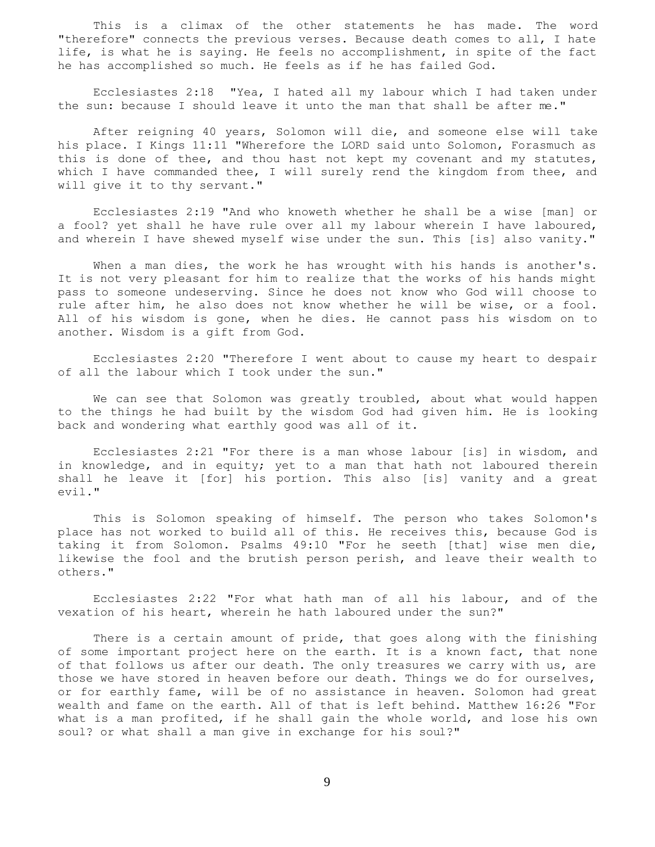This is a climax of the other statements he has made. The word "therefore" connects the previous verses. Because death comes to all, I hate life, is what he is saying. He feels no accomplishment, in spite of the fact he has accomplished so much. He feels as if he has failed God.

 Ecclesiastes 2:18 "Yea, I hated all my labour which I had taken under the sun: because I should leave it unto the man that shall be after me."

 After reigning 40 years, Solomon will die, and someone else will take his place. I Kings 11:11 "Wherefore the LORD said unto Solomon, Forasmuch as this is done of thee, and thou hast not kept my covenant and my statutes, which I have commanded thee, I will surely rend the kingdom from thee, and will give it to thy servant."

 Ecclesiastes 2:19 "And who knoweth whether he shall be a wise [man] or a fool? yet shall he have rule over all my labour wherein I have laboured, and wherein I have shewed myself wise under the sun. This [is] also vanity."

When a man dies, the work he has wrought with his hands is another's. It is not very pleasant for him to realize that the works of his hands might pass to someone undeserving. Since he does not know who God will choose to rule after him, he also does not know whether he will be wise, or a fool. All of his wisdom is gone, when he dies. He cannot pass his wisdom on to another. Wisdom is a gift from God.

 Ecclesiastes 2:20 "Therefore I went about to cause my heart to despair of all the labour which I took under the sun."

 We can see that Solomon was greatly troubled, about what would happen to the things he had built by the wisdom God had given him. He is looking back and wondering what earthly good was all of it.

 Ecclesiastes 2:21 "For there is a man whose labour [is] in wisdom, and in knowledge, and in equity; yet to a man that hath not laboured therein shall he leave it [for] his portion. This also [is] vanity and a great evil."

 This is Solomon speaking of himself. The person who takes Solomon's place has not worked to build all of this. He receives this, because God is taking it from Solomon. Psalms 49:10 "For he seeth [that] wise men die, likewise the fool and the brutish person perish, and leave their wealth to others."

 Ecclesiastes 2:22 "For what hath man of all his labour, and of the vexation of his heart, wherein he hath laboured under the sun?"

There is a certain amount of pride, that goes along with the finishing of some important project here on the earth. It is a known fact, that none of that follows us after our death. The only treasures we carry with us, are those we have stored in heaven before our death. Things we do for ourselves, or for earthly fame, will be of no assistance in heaven. Solomon had great wealth and fame on the earth. All of that is left behind. Matthew 16:26 "For what is a man profited, if he shall gain the whole world, and lose his own soul? or what shall a man give in exchange for his soul?"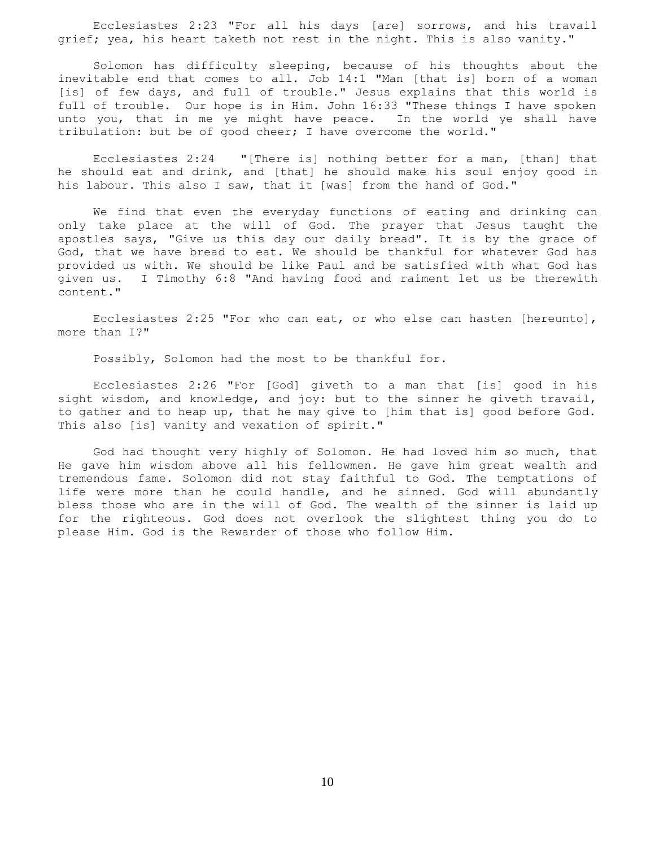Ecclesiastes 2:23 "For all his days [are] sorrows, and his travail grief; yea, his heart taketh not rest in the night. This is also vanity."

 Solomon has difficulty sleeping, because of his thoughts about the inevitable end that comes to all. Job 14:1 "Man [that is] born of a woman [is] of few days, and full of trouble." Jesus explains that this world is full of trouble. Our hope is in Him. John 16:33 "These things I have spoken unto you, that in me ye might have peace. In the world ye shall have tribulation: but be of good cheer; I have overcome the world."

 Ecclesiastes 2:24 "[There is] nothing better for a man, [than] that he should eat and drink, and [that] he should make his soul enjoy good in his labour. This also I saw, that it [was] from the hand of God."

 We find that even the everyday functions of eating and drinking can only take place at the will of God. The prayer that Jesus taught the apostles says, "Give us this day our daily bread". It is by the grace of God, that we have bread to eat. We should be thankful for whatever God has provided us with. We should be like Paul and be satisfied with what God has given us. I Timothy 6:8 "And having food and raiment let us be therewith content."

 Ecclesiastes 2:25 "For who can eat, or who else can hasten [hereunto], more than I?"

Possibly, Solomon had the most to be thankful for.

 Ecclesiastes 2:26 "For [God] giveth to a man that [is] good in his sight wisdom, and knowledge, and joy: but to the sinner he giveth travail, to gather and to heap up, that he may give to [him that is] good before God. This also [is] vanity and vexation of spirit."

 God had thought very highly of Solomon. He had loved him so much, that He gave him wisdom above all his fellowmen. He gave him great wealth and tremendous fame. Solomon did not stay faithful to God. The temptations of life were more than he could handle, and he sinned. God will abundantly bless those who are in the will of God. The wealth of the sinner is laid up for the righteous. God does not overlook the slightest thing you do to please Him. God is the Rewarder of those who follow Him.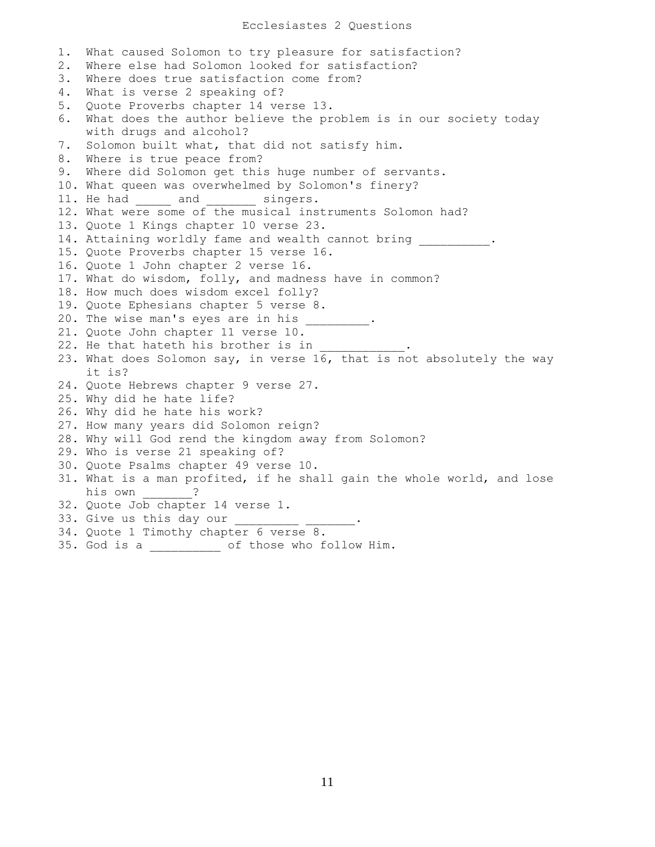1. What caused Solomon to try pleasure for satisfaction? 2. Where else had Solomon looked for satisfaction? 3. Where does true satisfaction come from? 4. What is verse 2 speaking of? 5. Quote Proverbs chapter 14 verse 13. 6. What does the author believe the problem is in our society today with drugs and alcohol? 7. Solomon built what, that did not satisfy him. 8. Where is true peace from? 9. Where did Solomon get this huge number of servants. 10. What queen was overwhelmed by Solomon's finery? 11. He had \_\_\_\_\_ and \_\_\_\_\_\_\_ singers. 12. What were some of the musical instruments Solomon had? 13. Quote 1 Kings chapter 10 verse 23. 14. Attaining worldly fame and wealth cannot bring \_\_\_\_\_\_\_\_\_\_. 15. Quote Proverbs chapter 15 verse 16. 16. Quote 1 John chapter 2 verse 16. 17. What do wisdom, folly, and madness have in common? 18. How much does wisdom excel folly? 19. Quote Ephesians chapter 5 verse 8. 20. The wise man's eyes are in his \_\_\_\_\_\_\_\_\_. 21. Quote John chapter 11 verse 10. 22. He that hateth his brother is in 23. What does Solomon say, in verse 16, that is not absolutely the way it is? 24. Quote Hebrews chapter 9 verse 27. 25. Why did he hate life? 26. Why did he hate his work? 27. How many years did Solomon reign? 28. Why will God rend the kingdom away from Solomon? 29. Who is verse 21 speaking of? 30. Quote Psalms chapter 49 verse 10. 31. What is a man profited, if he shall gain the whole world, and lose his own \_\_\_\_\_\_\_? 32. Quote Job chapter 14 verse 1. 33. Give us this day our 34. Quote 1 Timothy chapter 6 verse 8. 35. God is a \_\_\_\_\_\_\_\_\_\_ of those who follow Him.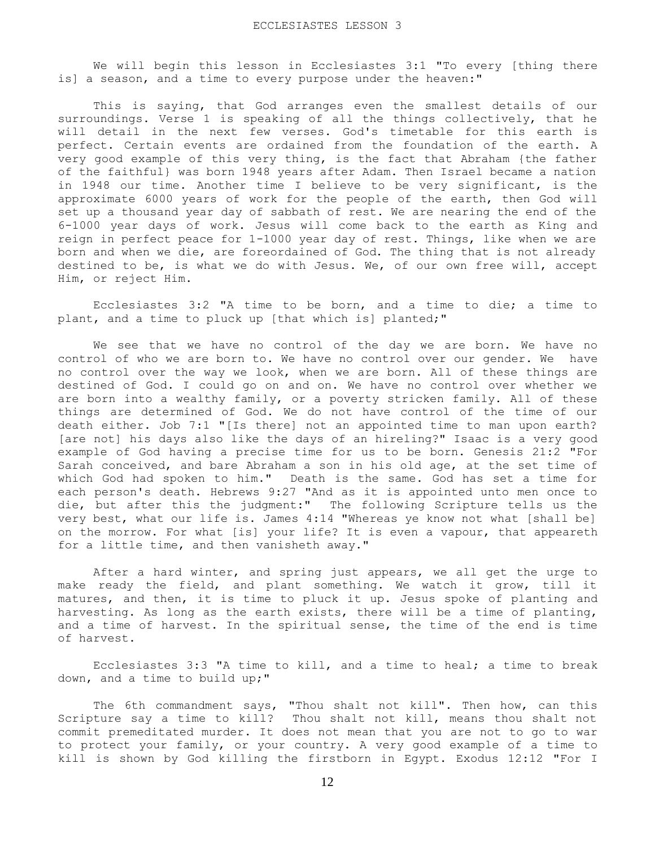We will begin this lesson in Ecclesiastes 3:1 "To every [thing there is] a season, and a time to every purpose under the heaven:"

 This is saying, that God arranges even the smallest details of our surroundings. Verse 1 is speaking of all the things collectively, that he will detail in the next few verses. God's timetable for this earth is perfect. Certain events are ordained from the foundation of the earth. A very good example of this very thing, is the fact that Abraham {the father of the faithful} was born 1948 years after Adam. Then Israel became a nation in 1948 our time. Another time I believe to be very significant, is the approximate 6000 years of work for the people of the earth, then God will set up a thousand year day of sabbath of rest. We are nearing the end of the 6-1000 year days of work. Jesus will come back to the earth as King and reign in perfect peace for 1-1000 year day of rest. Things, like when we are born and when we die, are foreordained of God. The thing that is not already destined to be, is what we do with Jesus. We, of our own free will, accept Him, or reject Him.

 Ecclesiastes 3:2 "A time to be born, and a time to die; a time to plant, and a time to pluck up [that which is] planted;"

 We see that we have no control of the day we are born. We have no control of who we are born to. We have no control over our gender. We have no control over the way we look, when we are born. All of these things are destined of God. I could go on and on. We have no control over whether we are born into a wealthy family, or a poverty stricken family. All of these things are determined of God. We do not have control of the time of our death either. Job 7:1 "[Is there] not an appointed time to man upon earth? [are not] his days also like the days of an hireling?" Isaac is a very good example of God having a precise time for us to be born. Genesis 21:2 "For Sarah conceived, and bare Abraham a son in his old age, at the set time of which God had spoken to him." Death is the same. God has set a time for each person's death. Hebrews 9:27 "And as it is appointed unto men once to die, but after this the judgment:" The following Scripture tells us the very best, what our life is. James 4:14 "Whereas ye know not what [shall be] on the morrow. For what [is] your life? It is even a vapour, that appeareth for a little time, and then vanisheth away."

 After a hard winter, and spring just appears, we all get the urge to make ready the field, and plant something. We watch it grow, till it matures, and then, it is time to pluck it up. Jesus spoke of planting and harvesting. As long as the earth exists, there will be a time of planting, and a time of harvest. In the spiritual sense, the time of the end is time of harvest.

 Ecclesiastes 3:3 "A time to kill, and a time to heal; a time to break down, and a time to build up;"

 The 6th commandment says, "Thou shalt not kill". Then how, can this Scripture say a time to kill? Thou shalt not kill, means thou shalt not commit premeditated murder. It does not mean that you are not to go to war to protect your family, or your country. A very good example of a time to kill is shown by God killing the firstborn in Egypt. Exodus 12:12 "For I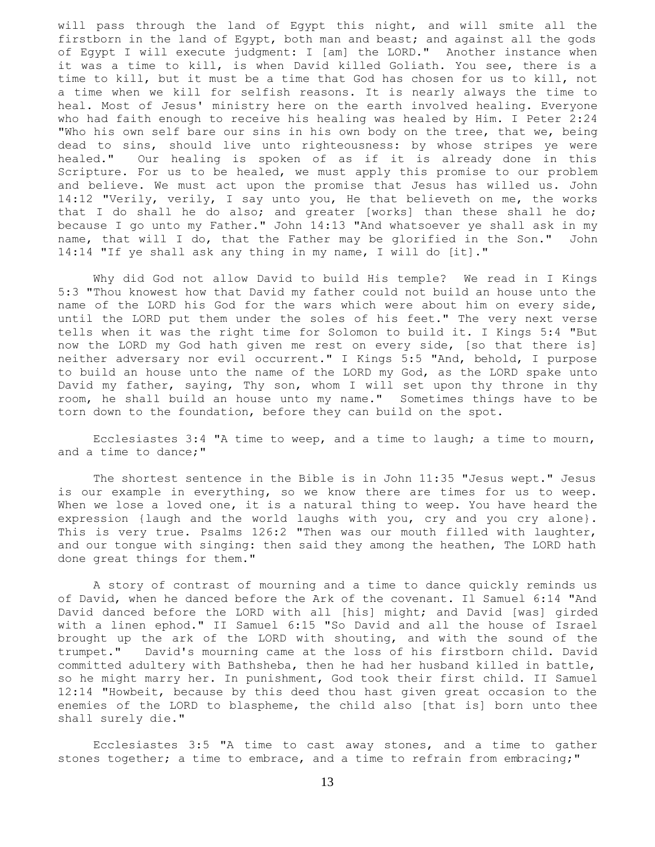will pass through the land of Egypt this night, and will smite all the firstborn in the land of Egypt, both man and beast; and against all the gods of Egypt I will execute judgment: I [am] the LORD." Another instance when it was a time to kill, is when David killed Goliath. You see, there is a time to kill, but it must be a time that God has chosen for us to kill, not a time when we kill for selfish reasons. It is nearly always the time to heal. Most of Jesus' ministry here on the earth involved healing. Everyone who had faith enough to receive his healing was healed by Him. I Peter 2:24 "Who his own self bare our sins in his own body on the tree, that we, being dead to sins, should live unto righteousness: by whose stripes ye were healed." Our healing is spoken of as if it is already done in this Scripture. For us to be healed, we must apply this promise to our problem and believe. We must act upon the promise that Jesus has willed us. John 14:12 "Verily, verily, I say unto you, He that believeth on me, the works that I do shall he do also; and greater [works] than these shall he do; because I go unto my Father." John 14:13 "And whatsoever ye shall ask in my name, that will I do, that the Father may be glorified in the Son." John 14:14 "If ye shall ask any thing in my name, I will do [it]."

 Why did God not allow David to build His temple? We read in I Kings 5:3 "Thou knowest how that David my father could not build an house unto the name of the LORD his God for the wars which were about him on every side, until the LORD put them under the soles of his feet." The very next verse tells when it was the right time for Solomon to build it. I Kings 5:4 "But now the LORD my God hath given me rest on every side, [so that there is] neither adversary nor evil occurrent." I Kings 5:5 "And, behold, I purpose to build an house unto the name of the LORD my God, as the LORD spake unto David my father, saying, Thy son, whom I will set upon thy throne in thy room, he shall build an house unto my name." Sometimes things have to be torn down to the foundation, before they can build on the spot.

 Ecclesiastes 3:4 "A time to weep, and a time to laugh; a time to mourn, and a time to dance;"

 The shortest sentence in the Bible is in John 11:35 "Jesus wept." Jesus is our example in everything, so we know there are times for us to weep. When we lose a loved one, it is a natural thing to weep. You have heard the expression {laugh and the world laughs with you, cry and you cry alone}. This is very true. Psalms 126:2 "Then was our mouth filled with laughter, and our tongue with singing: then said they among the heathen, The LORD hath done great things for them."

 A story of contrast of mourning and a time to dance quickly reminds us of David, when he danced before the Ark of the covenant. Il Samuel 6:14 "And David danced before the LORD with all [his] might; and David [was] girded with a linen ephod." II Samuel 6:15 "So David and all the house of Israel brought up the ark of the LORD with shouting, and with the sound of the trumpet." David's mourning came at the loss of his firstborn child. David committed adultery with Bathsheba, then he had her husband killed in battle, so he might marry her. In punishment, God took their first child. II Samuel 12:14 "Howbeit, because by this deed thou hast given great occasion to the enemies of the LORD to blaspheme, the child also [that is] born unto thee shall surely die."

 Ecclesiastes 3:5 "A time to cast away stones, and a time to gather stones together; a time to embrace, and a time to refrain from embracing;"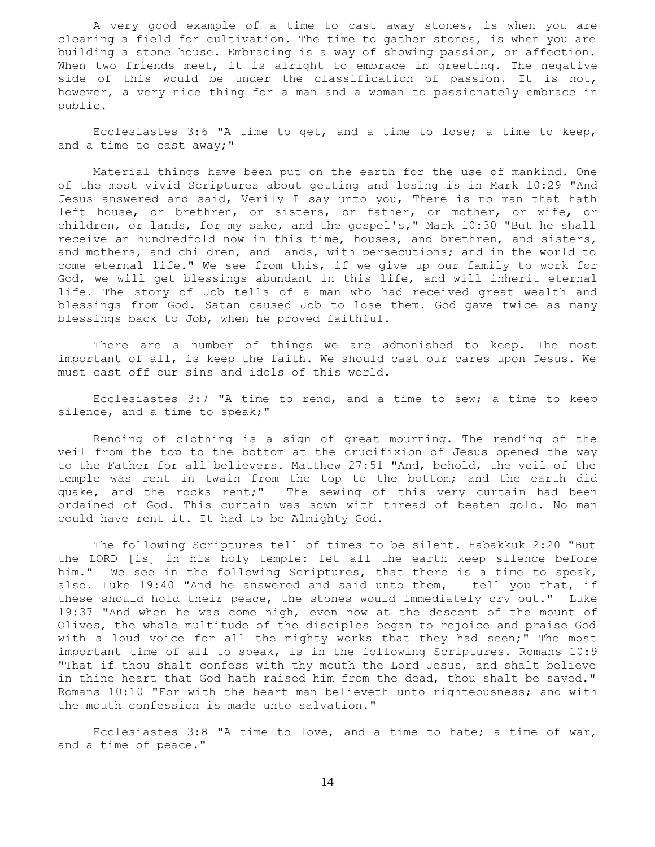A very good example of a time to cast away stones, is when you are clearing a field for cultivation. The time to gather stones, is when you are building a stone house. Embracing is a way of showing passion, or affection. When two friends meet, it is alright to embrace in greeting. The negative side of this would be under the classification of passion. It is not, however, a very nice thing for a man and a woman to passionately embrace in public.

 Ecclesiastes 3:6 "A time to get, and a time to lose; a time to keep, and a time to cast away;"

 Material things have been put on the earth for the use of mankind. One of the most vivid Scriptures about getting and losing is in Mark 10:29 "And Jesus answered and said, Verily I say unto you, There is no man that hath left house, or brethren, or sisters, or father, or mother, or wife, or children, or lands, for my sake, and the gospel's," Mark 10:30 "But he shall receive an hundredfold now in this time, houses, and brethren, and sisters, and mothers, and children, and lands, with persecutions; and in the world to come eternal life." We see from this, if we give up our family to work for God, we will get blessings abundant in this life, and will inherit eternal life. The story of Job tells of a man who had received great wealth and blessings from God. Satan caused Job to lose them. God gave twice as many blessings back to Job, when he proved faithful.

 There are a number of things we are admonished to keep. The most important of all, is keep the faith. We should cast our cares upon Jesus. We must cast off our sins and idols of this world.

 Ecclesiastes 3:7 "A time to rend, and a time to sew; a time to keep silence, and a time to speak;"

 Rending of clothing is a sign of great mourning. The rending of the veil from the top to the bottom at the crucifixion of Jesus opened the way to the Father for all believers. Matthew 27:51 "And, behold, the veil of the temple was rent in twain from the top to the bottom; and the earth did quake, and the rocks rent;" The sewing of this very curtain had been ordained of God. This curtain was sown with thread of beaten gold. No man could have rent it. It had to be Almighty God.

 The following Scriptures tell of times to be silent. Habakkuk 2:20 "But the LORD [is] in his holy temple: let all the earth keep silence before him." We see in the following Scriptures, that there is a time to speak, also. Luke 19:40 "And he answered and said unto them, I tell you that, if these should hold their peace, the stones would immediately cry out." Luke 19:37 "And when he was come nigh, even now at the descent of the mount of Olives, the whole multitude of the disciples began to rejoice and praise God with a loud voice for all the mighty works that they had seen;" The most important time of all to speak, is in the following Scriptures. Romans 10:9 "That if thou shalt confess with thy mouth the Lord Jesus, and shalt believe in thine heart that God hath raised him from the dead, thou shalt be saved." Romans 10:10 "For with the heart man believeth unto righteousness; and with the mouth confession is made unto salvation."

 Ecclesiastes 3:8 "A time to love, and a time to hate; a time of war, and a time of peace."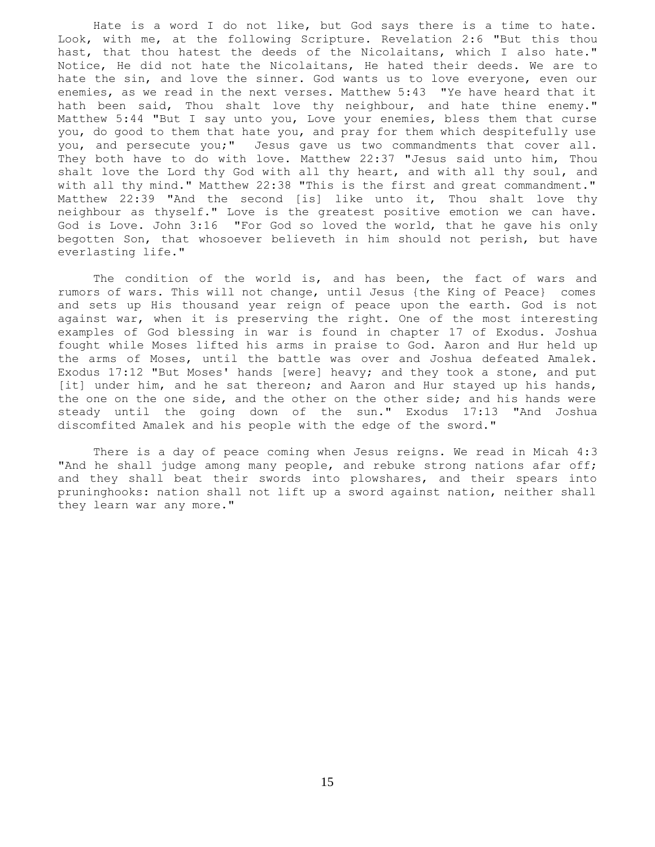Hate is a word I do not like, but God says there is a time to hate. Look, with me, at the following Scripture. Revelation 2:6 "But this thou hast, that thou hatest the deeds of the Nicolaitans, which I also hate." Notice, He did not hate the Nicolaitans, He hated their deeds. We are to hate the sin, and love the sinner. God wants us to love everyone, even our enemies, as we read in the next verses. Matthew 5:43 "Ye have heard that it hath been said, Thou shalt love thy neighbour, and hate thine enemy." Matthew 5:44 "But I say unto you, Love your enemies, bless them that curse you, do good to them that hate you, and pray for them which despitefully use you, and persecute you;" Jesus gave us two commandments that cover all. They both have to do with love. Matthew 22:37 "Jesus said unto him, Thou shalt love the Lord thy God with all thy heart, and with all thy soul, and with all thy mind." Matthew 22:38 "This is the first and great commandment." Matthew 22:39 "And the second [is] like unto it, Thou shalt love thy neighbour as thyself." Love is the greatest positive emotion we can have. God is Love. John 3:16 "For God so loved the world, that he gave his only begotten Son, that whosoever believeth in him should not perish, but have everlasting life."

 The condition of the world is, and has been, the fact of wars and rumors of wars. This will not change, until Jesus {the King of Peace} comes and sets up His thousand year reign of peace upon the earth. God is not against war, when it is preserving the right. One of the most interesting examples of God blessing in war is found in chapter 17 of Exodus. Joshua fought while Moses lifted his arms in praise to God. Aaron and Hur held up the arms of Moses, until the battle was over and Joshua defeated Amalek. Exodus 17:12 "But Moses' hands [were] heavy; and they took a stone, and put [it] under him, and he sat thereon; and Aaron and Hur stayed up his hands, the one on the one side, and the other on the other side; and his hands were steady until the going down of the sun." Exodus 17:13 "And Joshua discomfited Amalek and his people with the edge of the sword."

 There is a day of peace coming when Jesus reigns. We read in Micah 4:3 "And he shall judge among many people, and rebuke strong nations afar off; and they shall beat their swords into plowshares, and their spears into pruninghooks: nation shall not lift up a sword against nation, neither shall they learn war any more."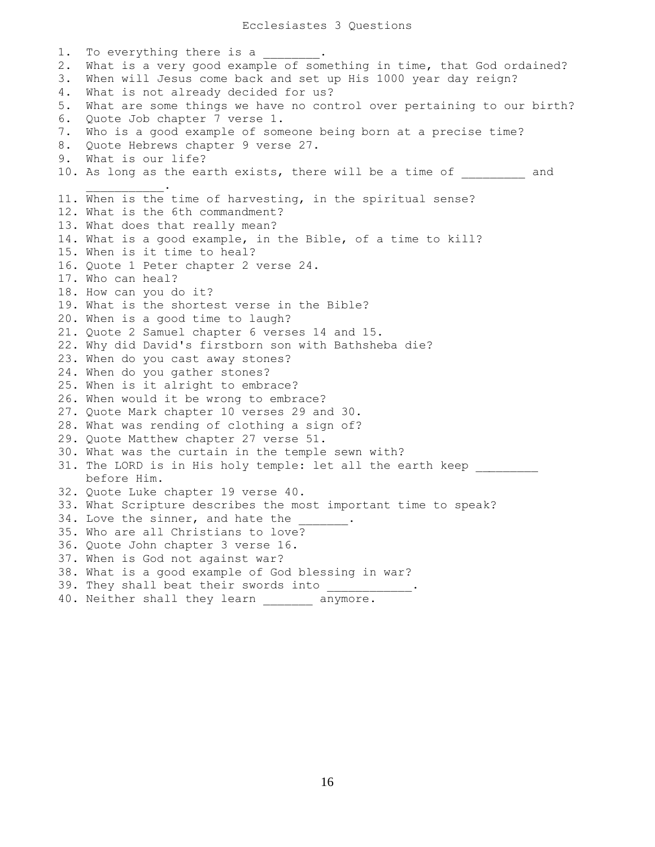1. To everything there is a 2. What is a very good example of something in time, that God ordained? 3. When will Jesus come back and set up His 1000 year day reign? 4. What is not already decided for us? 5. What are some things we have no control over pertaining to our birth? 6. Quote Job chapter 7 verse 1. 7. Who is a good example of someone being born at a precise time? 8. Quote Hebrews chapter 9 verse 27. 9. What is our life? 10. As long as the earth exists, there will be a time of and  $\mathcal{L}=\mathcal{L}=\mathcal{L}=\mathcal{L}=\mathcal{L}=\mathcal{L}$ 11. When is the time of harvesting, in the spiritual sense? 12. What is the 6th commandment? 13. What does that really mean? 14. What is a good example, in the Bible, of a time to kill? 15. When is it time to heal? 16. Quote 1 Peter chapter 2 verse 24. 17. Who can heal? 18. How can you do it? 19. What is the shortest verse in the Bible? 20. When is a good time to laugh? 21. Quote 2 Samuel chapter 6 verses 14 and 15. 22. Why did David's firstborn son with Bathsheba die? 23. When do you cast away stones? 24. When do you gather stones? 25. When is it alright to embrace? 26. When would it be wrong to embrace? 27. Quote Mark chapter 10 verses 29 and 30. 28. What was rending of clothing a sign of? 29. Quote Matthew chapter 27 verse 51. 30. What was the curtain in the temple sewn with? 31. The LORD is in His holy temple: let all the earth keep before Him. 32. Quote Luke chapter 19 verse 40. 33. What Scripture describes the most important time to speak? 34. Love the sinner, and hate the 35. Who are all Christians to love? 36. Quote John chapter 3 verse 16. 37. When is God not against war? 38. What is a good example of God blessing in war? 39. They shall beat their swords into 40. Neither shall they learn \_\_\_\_\_\_\_ anymore.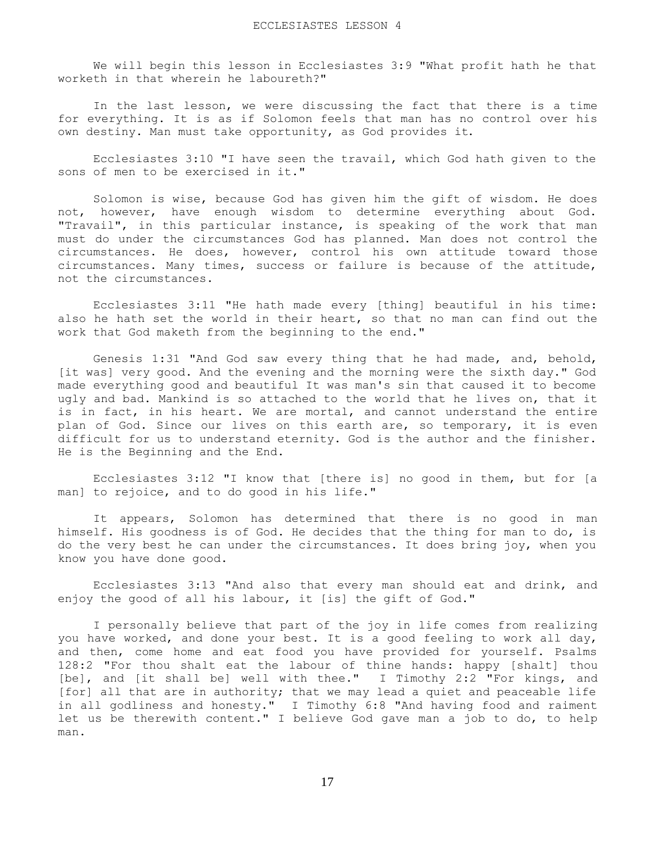We will begin this lesson in Ecclesiastes 3:9 "What profit hath he that worketh in that wherein he laboureth?"

 In the last lesson, we were discussing the fact that there is a time for everything. It is as if Solomon feels that man has no control over his own destiny. Man must take opportunity, as God provides it.

 Ecclesiastes 3:10 "I have seen the travail, which God hath given to the sons of men to be exercised in it."

 Solomon is wise, because God has given him the gift of wisdom. He does not, however, have enough wisdom to determine everything about God. "Travail", in this particular instance, is speaking of the work that man must do under the circumstances God has planned. Man does not control the circumstances. He does, however, control his own attitude toward those circumstances. Many times, success or failure is because of the attitude, not the circumstances.

 Ecclesiastes 3:11 "He hath made every [thing] beautiful in his time: also he hath set the world in their heart, so that no man can find out the work that God maketh from the beginning to the end."

 Genesis 1:31 "And God saw every thing that he had made, and, behold, [it was] very good. And the evening and the morning were the sixth day." God made everything good and beautiful It was man's sin that caused it to become ugly and bad. Mankind is so attached to the world that he lives on, that it is in fact, in his heart. We are mortal, and cannot understand the entire plan of God. Since our lives on this earth are, so temporary, it is even difficult for us to understand eternity. God is the author and the finisher. He is the Beginning and the End.

 Ecclesiastes 3:12 "I know that [there is] no good in them, but for [a man] to rejoice, and to do good in his life."

 It appears, Solomon has determined that there is no good in man himself. His goodness is of God. He decides that the thing for man to do, is do the very best he can under the circumstances. It does bring joy, when you know you have done good.

 Ecclesiastes 3:13 "And also that every man should eat and drink, and enjoy the good of all his labour, it [is] the gift of God."

 I personally believe that part of the joy in life comes from realizing you have worked, and done your best. It is a good feeling to work all day, and then, come home and eat food you have provided for yourself. Psalms 128:2 "For thou shalt eat the labour of thine hands: happy [shalt] thou [be], and [it shall be] well with thee." I Timothy 2:2 "For kings, and [for] all that are in authority; that we may lead a quiet and peaceable life in all godliness and honesty." I Timothy 6:8 "And having food and raiment let us be therewith content." I believe God gave man a job to do, to help man.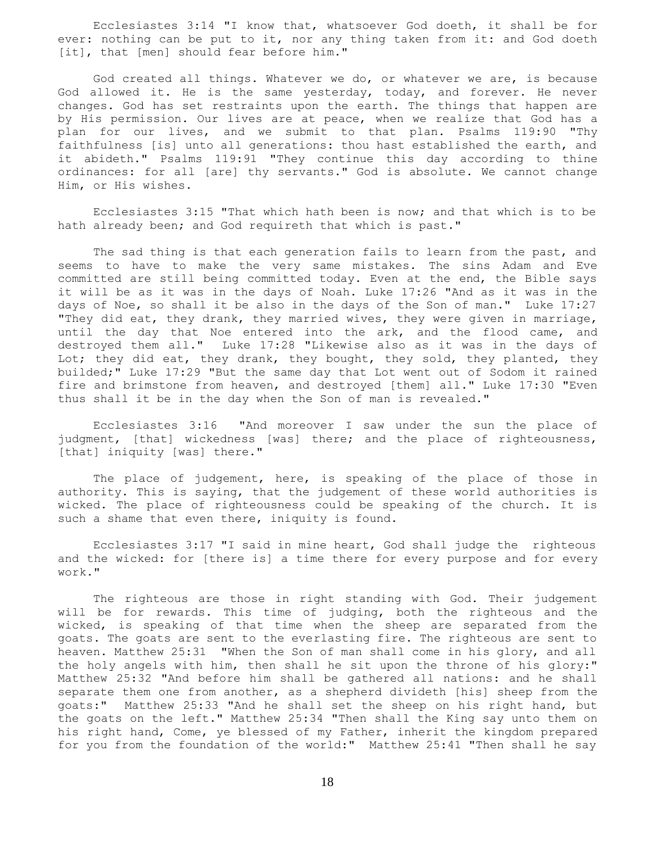Ecclesiastes 3:14 "I know that, whatsoever God doeth, it shall be for ever: nothing can be put to it, nor any thing taken from it: and God doeth [it], that [men] should fear before him."

 God created all things. Whatever we do, or whatever we are, is because God allowed it. He is the same yesterday, today, and forever. He never changes. God has set restraints upon the earth. The things that happen are by His permission. Our lives are at peace, when we realize that God has a plan for our lives, and we submit to that plan. Psalms 119:90 "Thy faithfulness [is] unto all generations: thou hast established the earth, and it abideth." Psalms 119:91 "They continue this day according to thine ordinances: for all [are] thy servants." God is absolute. We cannot change Him, or His wishes.

 Ecclesiastes 3:15 "That which hath been is now; and that which is to be hath already been; and God requireth that which is past."

 The sad thing is that each generation fails to learn from the past, and seems to have to make the very same mistakes. The sins Adam and Eve committed are still being committed today. Even at the end, the Bible says it will be as it was in the days of Noah. Luke 17:26 "And as it was in the days of Noe, so shall it be also in the days of the Son of man." Luke 17:27 "They did eat, they drank, they married wives, they were given in marriage, until the day that Noe entered into the ark, and the flood came, and destroyed them all." Luke 17:28 "Likewise also as it was in the days of Lot; they did eat, they drank, they bought, they sold, they planted, they builded;" Luke 17:29 "But the same day that Lot went out of Sodom it rained fire and brimstone from heaven, and destroyed [them] all." Luke 17:30 "Even thus shall it be in the day when the Son of man is revealed."

 Ecclesiastes 3:16 "And moreover I saw under the sun the place of judgment, [that] wickedness [was] there; and the place of righteousness, [that] iniquity [was] there."

The place of judgement, here, is speaking of the place of those in authority. This is saying, that the judgement of these world authorities is wicked. The place of righteousness could be speaking of the church. It is such a shame that even there, iniquity is found.

 Ecclesiastes 3:17 "I said in mine heart, God shall judge the righteous and the wicked: for [there is] a time there for every purpose and for every work."

 The righteous are those in right standing with God. Their judgement will be for rewards. This time of judging, both the righteous and the wicked, is speaking of that time when the sheep are separated from the goats. The goats are sent to the everlasting fire. The righteous are sent to heaven. Matthew 25:31 "When the Son of man shall come in his glory, and all the holy angels with him, then shall he sit upon the throne of his glory:" Matthew 25:32 "And before him shall be gathered all nations: and he shall separate them one from another, as a shepherd divideth [his] sheep from the goats:" Matthew 25:33 "And he shall set the sheep on his right hand, but the goats on the left." Matthew 25:34 "Then shall the King say unto them on his right hand, Come, ye blessed of my Father, inherit the kingdom prepared for you from the foundation of the world:" Matthew 25:41 "Then shall he say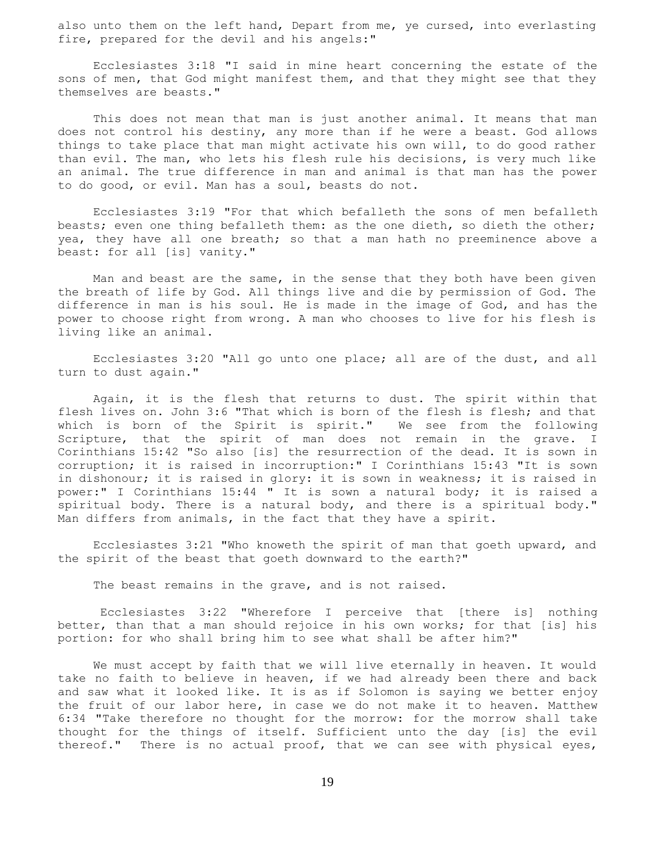also unto them on the left hand, Depart from me, ye cursed, into everlasting fire, prepared for the devil and his angels:"

 Ecclesiastes 3:18 "I said in mine heart concerning the estate of the sons of men, that God might manifest them, and that they might see that they themselves are beasts."

 This does not mean that man is just another animal. It means that man does not control his destiny, any more than if he were a beast. God allows things to take place that man might activate his own will, to do good rather than evil. The man, who lets his flesh rule his decisions, is very much like an animal. The true difference in man and animal is that man has the power to do good, or evil. Man has a soul, beasts do not.

 Ecclesiastes 3:19 "For that which befalleth the sons of men befalleth beasts; even one thing befalleth them: as the one dieth, so dieth the other; yea, they have all one breath; so that a man hath no preeminence above a beast: for all [is] vanity."

 Man and beast are the same, in the sense that they both have been given the breath of life by God. All things live and die by permission of God. The difference in man is his soul. He is made in the image of God, and has the power to choose right from wrong. A man who chooses to live for his flesh is living like an animal.

 Ecclesiastes 3:20 "All go unto one place; all are of the dust, and all turn to dust again."

 Again, it is the flesh that returns to dust. The spirit within that flesh lives on. John 3:6 "That which is born of the flesh is flesh; and that which is born of the Spirit is spirit." We see from the following Scripture, that the spirit of man does not remain in the grave. I Corinthians 15:42 "So also [is] the resurrection of the dead. It is sown in corruption; it is raised in incorruption:" I Corinthians 15:43 "It is sown in dishonour; it is raised in glory: it is sown in weakness; it is raised in power:" I Corinthians 15:44 " It is sown a natural body; it is raised a spiritual body. There is a natural body, and there is a spiritual body." Man differs from animals, in the fact that they have a spirit.

 Ecclesiastes 3:21 "Who knoweth the spirit of man that goeth upward, and the spirit of the beast that goeth downward to the earth?"

The beast remains in the grave, and is not raised.

 Ecclesiastes 3:22 "Wherefore I perceive that [there is] nothing better, than that a man should rejoice in his own works; for that [is] his portion: for who shall bring him to see what shall be after him?"

 We must accept by faith that we will live eternally in heaven. It would take no faith to believe in heaven, if we had already been there and back and saw what it looked like. It is as if Solomon is saying we better enjoy the fruit of our labor here, in case we do not make it to heaven. Matthew 6:34 "Take therefore no thought for the morrow: for the morrow shall take thought for the things of itself. Sufficient unto the day [is] the evil thereof." There is no actual proof, that we can see with physical eyes,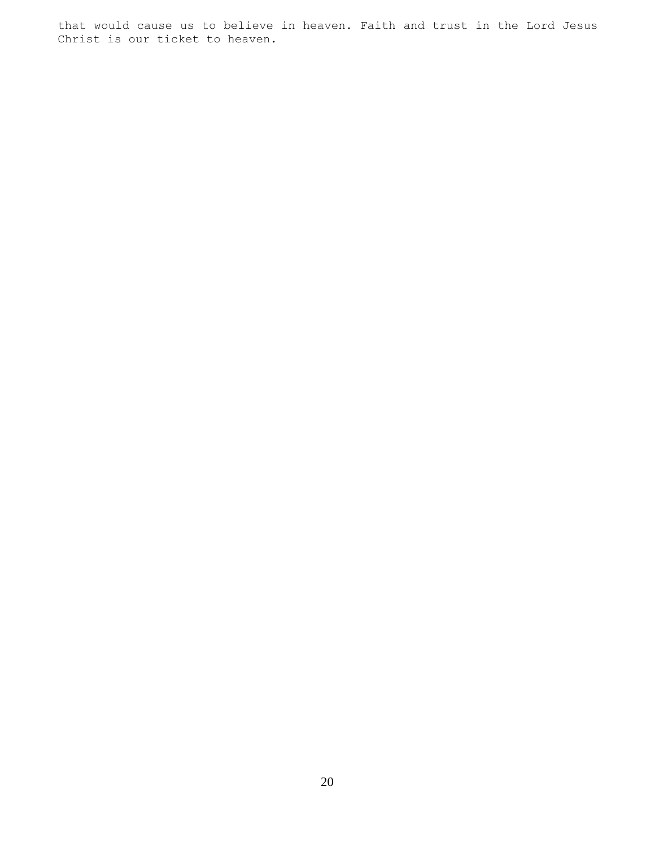that would cause us to believe in heaven. Faith and trust in the Lord Jesus Christ is our ticket to heaven.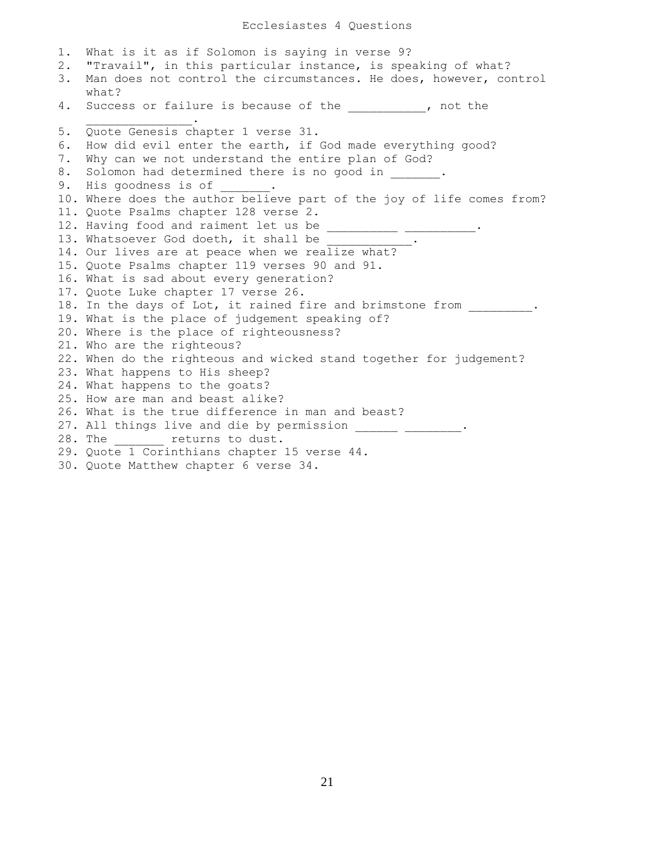Ecclesiastes 4 Questions

1. What is it as if Solomon is saying in verse 9? 2. "Travail", in this particular instance, is speaking of what? 3. Man does not control the circumstances. He does, however, control what? 4. Success or failure is because of the the the the success or failure is because of the  $\mathcal{L}=\mathcal{L}=\mathcal{L}=\mathcal{L}=\mathcal{L}=\mathcal{L}=\mathcal{L}=\mathcal{L}$ 5. Quote Genesis chapter 1 verse 31. 6. How did evil enter the earth, if God made everything good? 7. Why can we not understand the entire plan of God? 8. Solomon had determined there is no good in  $\qquad \qquad$ 9. His goodness is of 10. Where does the author believe part of the joy of life comes from? 11. Quote Psalms chapter 128 verse 2. 12. Having food and raiment let us be \_\_\_\_\_\_\_\_\_\_\_\_\_\_\_\_\_\_\_\_\_. 13. Whatsoever God doeth, it shall be 14. Our lives are at peace when we realize what? 15. Quote Psalms chapter 119 verses 90 and 91. 16. What is sad about every generation? 17. Quote Luke chapter 17 verse 26. 18. In the days of Lot, it rained fire and brimstone from . 19. What is the place of judgement speaking of? 20. Where is the place of righteousness? 21. Who are the righteous? 22. When do the righteous and wicked stand together for judgement? 23. What happens to His sheep? 24. What happens to the goats? 25. How are man and beast alike? 26. What is the true difference in man and beast? 27. All things live and die by permission \_\_\_\_\_\_ \_\_\_\_\_\_\_\_. 28. The \_\_\_\_\_\_\_\_ returns to dust. 29. Quote 1 Corinthians chapter 15 verse 44. 30. Quote Matthew chapter 6 verse 34.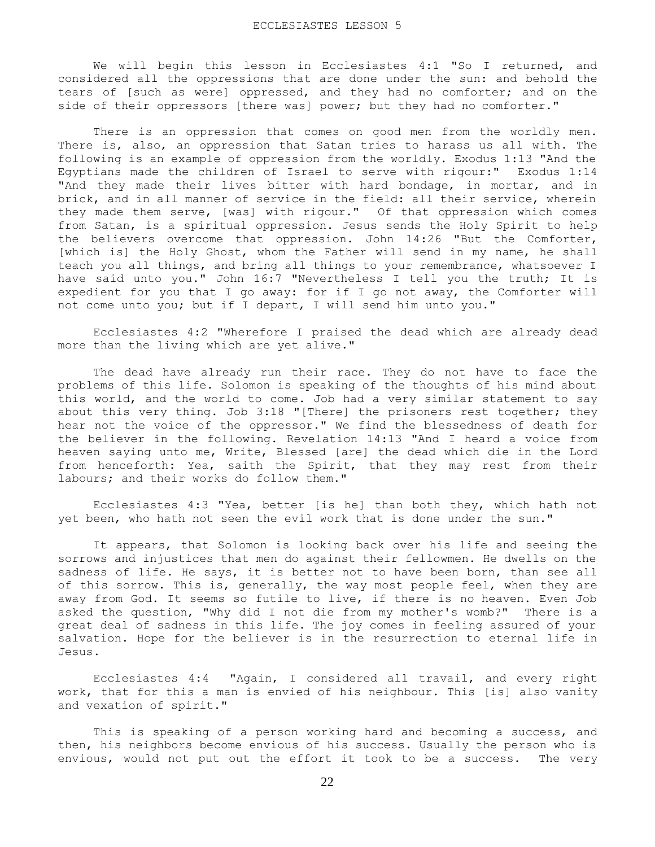We will begin this lesson in Ecclesiastes 4:1 "So I returned, and considered all the oppressions that are done under the sun: and behold the tears of [such as were] oppressed, and they had no comforter; and on the side of their oppressors [there was] power; but they had no comforter."

 There is an oppression that comes on good men from the worldly men. There is, also, an oppression that Satan tries to harass us all with. The following is an example of oppression from the worldly. Exodus 1:13 "And the Egyptians made the children of Israel to serve with rigour:" Exodus 1:14 "And they made their lives bitter with hard bondage, in mortar, and in brick, and in all manner of service in the field: all their service, wherein they made them serve, [was] with rigour." Of that oppression which comes from Satan, is a spiritual oppression. Jesus sends the Holy Spirit to help the believers overcome that oppression. John 14:26 "But the Comforter, [which is] the Holy Ghost, whom the Father will send in my name, he shall teach you all things, and bring all things to your remembrance, whatsoever I have said unto you." John 16:7 "Nevertheless I tell you the truth; It is expedient for you that I go away: for if I go not away, the Comforter will not come unto you; but if I depart, I will send him unto you."

 Ecclesiastes 4:2 "Wherefore I praised the dead which are already dead more than the living which are yet alive."

 The dead have already run their race. They do not have to face the problems of this life. Solomon is speaking of the thoughts of his mind about this world, and the world to come. Job had a very similar statement to say about this very thing. Job 3:18 "[There] the prisoners rest together; they hear not the voice of the oppressor." We find the blessedness of death for the believer in the following. Revelation 14:13 "And I heard a voice from heaven saying unto me, Write, Blessed [are] the dead which die in the Lord from henceforth: Yea, saith the Spirit, that they may rest from their labours; and their works do follow them."

 Ecclesiastes 4:3 "Yea, better [is he] than both they, which hath not yet been, who hath not seen the evil work that is done under the sun."

 It appears, that Solomon is looking back over his life and seeing the sorrows and injustices that men do against their fellowmen. He dwells on the sadness of life. He says, it is better not to have been born, than see all of this sorrow. This is, generally, the way most people feel, when they are away from God. It seems so futile to live, if there is no heaven. Even Job asked the question, "Why did I not die from my mother's womb?" There is a great deal of sadness in this life. The joy comes in feeling assured of your salvation. Hope for the believer is in the resurrection to eternal life in Jesus.

 Ecclesiastes 4:4 "Again, I considered all travail, and every right work, that for this a man is envied of his neighbour. This [is] also vanity and vexation of spirit."

 This is speaking of a person working hard and becoming a success, and then, his neighbors become envious of his success. Usually the person who is envious, would not put out the effort it took to be a success. The very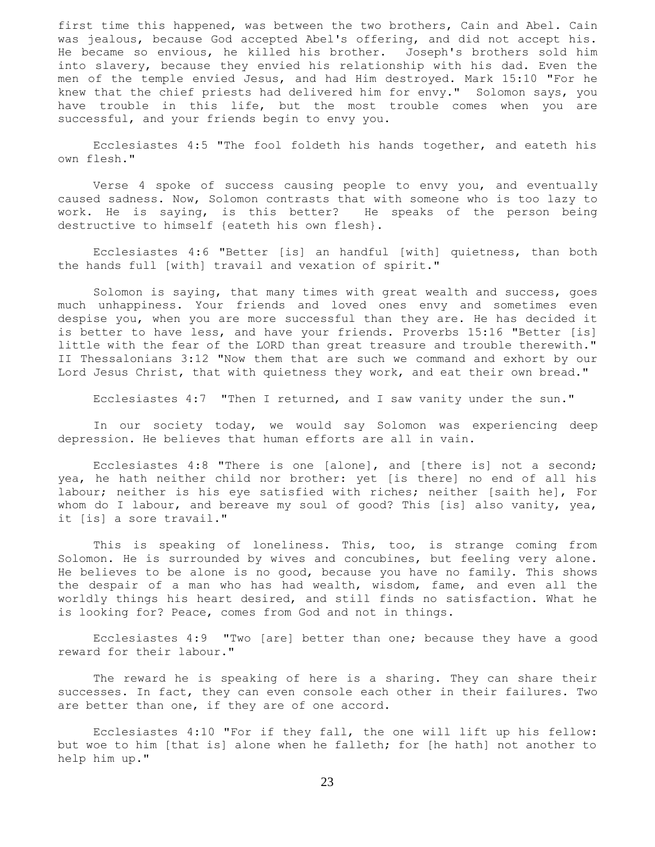first time this happened, was between the two brothers, Cain and Abel. Cain was jealous, because God accepted Abel's offering, and did not accept his. He became so envious, he killed his brother. Joseph's brothers sold him into slavery, because they envied his relationship with his dad. Even the men of the temple envied Jesus, and had Him destroyed. Mark 15:10 "For he knew that the chief priests had delivered him for envy." Solomon says, you have trouble in this life, but the most trouble comes when you are successful, and your friends begin to envy you.

 Ecclesiastes 4:5 "The fool foldeth his hands together, and eateth his own flesh."

 Verse 4 spoke of success causing people to envy you, and eventually caused sadness. Now, Solomon contrasts that with someone who is too lazy to work. He is saying, is this better? He speaks of the person being destructive to himself {eateth his own flesh}.

 Ecclesiastes 4:6 "Better [is] an handful [with] quietness, than both the hands full [with] travail and vexation of spirit."

 Solomon is saying, that many times with great wealth and success, goes much unhappiness. Your friends and loved ones envy and sometimes even despise you, when you are more successful than they are. He has decided it is better to have less, and have your friends. Proverbs 15:16 "Better [is] little with the fear of the LORD than great treasure and trouble therewith." II Thessalonians 3:12 "Now them that are such we command and exhort by our Lord Jesus Christ, that with quietness they work, and eat their own bread."

Ecclesiastes 4:7 "Then I returned, and I saw vanity under the sun."

 In our society today, we would say Solomon was experiencing deep depression. He believes that human efforts are all in vain.

 Ecclesiastes 4:8 "There is one [alone], and [there is] not a second; yea, he hath neither child nor brother: yet [is there] no end of all his labour; neither is his eye satisfied with riches; neither [saith he], For whom do I labour, and bereave my soul of good? This [is] also vanity, yea, it [is] a sore travail."

 This is speaking of loneliness. This, too, is strange coming from Solomon. He is surrounded by wives and concubines, but feeling very alone. He believes to be alone is no good, because you have no family. This shows the despair of a man who has had wealth, wisdom, fame, and even all the worldly things his heart desired, and still finds no satisfaction. What he is looking for? Peace, comes from God and not in things.

 Ecclesiastes 4:9 "Two [are] better than one; because they have a good reward for their labour."

 The reward he is speaking of here is a sharing. They can share their successes. In fact, they can even console each other in their failures. Two are better than one, if they are of one accord.

 Ecclesiastes 4:10 "For if they fall, the one will lift up his fellow: but woe to him [that is] alone when he falleth; for [he hath] not another to help him up."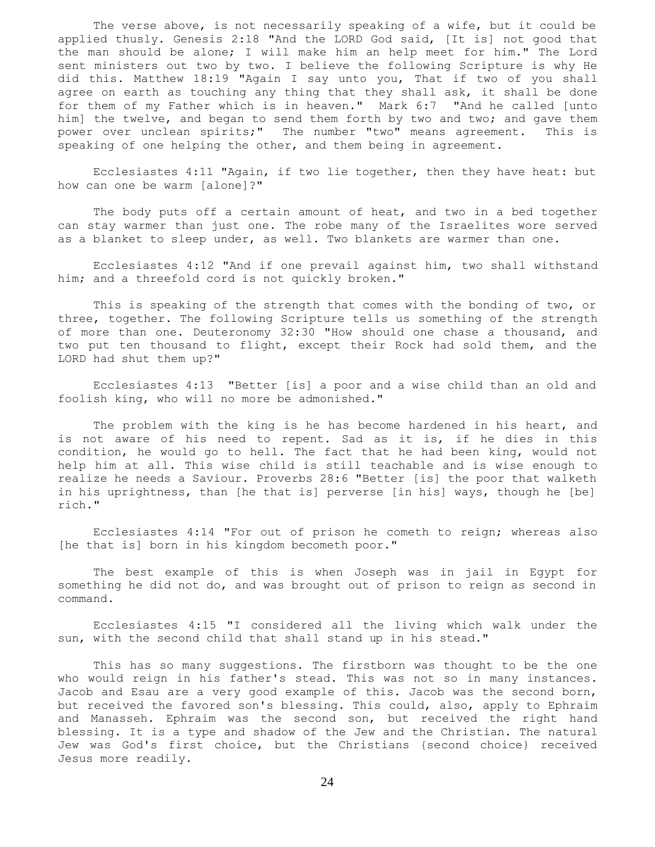The verse above, is not necessarily speaking of a wife, but it could be applied thusly. Genesis 2:18 "And the LORD God said, [It is] not good that the man should be alone; I will make him an help meet for him." The Lord sent ministers out two by two. I believe the following Scripture is why He did this. Matthew 18:19 "Again I say unto you, That if two of you shall agree on earth as touching any thing that they shall ask, it shall be done for them of my Father which is in heaven." Mark 6:7 "And he called [unto him] the twelve, and began to send them forth by two and two; and gave them power over unclean spirits;" The number "two" means agreement. This is speaking of one helping the other, and them being in agreement.

 Ecclesiastes 4:11 "Again, if two lie together, then they have heat: but how can one be warm [alone]?"

 The body puts off a certain amount of heat, and two in a bed together can stay warmer than just one. The robe many of the Israelites wore served as a blanket to sleep under, as well. Two blankets are warmer than one.

 Ecclesiastes 4:12 "And if one prevail against him, two shall withstand him; and a threefold cord is not quickly broken."

 This is speaking of the strength that comes with the bonding of two, or three, together. The following Scripture tells us something of the strength of more than one. Deuteronomy 32:30 "How should one chase a thousand, and two put ten thousand to flight, except their Rock had sold them, and the LORD had shut them up?"

 Ecclesiastes 4:13 "Better [is] a poor and a wise child than an old and foolish king, who will no more be admonished."

 The problem with the king is he has become hardened in his heart, and is not aware of his need to repent. Sad as it is, if he dies in this condition, he would go to hell. The fact that he had been king, would not help him at all. This wise child is still teachable and is wise enough to realize he needs a Saviour. Proverbs 28:6 "Better [is] the poor that walketh in his uprightness, than [he that is] perverse [in his] ways, though he [be] rich."

 Ecclesiastes 4:14 "For out of prison he cometh to reign; whereas also [he that is] born in his kingdom becometh poor."

 The best example of this is when Joseph was in jail in Egypt for something he did not do, and was brought out of prison to reign as second in command.

 Ecclesiastes 4:15 "I considered all the living which walk under the sun, with the second child that shall stand up in his stead."

 This has so many suggestions. The firstborn was thought to be the one who would reign in his father's stead. This was not so in many instances. Jacob and Esau are a very good example of this. Jacob was the second born, but received the favored son's blessing. This could, also, apply to Ephraim and Manasseh. Ephraim was the second son, but received the right hand blessing. It is a type and shadow of the Jew and the Christian. The natural Jew was God's first choice, but the Christians {second choice} received Jesus more readily.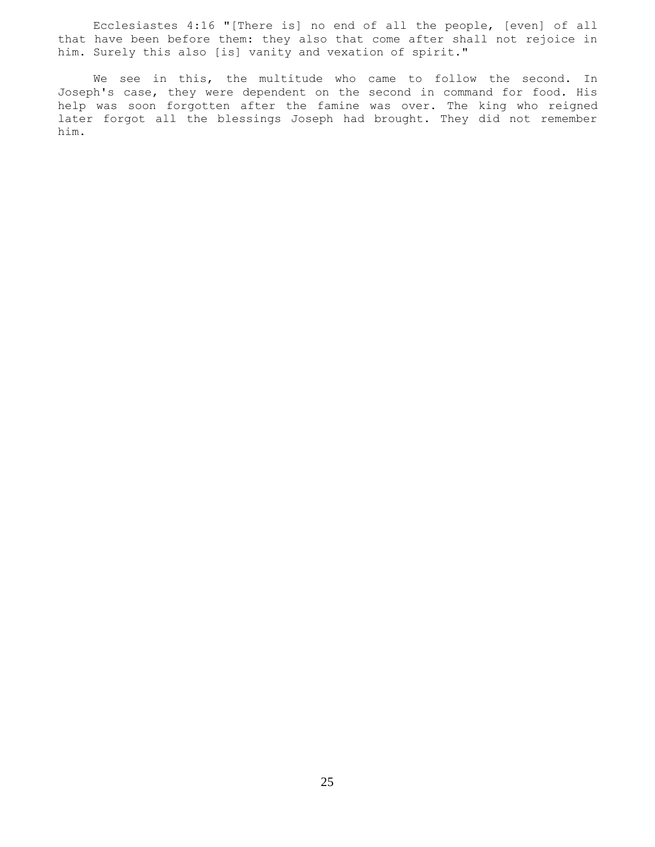Ecclesiastes 4:16 "[There is] no end of all the people, [even] of all that have been before them: they also that come after shall not rejoice in him. Surely this also [is] vanity and vexation of spirit."

 We see in this, the multitude who came to follow the second. In Joseph's case, they were dependent on the second in command for food. His help was soon forgotten after the famine was over. The king who reigned later forgot all the blessings Joseph had brought. They did not remember him.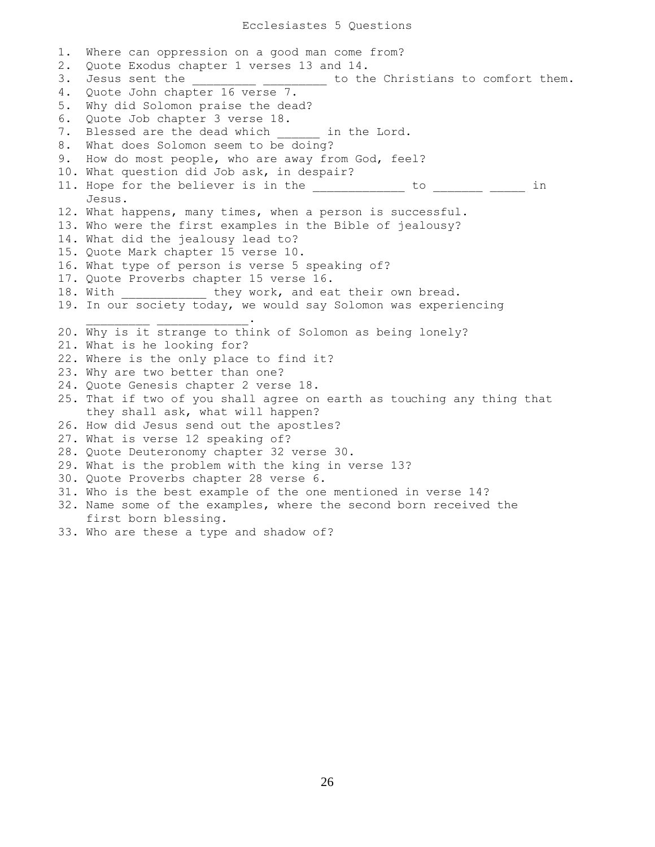1. Where can oppression on a good man come from? 2. Quote Exodus chapter 1 verses 13 and 14. 3. Jesus sent the **EXA CONTENT CONSTRUSTER SETA** to the Christians to comfort them. 4. Quote John chapter 16 verse 7. 5. Why did Solomon praise the dead? 6. Quote Job chapter 3 verse 18. 7. Blessed are the dead which \_\_\_\_\_\_ in the Lord. 8. What does Solomon seem to be doing? 9. How do most people, who are away from God, feel? 10. What question did Job ask, in despair? 11. Hope for the believer is in the \_\_\_\_\_\_\_\_\_\_\_\_\_ to \_\_\_\_\_\_\_\_ \_\_\_\_\_ in Jesus. 12. What happens, many times, when a person is successful. 13. Who were the first examples in the Bible of jealousy? 14. What did the jealousy lead to? 15. Quote Mark chapter 15 verse 10. 16. What type of person is verse 5 speaking of? 17. Quote Proverbs chapter 15 verse 16. 18. With  $\qquad \qquad$  they work, and eat their own bread. 19. In our society today, we would say Solomon was experiencing  $\overline{\phantom{a}}$  ,  $\overline{\phantom{a}}$  ,  $\overline{\phantom{a}}$  ,  $\overline{\phantom{a}}$  ,  $\overline{\phantom{a}}$  ,  $\overline{\phantom{a}}$  ,  $\overline{\phantom{a}}$  ,  $\overline{\phantom{a}}$  ,  $\overline{\phantom{a}}$  ,  $\overline{\phantom{a}}$  ,  $\overline{\phantom{a}}$  ,  $\overline{\phantom{a}}$  ,  $\overline{\phantom{a}}$  ,  $\overline{\phantom{a}}$  ,  $\overline{\phantom{a}}$  ,  $\overline{\phantom{a}}$ 20. Why is it strange to think of Solomon as being lonely? 21. What is he looking for? 22. Where is the only place to find it? 23. Why are two better than one? 24. Quote Genesis chapter 2 verse 18. 25. That if two of you shall agree on earth as touching any thing that they shall ask, what will happen? 26. How did Jesus send out the apostles? 27. What is verse 12 speaking of? 28. Quote Deuteronomy chapter 32 verse 30. 29. What is the problem with the king in verse 13? 30. Quote Proverbs chapter 28 verse 6. 31. Who is the best example of the one mentioned in verse 14? 32. Name some of the examples, where the second born received the first born blessing. 33. Who are these a type and shadow of?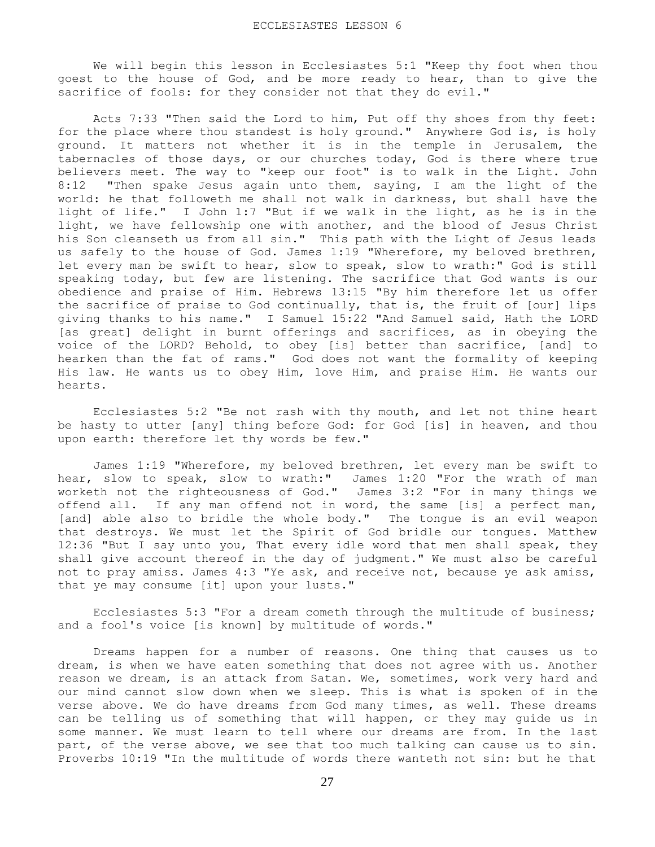We will begin this lesson in Ecclesiastes 5:1 "Keep thy foot when thou goest to the house of God, and be more ready to hear, than to give the sacrifice of fools: for they consider not that they do evil."

 Acts 7:33 "Then said the Lord to him, Put off thy shoes from thy feet: for the place where thou standest is holy ground." Anywhere God is, is holy ground. It matters not whether it is in the temple in Jerusalem, the tabernacles of those days, or our churches today, God is there where true believers meet. The way to "keep our foot" is to walk in the Light. John 8:12 "Then spake Jesus again unto them, saying, I am the light of the world: he that followeth me shall not walk in darkness, but shall have the light of life." I John 1:7 "But if we walk in the light, as he is in the light, we have fellowship one with another, and the blood of Jesus Christ his Son cleanseth us from all sin." This path with the Light of Jesus leads us safely to the house of God. James 1:19 "Wherefore, my beloved brethren, let every man be swift to hear, slow to speak, slow to wrath:" God is still speaking today, but few are listening. The sacrifice that God wants is our obedience and praise of Him. Hebrews 13:15 "By him therefore let us offer the sacrifice of praise to God continually, that is, the fruit of [our] lips giving thanks to his name." I Samuel 15:22 "And Samuel said, Hath the LORD [as great] delight in burnt offerings and sacrifices, as in obeying the voice of the LORD? Behold, to obey [is] better than sacrifice, [and] to hearken than the fat of rams." God does not want the formality of keeping His law. He wants us to obey Him, love Him, and praise Him. He wants our hearts.

 Ecclesiastes 5:2 "Be not rash with thy mouth, and let not thine heart be hasty to utter [any] thing before God: for God [is] in heaven, and thou upon earth: therefore let thy words be few."

 James 1:19 "Wherefore, my beloved brethren, let every man be swift to hear, slow to speak, slow to wrath:" James 1:20 "For the wrath of man worketh not the righteousness of God." James 3:2 "For in many things we offend all. If any man offend not in word, the same [is] a perfect man, [and] able also to bridle the whole body." The tongue is an evil weapon that destroys. We must let the Spirit of God bridle our tongues. Matthew 12:36 "But I say unto you, That every idle word that men shall speak, they shall give account thereof in the day of judgment." We must also be careful not to pray amiss. James 4:3 "Ye ask, and receive not, because ye ask amiss, that ye may consume [it] upon your lusts."

 Ecclesiastes 5:3 "For a dream cometh through the multitude of business; and a fool's voice [is known] by multitude of words."

 Dreams happen for a number of reasons. One thing that causes us to dream, is when we have eaten something that does not agree with us. Another reason we dream, is an attack from Satan. We, sometimes, work very hard and our mind cannot slow down when we sleep. This is what is spoken of in the verse above. We do have dreams from God many times, as well. These dreams can be telling us of something that will happen, or they may guide us in some manner. We must learn to tell where our dreams are from. In the last part, of the verse above, we see that too much talking can cause us to sin. Proverbs 10:19 "In the multitude of words there wanteth not sin: but he that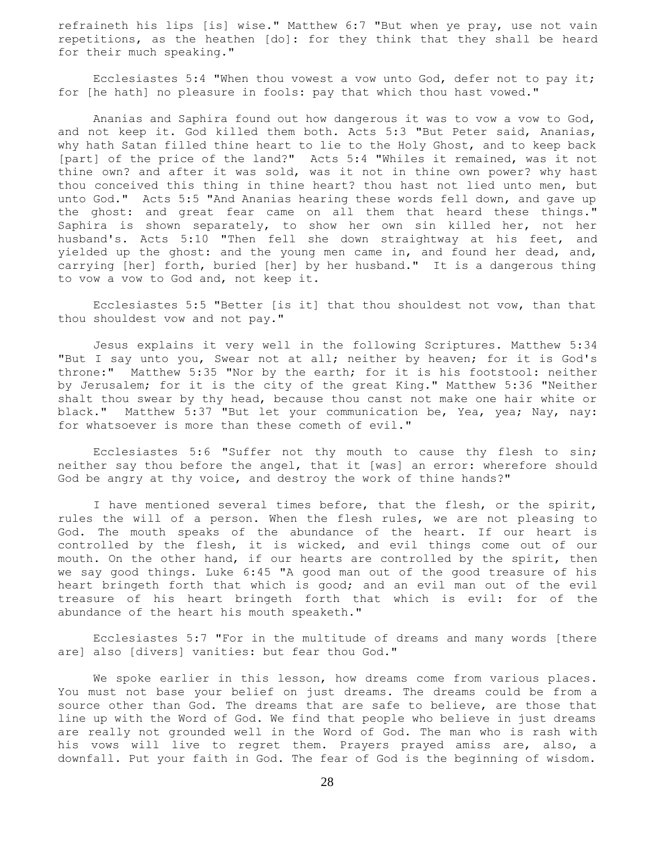refraineth his lips [is] wise." Matthew 6:7 "But when ye pray, use not vain repetitions, as the heathen [do]: for they think that they shall be heard for their much speaking."

 Ecclesiastes 5:4 "When thou vowest a vow unto God, defer not to pay it; for [he hath] no pleasure in fools: pay that which thou hast vowed."

 Ananias and Saphira found out how dangerous it was to vow a vow to God, and not keep it. God killed them both. Acts 5:3 "But Peter said, Ananias, why hath Satan filled thine heart to lie to the Holy Ghost, and to keep back [part] of the price of the land?" Acts 5:4 "Whiles it remained, was it not thine own? and after it was sold, was it not in thine own power? why hast thou conceived this thing in thine heart? thou hast not lied unto men, but unto God." Acts 5:5 "And Ananias hearing these words fell down, and gave up the ghost: and great fear came on all them that heard these things." Saphira is shown separately, to show her own sin killed her, not her husband's. Acts 5:10 "Then fell she down straightway at his feet, and yielded up the ghost: and the young men came in, and found her dead, and, carrying [her] forth, buried [her] by her husband." It is a dangerous thing to vow a vow to God and, not keep it.

 Ecclesiastes 5:5 "Better [is it] that thou shouldest not vow, than that thou shouldest vow and not pay."

 Jesus explains it very well in the following Scriptures. Matthew 5:34 "But I say unto you, Swear not at all; neither by heaven; for it is God's throne:" Matthew 5:35 "Nor by the earth; for it is his footstool: neither by Jerusalem; for it is the city of the great King." Matthew 5:36 "Neither shalt thou swear by thy head, because thou canst not make one hair white or black." Matthew 5:37 "But let your communication be, Yea, yea; Nay, nay: for whatsoever is more than these cometh of evil."

 Ecclesiastes 5:6 "Suffer not thy mouth to cause thy flesh to sin; neither say thou before the angel, that it [was] an error: wherefore should God be angry at thy voice, and destroy the work of thine hands?"

 I have mentioned several times before, that the flesh, or the spirit, rules the will of a person. When the flesh rules, we are not pleasing to God. The mouth speaks of the abundance of the heart. If our heart is controlled by the flesh, it is wicked, and evil things come out of our mouth. On the other hand, if our hearts are controlled by the spirit, then we say good things. Luke 6:45 "A good man out of the good treasure of his heart bringeth forth that which is good; and an evil man out of the evil treasure of his heart bringeth forth that which is evil: for of the abundance of the heart his mouth speaketh."

 Ecclesiastes 5:7 "For in the multitude of dreams and many words [there are] also [divers] vanities: but fear thou God."

 We spoke earlier in this lesson, how dreams come from various places. You must not base your belief on just dreams. The dreams could be from a source other than God. The dreams that are safe to believe, are those that line up with the Word of God. We find that people who believe in just dreams are really not grounded well in the Word of God. The man who is rash with his vows will live to regret them. Prayers prayed amiss are, also, a downfall. Put your faith in God. The fear of God is the beginning of wisdom.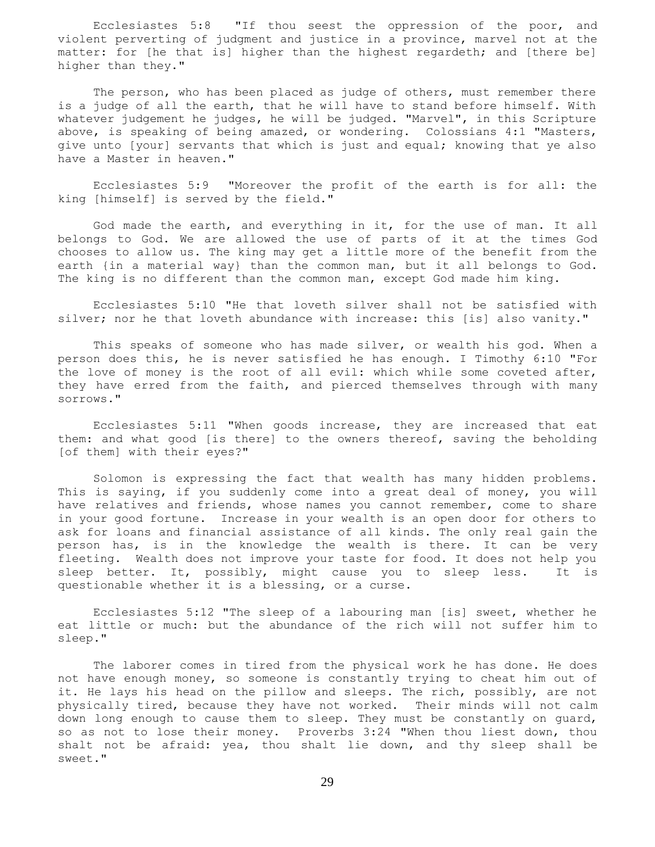Ecclesiastes 5:8 "If thou seest the oppression of the poor, and violent perverting of judgment and justice in a province, marvel not at the matter: for [he that is] higher than the highest regardeth; and [there be] higher than they."

 The person, who has been placed as judge of others, must remember there is a judge of all the earth, that he will have to stand before himself. With whatever judgement he judges, he will be judged. "Marvel", in this Scripture above, is speaking of being amazed, or wondering. Colossians 4:1 "Masters, give unto [your] servants that which is just and equal; knowing that ye also have a Master in heaven."

 Ecclesiastes 5:9 "Moreover the profit of the earth is for all: the king [himself] is served by the field."

 God made the earth, and everything in it, for the use of man. It all belongs to God. We are allowed the use of parts of it at the times God chooses to allow us. The king may get a little more of the benefit from the earth {in a material way} than the common man, but it all belongs to God. The king is no different than the common man, except God made him king.

 Ecclesiastes 5:10 "He that loveth silver shall not be satisfied with silver; nor he that loveth abundance with increase: this [is] also vanity."

 This speaks of someone who has made silver, or wealth his god. When a person does this, he is never satisfied he has enough. I Timothy 6:10 "For the love of money is the root of all evil: which while some coveted after, they have erred from the faith, and pierced themselves through with many sorrows."

 Ecclesiastes 5:11 "When goods increase, they are increased that eat them: and what good [is there] to the owners thereof, saving the beholding [of them] with their eyes?"

 Solomon is expressing the fact that wealth has many hidden problems. This is saying, if you suddenly come into a great deal of money, you will have relatives and friends, whose names you cannot remember, come to share in your good fortune. Increase in your wealth is an open door for others to ask for loans and financial assistance of all kinds. The only real gain the person has, is in the knowledge the wealth is there. It can be very fleeting. Wealth does not improve your taste for food. It does not help you sleep better. It, possibly, might cause you to sleep less. It is questionable whether it is a blessing, or a curse.

 Ecclesiastes 5:12 "The sleep of a labouring man [is] sweet, whether he eat little or much: but the abundance of the rich will not suffer him to sleep."

 The laborer comes in tired from the physical work he has done. He does not have enough money, so someone is constantly trying to cheat him out of it. He lays his head on the pillow and sleeps. The rich, possibly, are not physically tired, because they have not worked. Their minds will not calm down long enough to cause them to sleep. They must be constantly on guard, so as not to lose their money. Proverbs 3:24 "When thou liest down, thou shalt not be afraid: yea, thou shalt lie down, and thy sleep shall be sweet."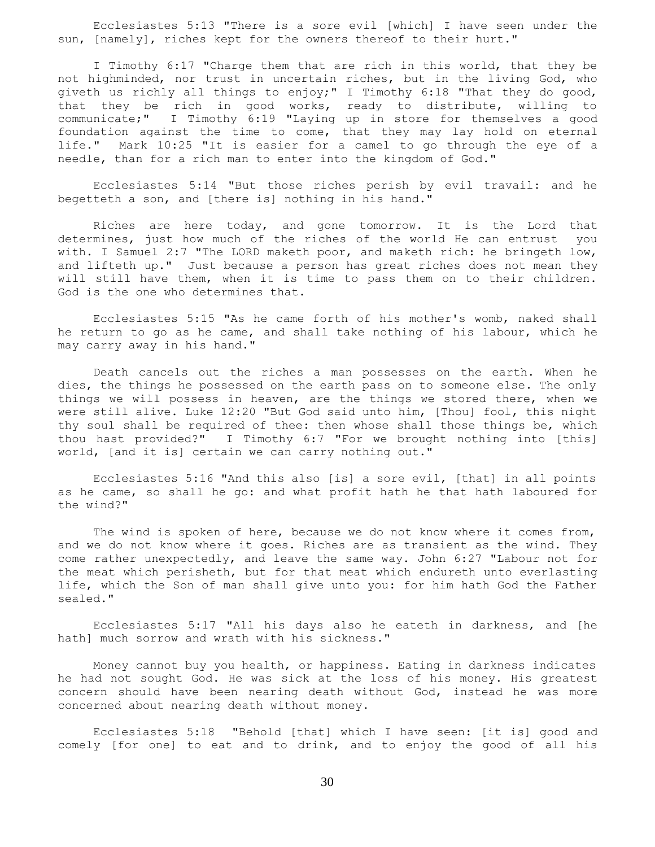Ecclesiastes 5:13 "There is a sore evil [which] I have seen under the sun, [namely], riches kept for the owners thereof to their hurt."

 I Timothy 6:17 "Charge them that are rich in this world, that they be not highminded, nor trust in uncertain riches, but in the living God, who giveth us richly all things to enjoy;" I Timothy 6:18 "That they do good, that they be rich in good works, ready to distribute, willing to communicate;" I Timothy 6:19 "Laying up in store for themselves a good foundation against the time to come, that they may lay hold on eternal life." Mark 10:25 "It is easier for a camel to go through the eye of a needle, than for a rich man to enter into the kingdom of God."

 Ecclesiastes 5:14 "But those riches perish by evil travail: and he begetteth a son, and [there is] nothing in his hand."

 Riches are here today, and gone tomorrow. It is the Lord that determines, just how much of the riches of the world He can entrust you with. I Samuel 2:7 "The LORD maketh poor, and maketh rich: he bringeth low, and lifteth up." Just because a person has great riches does not mean they will still have them, when it is time to pass them on to their children. God is the one who determines that.

 Ecclesiastes 5:15 "As he came forth of his mother's womb, naked shall he return to go as he came, and shall take nothing of his labour, which he may carry away in his hand."

 Death cancels out the riches a man possesses on the earth. When he dies, the things he possessed on the earth pass on to someone else. The only things we will possess in heaven, are the things we stored there, when we were still alive. Luke 12:20 "But God said unto him, [Thou] fool, this night thy soul shall be required of thee: then whose shall those things be, which thou hast provided?" I Timothy 6:7 "For we brought nothing into [this] world, [and it is] certain we can carry nothing out."

 Ecclesiastes 5:16 "And this also [is] a sore evil, [that] in all points as he came, so shall he go: and what profit hath he that hath laboured for the wind?"

The wind is spoken of here, because we do not know where it comes from, and we do not know where it goes. Riches are as transient as the wind. They come rather unexpectedly, and leave the same way. John 6:27 "Labour not for the meat which perisheth, but for that meat which endureth unto everlasting life, which the Son of man shall give unto you: for him hath God the Father sealed."

 Ecclesiastes 5:17 "All his days also he eateth in darkness, and [he hath] much sorrow and wrath with his sickness."

 Money cannot buy you health, or happiness. Eating in darkness indicates he had not sought God. He was sick at the loss of his money. His greatest concern should have been nearing death without God, instead he was more concerned about nearing death without money.

 Ecclesiastes 5:18 "Behold [that] which I have seen: [it is] good and comely [for one] to eat and to drink, and to enjoy the good of all his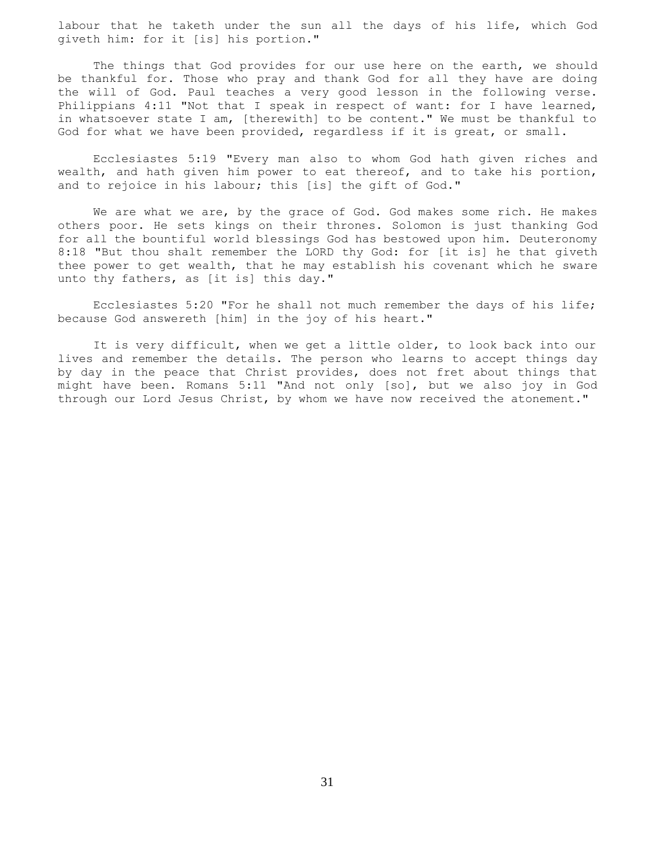labour that he taketh under the sun all the days of his life, which God giveth him: for it [is] his portion."

 The things that God provides for our use here on the earth, we should be thankful for. Those who pray and thank God for all they have are doing the will of God. Paul teaches a very good lesson in the following verse. Philippians 4:11 "Not that I speak in respect of want: for I have learned, in whatsoever state I am, [therewith] to be content." We must be thankful to God for what we have been provided, regardless if it is great, or small.

 Ecclesiastes 5:19 "Every man also to whom God hath given riches and wealth, and hath given him power to eat thereof, and to take his portion, and to rejoice in his labour; this [is] the gift of God."

 We are what we are, by the grace of God. God makes some rich. He makes others poor. He sets kings on their thrones. Solomon is just thanking God for all the bountiful world blessings God has bestowed upon him. Deuteronomy 8:18 "But thou shalt remember the LORD thy God: for [it is] he that giveth thee power to get wealth, that he may establish his covenant which he sware unto thy fathers, as [it is] this day."

 Ecclesiastes 5:20 "For he shall not much remember the days of his life; because God answereth [him] in the joy of his heart."

 It is very difficult, when we get a little older, to look back into our lives and remember the details. The person who learns to accept things day by day in the peace that Christ provides, does not fret about things that might have been. Romans 5:11 "And not only [so], but we also joy in God through our Lord Jesus Christ, by whom we have now received the atonement."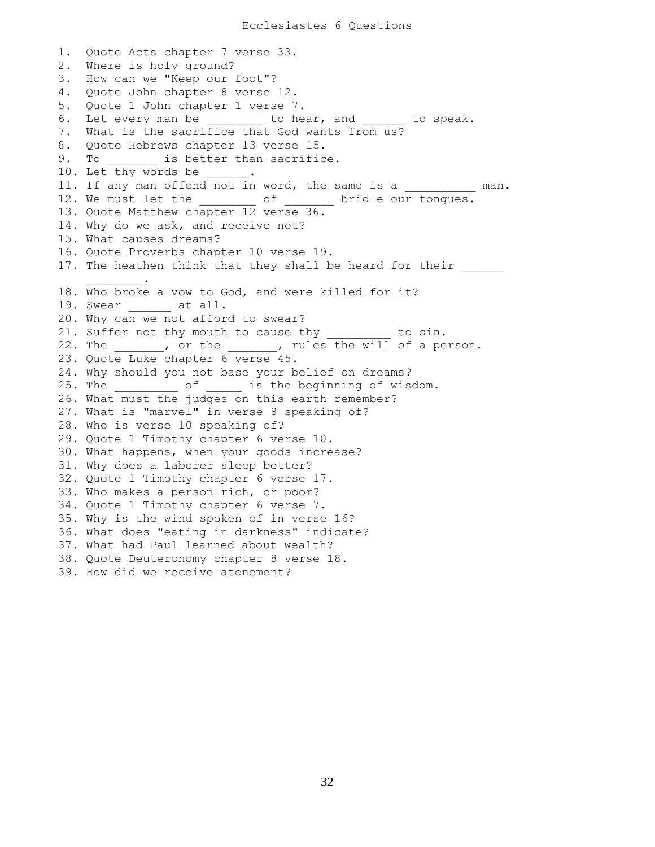1. Quote Acts chapter 7 verse 33. 2. Where is holy ground? 3. How can we "Keep our foot"? 4. Quote John chapter 8 verse 12. 5. Quote 1 John chapter 1 verse 7. 6. Let every man be **b** to hear, and to speak. 7. What is the sacrifice that God wants from us? 8. Quote Hebrews chapter 13 verse 15. 9. To \_\_\_\_\_\_\_ is better than sacrifice. 10. Let thy words be . 11. If any man offend not in word, the same is a \_\_\_\_\_\_\_\_\_\_ man. 12. We must let the \_\_\_\_\_\_\_\_ of \_\_\_\_\_\_ bridle our tongues. 13. Quote Matthew chapter 12 verse 36. 14. Why do we ask, and receive not? 15. What causes dreams? 16. Quote Proverbs chapter 10 verse 19. 17. The heathen think that they shall be heard for their  $\frac{1}{2}$  ,  $\frac{1}{2}$  ,  $\frac{1}{2}$  ,  $\frac{1}{2}$  ,  $\frac{1}{2}$ 18. Who broke a vow to God, and were killed for it? 19. Swear at all. 20. Why can we not afford to swear? 21. Suffer not thy mouth to cause thy \_\_\_\_\_\_\_\_\_ to sin. 22. The \_\_\_\_\_\_, or the \_\_\_\_\_\_, rules the will of a person. 23. Quote Luke chapter 6 verse 45. 24. Why should you not base your belief on dreams? 25. The \_\_\_\_\_\_\_\_\_ of \_\_\_\_\_ is the beginning of wisdom. 26. What must the judges on this earth remember? 27. What is "marvel" in verse 8 speaking of? 28. Who is verse 10 speaking of? 29. Quote 1 Timothy chapter 6 verse 10. 30. What happens, when your goods increase? 31. Why does a laborer sleep better? 32. Quote 1 Timothy chapter 6 verse 17. 33. Who makes a person rich, or poor? 34. Quote 1 Timothy chapter 6 verse 7. 35. Why is the wind spoken of in verse 16? 36. What does "eating in darkness" indicate? 37. What had Paul learned about wealth? 38. Quote Deuteronomy chapter 8 verse 18. 39. How did we receive atonement?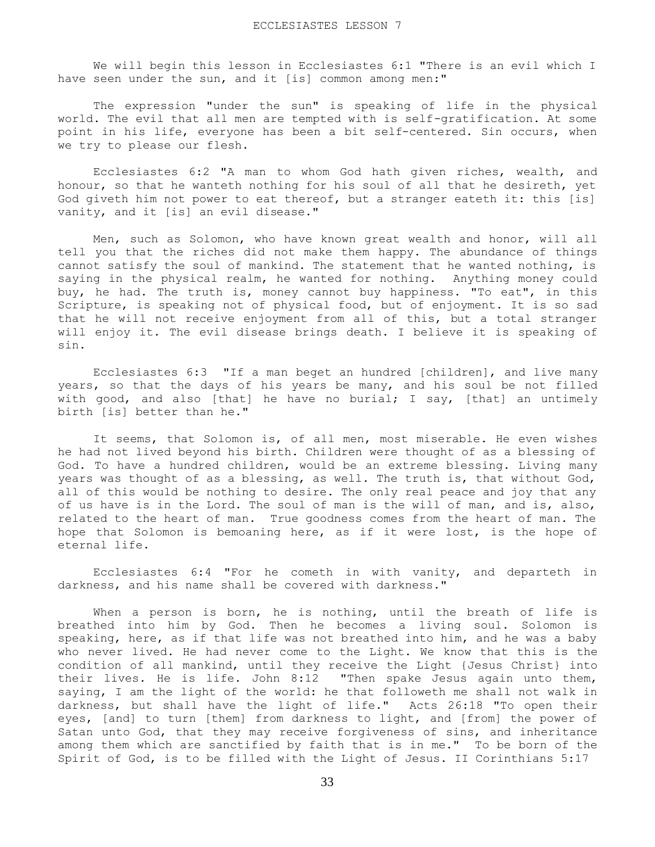We will begin this lesson in Ecclesiastes 6:1 "There is an evil which I have seen under the sun, and it [is] common among men:"

 The expression "under the sun" is speaking of life in the physical world. The evil that all men are tempted with is self-gratification. At some point in his life, everyone has been a bit self-centered. Sin occurs, when we try to please our flesh.

 Ecclesiastes 6:2 "A man to whom God hath given riches, wealth, and honour, so that he wanteth nothing for his soul of all that he desireth, yet God giveth him not power to eat thereof, but a stranger eateth it: this [is] vanity, and it [is] an evil disease."

 Men, such as Solomon, who have known great wealth and honor, will all tell you that the riches did not make them happy. The abundance of things cannot satisfy the soul of mankind. The statement that he wanted nothing, is saying in the physical realm, he wanted for nothing. Anything money could buy, he had. The truth is, money cannot buy happiness. "To eat", in this Scripture, is speaking not of physical food, but of enjoyment. It is so sad that he will not receive enjoyment from all of this, but a total stranger will enjoy it. The evil disease brings death. I believe it is speaking of sin.

 Ecclesiastes 6:3 "If a man beget an hundred [children], and live many years, so that the days of his years be many, and his soul be not filled with good, and also [that] he have no burial; I say, [that] an untimely birth [is] better than he."

 It seems, that Solomon is, of all men, most miserable. He even wishes he had not lived beyond his birth. Children were thought of as a blessing of God. To have a hundred children, would be an extreme blessing. Living many years was thought of as a blessing, as well. The truth is, that without God, all of this would be nothing to desire. The only real peace and joy that any of us have is in the Lord. The soul of man is the will of man, and is, also, related to the heart of man. True goodness comes from the heart of man. The hope that Solomon is bemoaning here, as if it were lost, is the hope of eternal life.

 Ecclesiastes 6:4 "For he cometh in with vanity, and departeth in darkness, and his name shall be covered with darkness."

 When a person is born, he is nothing, until the breath of life is breathed into him by God. Then he becomes a living soul. Solomon is speaking, here, as if that life was not breathed into him, and he was a baby who never lived. He had never come to the Light. We know that this is the condition of all mankind, until they receive the Light {Jesus Christ} into their lives. He is life. John 8:12 "Then spake Jesus again unto them, saying, I am the light of the world: he that followeth me shall not walk in darkness, but shall have the light of life." Acts 26:18 "To open their eyes, [and] to turn [them] from darkness to light, and [from] the power of Satan unto God, that they may receive forgiveness of sins, and inheritance among them which are sanctified by faith that is in me." To be born of the Spirit of God, is to be filled with the Light of Jesus. II Corinthians 5:17

33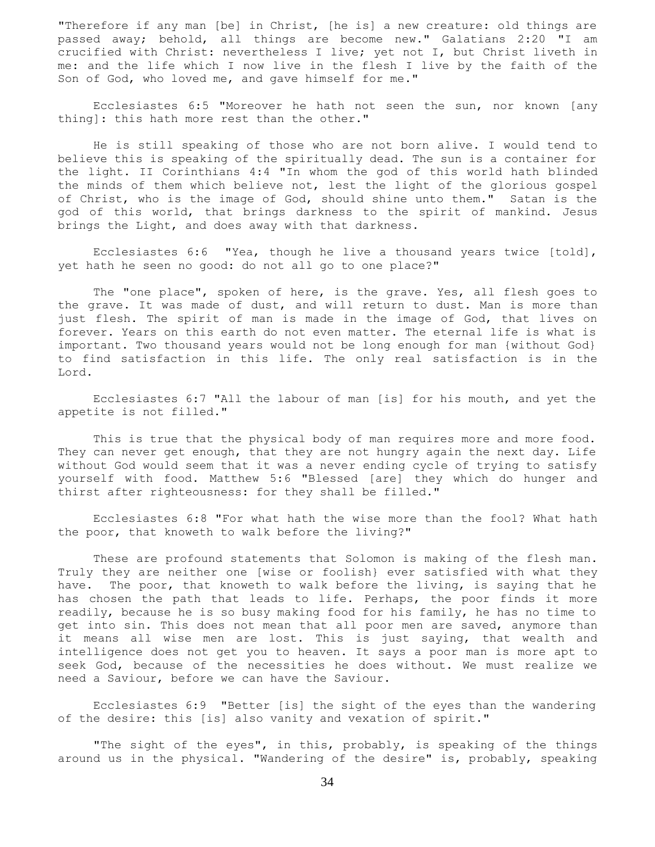"Therefore if any man [be] in Christ, [he is] a new creature: old things are passed away; behold, all things are become new." Galatians 2:20 "I am crucified with Christ: nevertheless I live; yet not I, but Christ liveth in me: and the life which I now live in the flesh I live by the faith of the Son of God, who loved me, and gave himself for me."

 Ecclesiastes 6:5 "Moreover he hath not seen the sun, nor known [any thing]: this hath more rest than the other."

 He is still speaking of those who are not born alive. I would tend to believe this is speaking of the spiritually dead. The sun is a container for the light. II Corinthians 4:4 "In whom the god of this world hath blinded the minds of them which believe not, lest the light of the glorious gospel of Christ, who is the image of God, should shine unto them." Satan is the god of this world, that brings darkness to the spirit of mankind. Jesus brings the Light, and does away with that darkness.

 Ecclesiastes 6:6 "Yea, though he live a thousand years twice [told], yet hath he seen no good: do not all go to one place?"

 The "one place", spoken of here, is the grave. Yes, all flesh goes to the grave. It was made of dust, and will return to dust. Man is more than just flesh. The spirit of man is made in the image of God, that lives on forever. Years on this earth do not even matter. The eternal life is what is important. Two thousand years would not be long enough for man {without God} to find satisfaction in this life. The only real satisfaction is in the Lord.

 Ecclesiastes 6:7 "All the labour of man [is] for his mouth, and yet the appetite is not filled."

 This is true that the physical body of man requires more and more food. They can never get enough, that they are not hungry again the next day. Life without God would seem that it was a never ending cycle of trying to satisfy yourself with food. Matthew 5:6 "Blessed [are] they which do hunger and thirst after righteousness: for they shall be filled."

 Ecclesiastes 6:8 "For what hath the wise more than the fool? What hath the poor, that knoweth to walk before the living?"

 These are profound statements that Solomon is making of the flesh man. Truly they are neither one [wise or foolish} ever satisfied with what they have. The poor, that knoweth to walk before the living, is saying that he has chosen the path that leads to life. Perhaps, the poor finds it more readily, because he is so busy making food for his family, he has no time to get into sin. This does not mean that all poor men are saved, anymore than it means all wise men are lost. This is just saying, that wealth and intelligence does not get you to heaven. It says a poor man is more apt to seek God, because of the necessities he does without. We must realize we need a Saviour, before we can have the Saviour.

 Ecclesiastes 6:9 "Better [is] the sight of the eyes than the wandering of the desire: this [is] also vanity and vexation of spirit."

 "The sight of the eyes", in this, probably, is speaking of the things around us in the physical. "Wandering of the desire" is, probably, speaking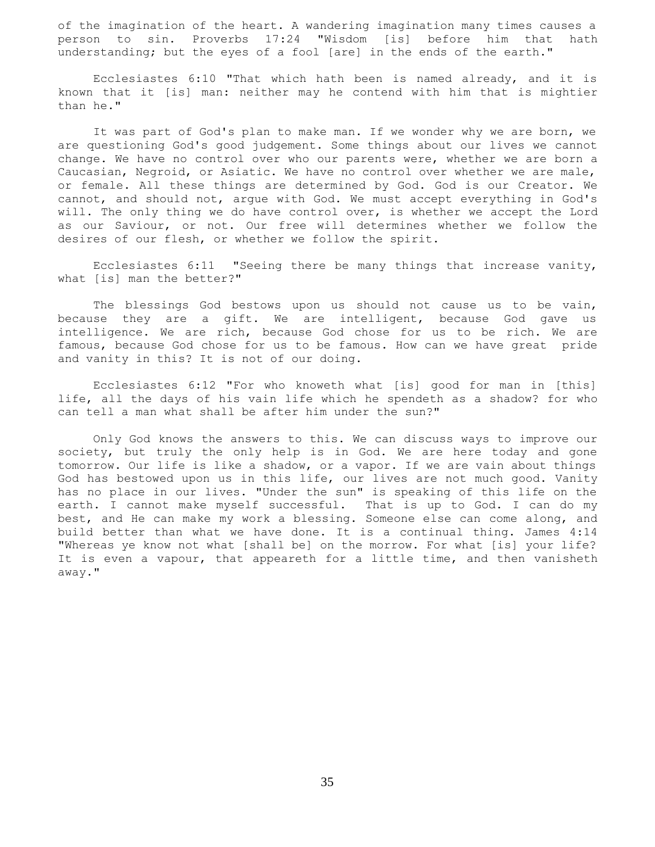of the imagination of the heart. A wandering imagination many times causes a person to sin. Proverbs 17:24 "Wisdom [is] before him that hath understanding; but the eyes of a fool [are] in the ends of the earth."

 Ecclesiastes 6:10 "That which hath been is named already, and it is known that it [is] man: neither may he contend with him that is mightier than he."

 It was part of God's plan to make man. If we wonder why we are born, we are questioning God's good judgement. Some things about our lives we cannot change. We have no control over who our parents were, whether we are born a Caucasian, Negroid, or Asiatic. We have no control over whether we are male, or female. All these things are determined by God. God is our Creator. We cannot, and should not, argue with God. We must accept everything in God's will. The only thing we do have control over, is whether we accept the Lord as our Saviour, or not. Our free will determines whether we follow the desires of our flesh, or whether we follow the spirit.

 Ecclesiastes 6:11 "Seeing there be many things that increase vanity, what [is] man the better?"

 The blessings God bestows upon us should not cause us to be vain, because they are a gift. We are intelligent, because God gave us intelligence. We are rich, because God chose for us to be rich. We are famous, because God chose for us to be famous. How can we have great pride and vanity in this? It is not of our doing.

 Ecclesiastes 6:12 "For who knoweth what [is] good for man in [this] life, all the days of his vain life which he spendeth as a shadow? for who can tell a man what shall be after him under the sun?"

 Only God knows the answers to this. We can discuss ways to improve our society, but truly the only help is in God. We are here today and gone tomorrow. Our life is like a shadow, or a vapor. If we are vain about things God has bestowed upon us in this life, our lives are not much good. Vanity has no place in our lives. "Under the sun" is speaking of this life on the earth. I cannot make myself successful. That is up to God. I can do my best, and He can make my work a blessing. Someone else can come along, and build better than what we have done. It is a continual thing. James 4:14 "Whereas ye know not what [shall be] on the morrow. For what [is] your life? It is even a vapour, that appeareth for a little time, and then vanisheth away."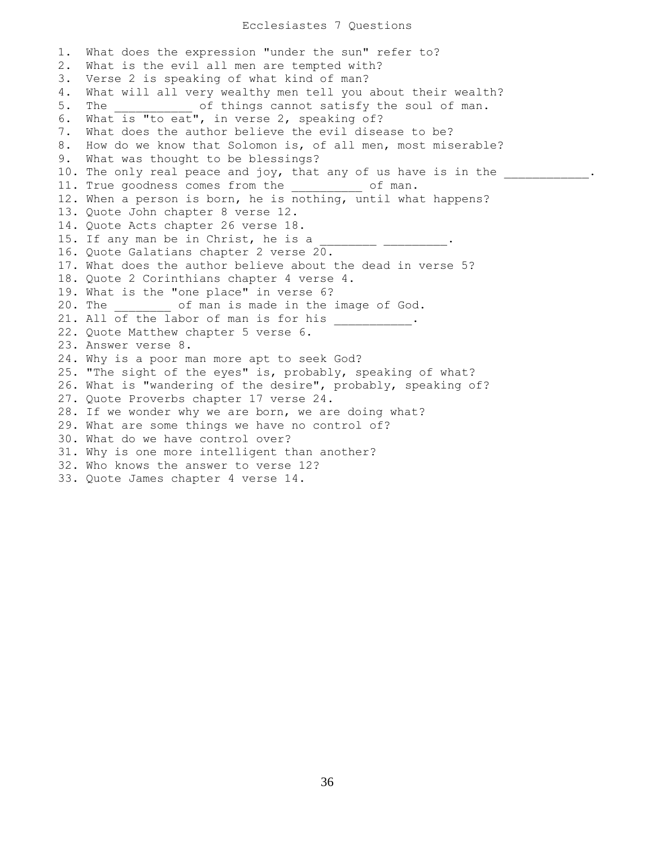1. What does the expression "under the sun" refer to? 2. What is the evil all men are tempted with? 3. Verse 2 is speaking of what kind of man? 4. What will all very wealthy men tell you about their wealth? 5. The  $\qquad \qquad$  of things cannot satisfy the soul of man. 6. What is "to eat", in verse 2, speaking of? 7. What does the author believe the evil disease to be? 8. How do we know that Solomon is, of all men, most miserable? 9. What was thought to be blessings? 10. The only real peace and joy, that any of us have is in the  $\cdots$ 11. True goodness comes from the \_\_\_\_\_\_\_\_\_\_ of man. 12. When a person is born, he is nothing, until what happens? 13. Quote John chapter 8 verse 12. 14. Quote Acts chapter 26 verse 18. 15. If any man be in Christ, he is a 16. Quote Galatians chapter 2 verse 20. 17. What does the author believe about the dead in verse 5? 18. Quote 2 Corinthians chapter 4 verse 4. 19. What is the "one place" in verse 6? 20. The  $\qquad \qquad$  of man is made in the image of God. 21. All of the labor of man is for his \_\_\_\_\_\_\_\_\_. 22. Quote Matthew chapter 5 verse 6. 23. Answer verse 8. 24. Why is a poor man more apt to seek God? 25. "The sight of the eyes" is, probably, speaking of what? 26. What is "wandering of the desire", probably, speaking of? 27. Quote Proverbs chapter 17 verse 24. 28. If we wonder why we are born, we are doing what? 29. What are some things we have no control of? 30. What do we have control over? 31. Why is one more intelligent than another? 32. Who knows the answer to verse 12? 33. Quote James chapter 4 verse 14.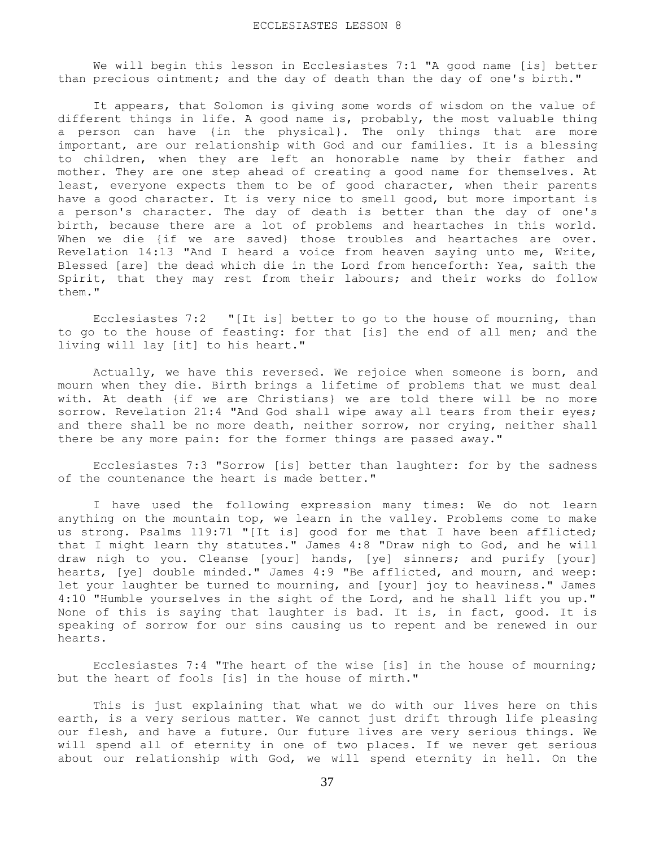We will begin this lesson in Ecclesiastes 7:1 "A good name [is] better than precious ointment; and the day of death than the day of one's birth."

 It appears, that Solomon is giving some words of wisdom on the value of different things in life. A good name is, probably, the most valuable thing a person can have {in the physical}. The only things that are more important, are our relationship with God and our families. It is a blessing to children, when they are left an honorable name by their father and mother. They are one step ahead of creating a good name for themselves. At least, everyone expects them to be of good character, when their parents have a good character. It is very nice to smell good, but more important is a person's character. The day of death is better than the day of one's birth, because there are a lot of problems and heartaches in this world. When we die {if we are saved} those troubles and heartaches are over. Revelation 14:13 "And I heard a voice from heaven saying unto me, Write, Blessed [are] the dead which die in the Lord from henceforth: Yea, saith the Spirit, that they may rest from their labours; and their works do follow them."

 Ecclesiastes 7:2 "[It is] better to go to the house of mourning, than to go to the house of feasting: for that [is] the end of all men; and the living will lay [it] to his heart."

 Actually, we have this reversed. We rejoice when someone is born, and mourn when they die. Birth brings a lifetime of problems that we must deal with. At death {if we are Christians} we are told there will be no more sorrow. Revelation 21:4 "And God shall wipe away all tears from their eyes; and there shall be no more death, neither sorrow, nor crying, neither shall there be any more pain: for the former things are passed away."

 Ecclesiastes 7:3 "Sorrow [is] better than laughter: for by the sadness of the countenance the heart is made better."

 I have used the following expression many times: We do not learn anything on the mountain top, we learn in the valley. Problems come to make us strong. Psalms 119:71 "[It is] good for me that I have been afflicted; that I might learn thy statutes." James 4:8 "Draw nigh to God, and he will draw nigh to you. Cleanse [your] hands, [ye] sinners; and purify [your] hearts, [ye] double minded." James 4:9 "Be afflicted, and mourn, and weep: let your laughter be turned to mourning, and [your] joy to heaviness." James 4:10 "Humble yourselves in the sight of the Lord, and he shall lift you up." None of this is saying that laughter is bad. It is, in fact, good. It is speaking of sorrow for our sins causing us to repent and be renewed in our hearts.

 Ecclesiastes 7:4 "The heart of the wise [is] in the house of mourning; but the heart of fools [is] in the house of mirth."

 This is just explaining that what we do with our lives here on this earth, is a very serious matter. We cannot just drift through life pleasing our flesh, and have a future. Our future lives are very serious things. We will spend all of eternity in one of two places. If we never get serious about our relationship with God, we will spend eternity in hell. On the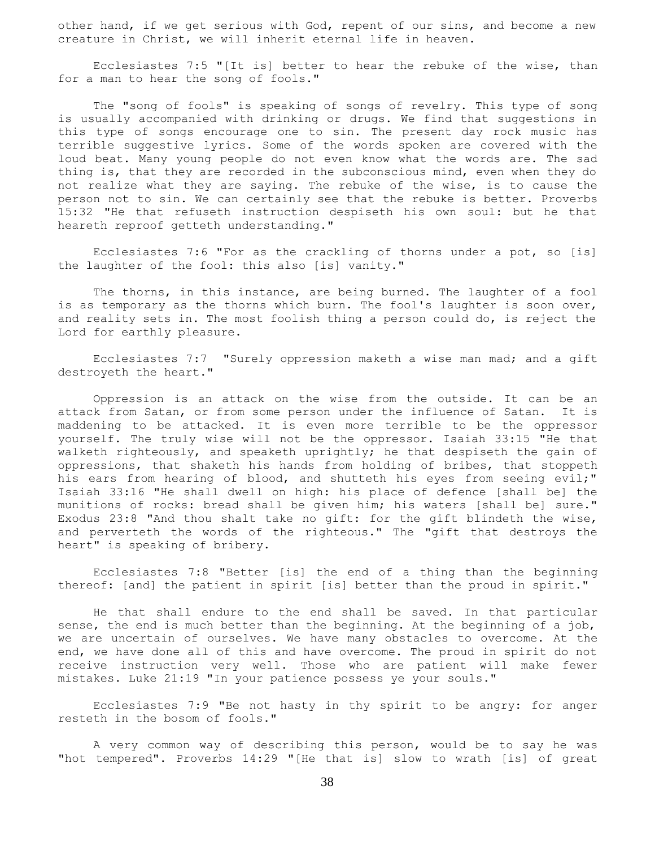other hand, if we get serious with God, repent of our sins, and become a new creature in Christ, we will inherit eternal life in heaven.

 Ecclesiastes 7:5 "[It is] better to hear the rebuke of the wise, than for a man to hear the song of fools."

 The "song of fools" is speaking of songs of revelry. This type of song is usually accompanied with drinking or drugs. We find that suggestions in this type of songs encourage one to sin. The present day rock music has terrible suggestive lyrics. Some of the words spoken are covered with the loud beat. Many young people do not even know what the words are. The sad thing is, that they are recorded in the subconscious mind, even when they do not realize what they are saying. The rebuke of the wise, is to cause the person not to sin. We can certainly see that the rebuke is better. Proverbs 15:32 "He that refuseth instruction despiseth his own soul: but he that heareth reproof getteth understanding."

 Ecclesiastes 7:6 "For as the crackling of thorns under a pot, so [is] the laughter of the fool: this also [is] vanity."

 The thorns, in this instance, are being burned. The laughter of a fool is as temporary as the thorns which burn. The fool's laughter is soon over, and reality sets in. The most foolish thing a person could do, is reject the Lord for earthly pleasure.

 Ecclesiastes 7:7 "Surely oppression maketh a wise man mad; and a gift destroyeth the heart."

 Oppression is an attack on the wise from the outside. It can be an attack from Satan, or from some person under the influence of Satan. It is maddening to be attacked. It is even more terrible to be the oppressor yourself. The truly wise will not be the oppressor. Isaiah 33:15 "He that walketh righteously, and speaketh uprightly; he that despiseth the gain of oppressions, that shaketh his hands from holding of bribes, that stoppeth his ears from hearing of blood, and shutteth his eyes from seeing evil;" Isaiah 33:16 "He shall dwell on high: his place of defence [shall be] the munitions of rocks: bread shall be given him; his waters [shall be] sure." Exodus 23:8 "And thou shalt take no gift: for the gift blindeth the wise, and perverteth the words of the righteous." The "gift that destroys the heart" is speaking of bribery.

 Ecclesiastes 7:8 "Better [is] the end of a thing than the beginning thereof: [and] the patient in spirit [is] better than the proud in spirit."

 He that shall endure to the end shall be saved. In that particular sense, the end is much better than the beginning. At the beginning of a job, we are uncertain of ourselves. We have many obstacles to overcome. At the end, we have done all of this and have overcome. The proud in spirit do not receive instruction very well. Those who are patient will make fewer mistakes. Luke 21:19 "In your patience possess ye your souls."

 Ecclesiastes 7:9 "Be not hasty in thy spirit to be angry: for anger resteth in the bosom of fools."

 A very common way of describing this person, would be to say he was "hot tempered". Proverbs 14:29 "[He that is] slow to wrath [is] of great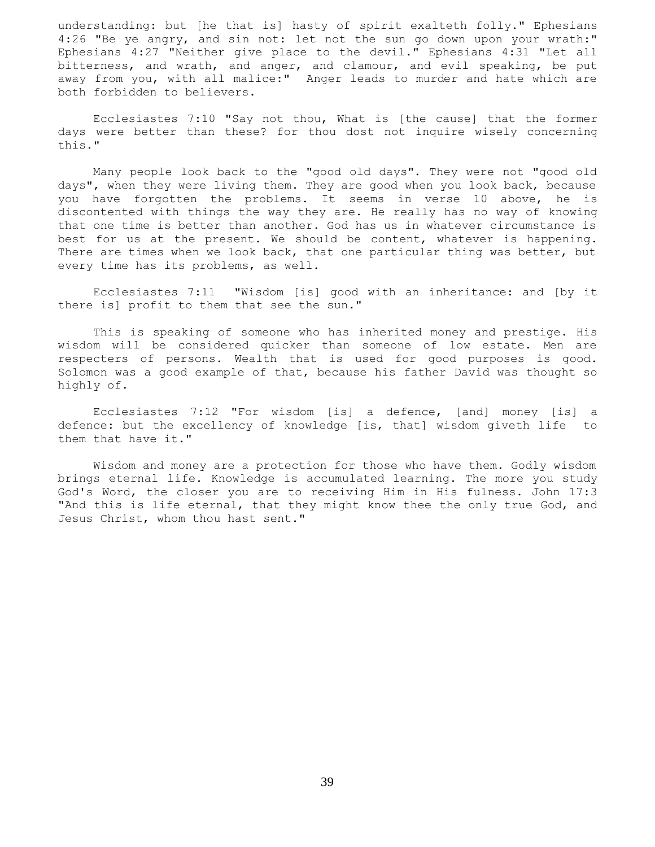understanding: but [he that is] hasty of spirit exalteth folly." Ephesians 4:26 "Be ye angry, and sin not: let not the sun go down upon your wrath:" Ephesians 4:27 "Neither give place to the devil." Ephesians 4:31 "Let all bitterness, and wrath, and anger, and clamour, and evil speaking, be put away from you, with all malice:" Anger leads to murder and hate which are both forbidden to believers.

 Ecclesiastes 7:10 "Say not thou, What is [the cause] that the former days were better than these? for thou dost not inquire wisely concerning this."

 Many people look back to the "good old days". They were not "good old days", when they were living them. They are good when you look back, because you have forgotten the problems. It seems in verse 10 above, he is discontented with things the way they are. He really has no way of knowing that one time is better than another. God has us in whatever circumstance is best for us at the present. We should be content, whatever is happening. There are times when we look back, that one particular thing was better, but every time has its problems, as well.

 Ecclesiastes 7:11 "Wisdom [is] good with an inheritance: and [by it there is] profit to them that see the sun."

 This is speaking of someone who has inherited money and prestige. His wisdom will be considered quicker than someone of low estate. Men are respecters of persons. Wealth that is used for good purposes is good. Solomon was a good example of that, because his father David was thought so highly of.

 Ecclesiastes 7:12 "For wisdom [is] a defence, [and] money [is] a defence: but the excellency of knowledge [is, that] wisdom giveth life to them that have it."

 Wisdom and money are a protection for those who have them. Godly wisdom brings eternal life. Knowledge is accumulated learning. The more you study God's Word, the closer you are to receiving Him in His fulness. John 17:3 "And this is life eternal, that they might know thee the only true God, and Jesus Christ, whom thou hast sent."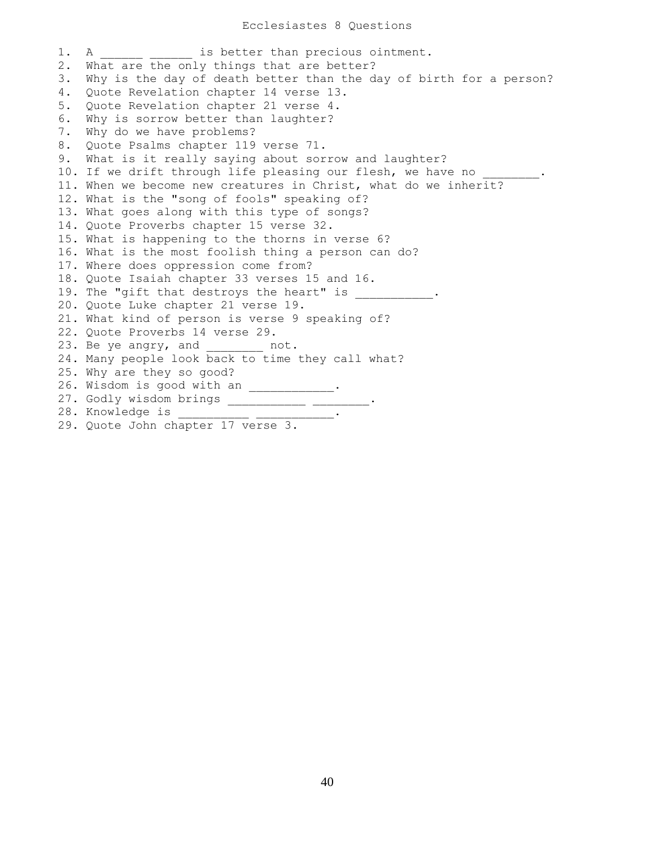1. A  $\qquad \qquad$  is better than precious ointment. 2. What are the only things that are better? 3. Why is the day of death better than the day of birth for a person? 4. Quote Revelation chapter 14 verse 13. 5. Quote Revelation chapter 21 verse 4. 6. Why is sorrow better than laughter? 7. Why do we have problems? 8. Quote Psalms chapter 119 verse 71. 9. What is it really saying about sorrow and laughter? 10. If we drift through life pleasing our flesh, we have no 11. When we become new creatures in Christ, what do we inherit? 12. What is the "song of fools" speaking of? 13. What goes along with this type of songs? 14. Quote Proverbs chapter 15 verse 32. 15. What is happening to the thorns in verse 6? 16. What is the most foolish thing a person can do? 17. Where does oppression come from? 18. Quote Isaiah chapter 33 verses 15 and 16. 19. The "gift that destroys the heart" is  $\hspace{1cm} .$ 20. Quote Luke chapter 21 verse 19. 21. What kind of person is verse 9 speaking of? 22. Quote Proverbs 14 verse 29. 23. Be ye angry, and mot. 24. Many people look back to time they call what? 25. Why are they so good? 26. Wisdom is good with an \_\_\_\_\_\_\_\_\_\_\_\_. 27. Godly wisdom brings \_\_\_\_\_\_\_\_\_\_\_\_ \_\_\_\_\_\_\_\_. 28. Knowledge is \_\_\_\_\_\_\_\_\_\_\_ \_\_\_\_\_\_\_\_\_\_\_. 29. Quote John chapter 17 verse 3.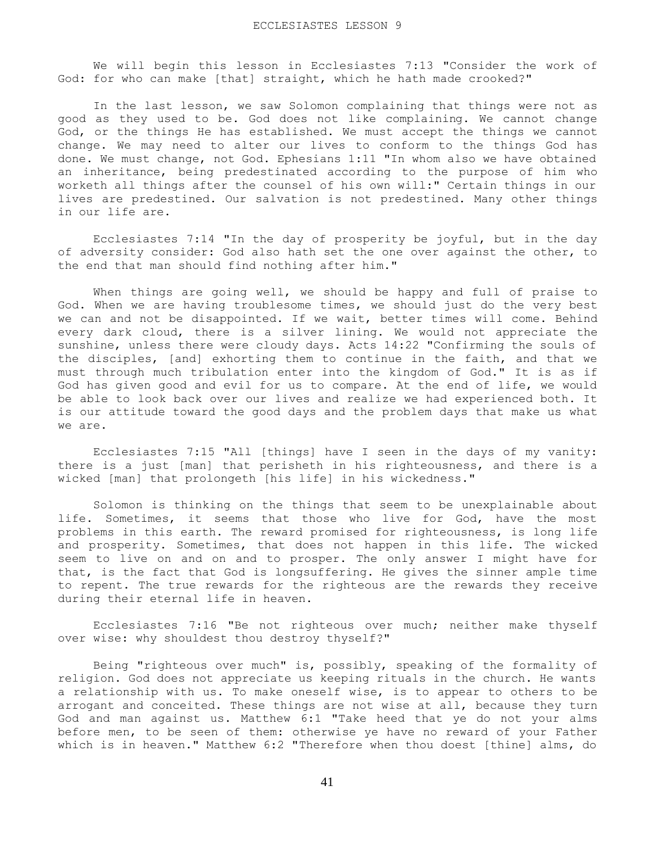We will begin this lesson in Ecclesiastes 7:13 "Consider the work of God: for who can make [that] straight, which he hath made crooked?"

 In the last lesson, we saw Solomon complaining that things were not as good as they used to be. God does not like complaining. We cannot change God, or the things He has established. We must accept the things we cannot change. We may need to alter our lives to conform to the things God has done. We must change, not God. Ephesians 1:11 "In whom also we have obtained an inheritance, being predestinated according to the purpose of him who worketh all things after the counsel of his own will:" Certain things in our lives are predestined. Our salvation is not predestined. Many other things in our life are.

 Ecclesiastes 7:14 "In the day of prosperity be joyful, but in the day of adversity consider: God also hath set the one over against the other, to the end that man should find nothing after him."

 When things are going well, we should be happy and full of praise to God. When we are having troublesome times, we should just do the very best we can and not be disappointed. If we wait, better times will come. Behind every dark cloud, there is a silver lining. We would not appreciate the sunshine, unless there were cloudy days. Acts 14:22 "Confirming the souls of the disciples, [and] exhorting them to continue in the faith, and that we must through much tribulation enter into the kingdom of God." It is as if God has given good and evil for us to compare. At the end of life, we would be able to look back over our lives and realize we had experienced both. It is our attitude toward the good days and the problem days that make us what we are.

 Ecclesiastes 7:15 "All [things] have I seen in the days of my vanity: there is a just [man] that perisheth in his righteousness, and there is a wicked [man] that prolongeth [his life] in his wickedness."

 Solomon is thinking on the things that seem to be unexplainable about life. Sometimes, it seems that those who live for God, have the most problems in this earth. The reward promised for righteousness, is long life and prosperity. Sometimes, that does not happen in this life. The wicked seem to live on and on and to prosper. The only answer I might have for that, is the fact that God is longsuffering. He gives the sinner ample time to repent. The true rewards for the righteous are the rewards they receive during their eternal life in heaven.

 Ecclesiastes 7:16 "Be not righteous over much; neither make thyself over wise: why shouldest thou destroy thyself?"

 Being "righteous over much" is, possibly, speaking of the formality of religion. God does not appreciate us keeping rituals in the church. He wants a relationship with us. To make oneself wise, is to appear to others to be arrogant and conceited. These things are not wise at all, because they turn God and man against us. Matthew 6:1 "Take heed that ye do not your alms before men, to be seen of them: otherwise ye have no reward of your Father which is in heaven." Matthew 6:2 "Therefore when thou doest [thine] alms, do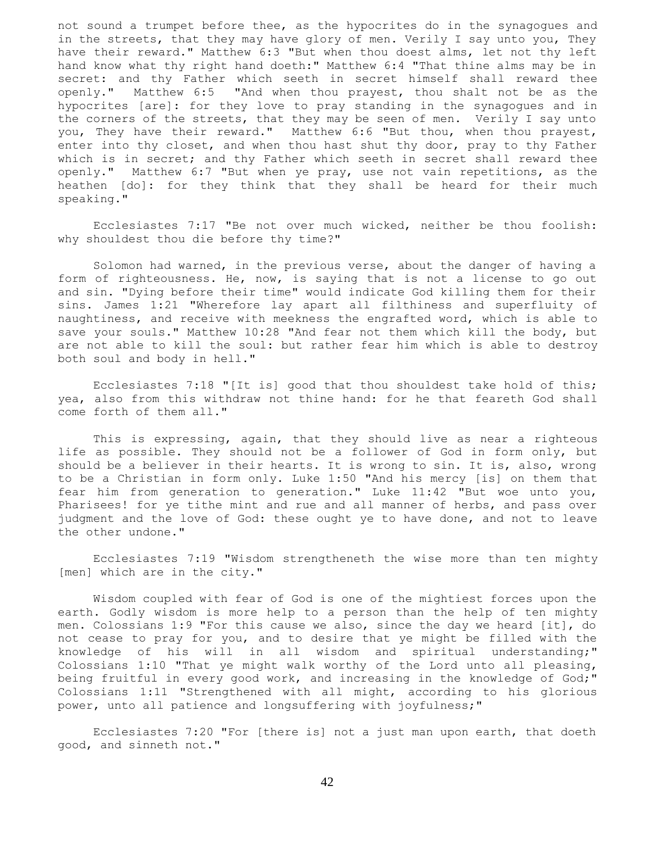not sound a trumpet before thee, as the hypocrites do in the synagogues and in the streets, that they may have glory of men. Verily I say unto you, They have their reward." Matthew 6:3 "But when thou doest alms, let not thy left hand know what thy right hand doeth:" Matthew 6:4 "That thine alms may be in secret: and thy Father which seeth in secret himself shall reward thee openly." Matthew 6:5 "And when thou prayest, thou shalt not be as the hypocrites [are]: for they love to pray standing in the synagogues and in the corners of the streets, that they may be seen of men. Verily I say unto you, They have their reward." Matthew 6:6 "But thou, when thou prayest, enter into thy closet, and when thou hast shut thy door, pray to thy Father which is in secret; and thy Father which seeth in secret shall reward thee openly." Matthew 6:7 "But when ye pray, use not vain repetitions, as the heathen [do]: for they think that they shall be heard for their much speaking."

 Ecclesiastes 7:17 "Be not over much wicked, neither be thou foolish: why shouldest thou die before thy time?"

 Solomon had warned, in the previous verse, about the danger of having a form of righteousness. He, now, is saying that is not a license to go out and sin. "Dying before their time" would indicate God killing them for their sins. James 1:21 "Wherefore lay apart all filthiness and superfluity of naughtiness, and receive with meekness the engrafted word, which is able to save your souls." Matthew 10:28 "And fear not them which kill the body, but are not able to kill the soul: but rather fear him which is able to destroy both soul and body in hell."

 Ecclesiastes 7:18 "[It is] good that thou shouldest take hold of this; yea, also from this withdraw not thine hand: for he that feareth God shall come forth of them all."

 This is expressing, again, that they should live as near a righteous life as possible. They should not be a follower of God in form only, but should be a believer in their hearts. It is wrong to sin. It is, also, wrong to be a Christian in form only. Luke 1:50 "And his mercy [is] on them that fear him from generation to generation." Luke 11:42 "But woe unto you, Pharisees! for ye tithe mint and rue and all manner of herbs, and pass over judgment and the love of God: these ought ye to have done, and not to leave the other undone."

 Ecclesiastes 7:19 "Wisdom strengtheneth the wise more than ten mighty [men] which are in the city."

 Wisdom coupled with fear of God is one of the mightiest forces upon the earth. Godly wisdom is more help to a person than the help of ten mighty men. Colossians 1:9 "For this cause we also, since the day we heard [it], do not cease to pray for you, and to desire that ye might be filled with the knowledge of his will in all wisdom and spiritual understanding;" Colossians 1:10 "That ye might walk worthy of the Lord unto all pleasing, being fruitful in every good work, and increasing in the knowledge of God;" Colossians 1:11 "Strengthened with all might, according to his glorious power, unto all patience and longsuffering with joyfulness;"

 Ecclesiastes 7:20 "For [there is] not a just man upon earth, that doeth good, and sinneth not."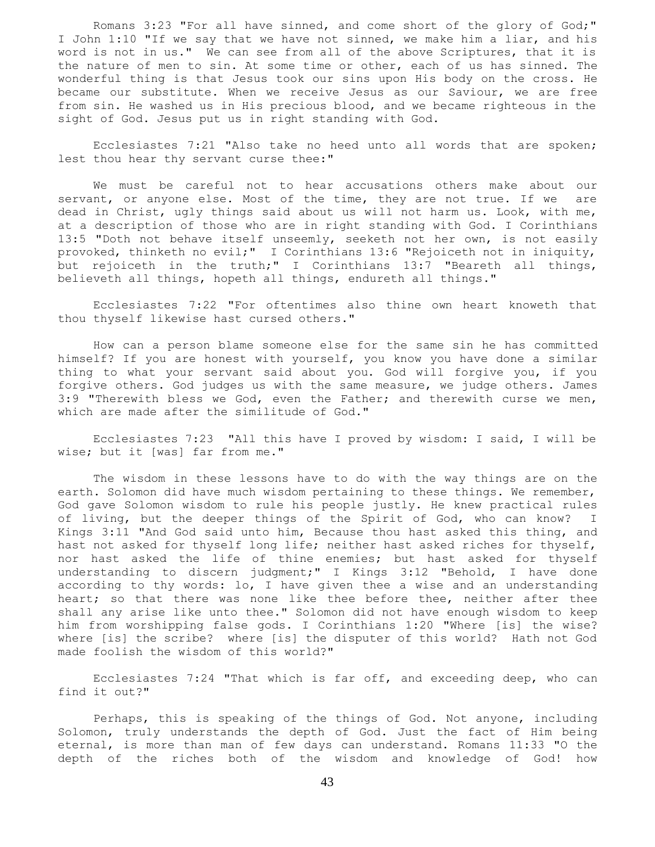Romans 3:23 "For all have sinned, and come short of the glory of God;" I John 1:10 "If we say that we have not sinned, we make him a liar, and his word is not in us." We can see from all of the above Scriptures, that it is the nature of men to sin. At some time or other, each of us has sinned. The wonderful thing is that Jesus took our sins upon His body on the cross. He became our substitute. When we receive Jesus as our Saviour, we are free from sin. He washed us in His precious blood, and we became righteous in the sight of God. Jesus put us in right standing with God.

 Ecclesiastes 7:21 "Also take no heed unto all words that are spoken; lest thou hear thy servant curse thee:"

 We must be careful not to hear accusations others make about our servant, or anyone else. Most of the time, they are not true. If we are dead in Christ, ugly things said about us will not harm us. Look, with me, at a description of those who are in right standing with God. I Corinthians 13:5 "Doth not behave itself unseemly, seeketh not her own, is not easily provoked, thinketh no evil;" I Corinthians 13:6 "Rejoiceth not in iniquity, but rejoiceth in the truth;" I Corinthians 13:7 "Beareth all things, believeth all things, hopeth all things, endureth all things."

 Ecclesiastes 7:22 "For oftentimes also thine own heart knoweth that thou thyself likewise hast cursed others."

 How can a person blame someone else for the same sin he has committed himself? If you are honest with yourself, you know you have done a similar thing to what your servant said about you. God will forgive you, if you forgive others. God judges us with the same measure, we judge others. James 3:9 "Therewith bless we God, even the Father; and therewith curse we men, which are made after the similitude of God."

 Ecclesiastes 7:23 "All this have I proved by wisdom: I said, I will be wise; but it [was] far from me."

 The wisdom in these lessons have to do with the way things are on the earth. Solomon did have much wisdom pertaining to these things. We remember, God gave Solomon wisdom to rule his people justly. He knew practical rules of living, but the deeper things of the Spirit of God, who can know? I Kings 3:11 "And God said unto him, Because thou hast asked this thing, and hast not asked for thyself long life; neither hast asked riches for thyself, nor hast asked the life of thine enemies; but hast asked for thyself understanding to discern judgment;" I Kings 3:12 "Behold, I have done according to thy words: lo, I have given thee a wise and an understanding heart; so that there was none like thee before thee, neither after thee shall any arise like unto thee." Solomon did not have enough wisdom to keep him from worshipping false gods. I Corinthians 1:20 "Where [is] the wise? where [is] the scribe? where [is] the disputer of this world? Hath not God made foolish the wisdom of this world?"

 Ecclesiastes 7:24 "That which is far off, and exceeding deep, who can find it out?"

 Perhaps, this is speaking of the things of God. Not anyone, including Solomon, truly understands the depth of God. Just the fact of Him being eternal, is more than man of few days can understand. Romans 11:33 "O the depth of the riches both of the wisdom and knowledge of God! how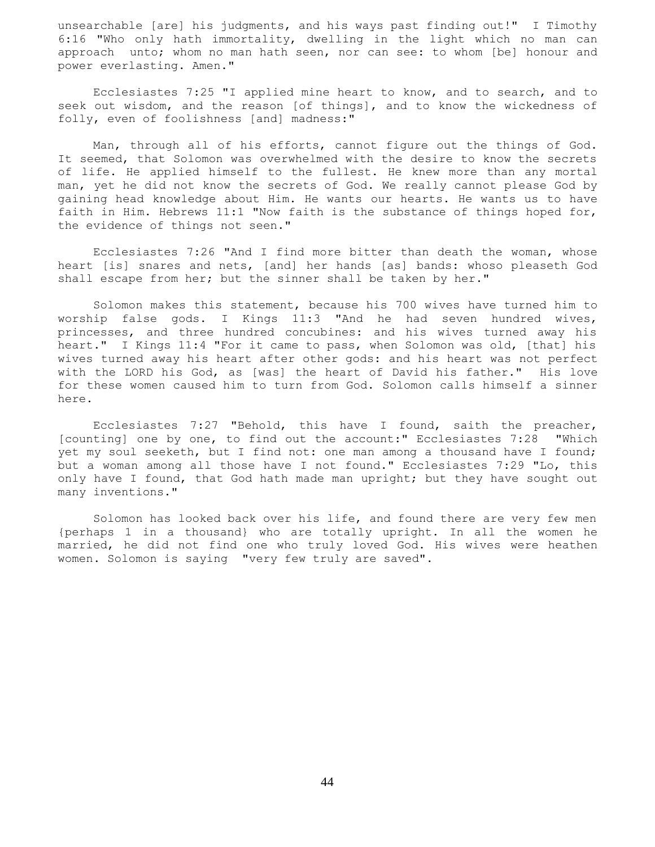unsearchable [are] his judgments, and his ways past finding out!" I Timothy 6:16 "Who only hath immortality, dwelling in the light which no man can approach unto; whom no man hath seen, nor can see: to whom [be] honour and power everlasting. Amen."

 Ecclesiastes 7:25 "I applied mine heart to know, and to search, and to seek out wisdom, and the reason [of things], and to know the wickedness of folly, even of foolishness [and] madness:"

 Man, through all of his efforts, cannot figure out the things of God. It seemed, that Solomon was overwhelmed with the desire to know the secrets of life. He applied himself to the fullest. He knew more than any mortal man, yet he did not know the secrets of God. We really cannot please God by gaining head knowledge about Him. He wants our hearts. He wants us to have faith in Him. Hebrews 11:1 "Now faith is the substance of things hoped for, the evidence of things not seen."

 Ecclesiastes 7:26 "And I find more bitter than death the woman, whose heart [is] snares and nets, [and] her hands [as] bands: whoso pleaseth God shall escape from her; but the sinner shall be taken by her."

 Solomon makes this statement, because his 700 wives have turned him to worship false gods. I Kings 11:3 "And he had seven hundred wives, princesses, and three hundred concubines: and his wives turned away his heart." I Kings 11:4 "For it came to pass, when Solomon was old, [that] his wives turned away his heart after other gods: and his heart was not perfect with the LORD his God, as [was] the heart of David his father." His love for these women caused him to turn from God. Solomon calls himself a sinner here.

 Ecclesiastes 7:27 "Behold, this have I found, saith the preacher, [counting] one by one, to find out the account:" Ecclesiastes 7:28 "Which yet my soul seeketh, but I find not: one man among a thousand have I found; but a woman among all those have I not found." Ecclesiastes 7:29 "Lo, this only have I found, that God hath made man upright; but they have sought out many inventions."

 Solomon has looked back over his life, and found there are very few men {perhaps 1 in a thousand} who are totally upright. In all the women he married, he did not find one who truly loved God. His wives were heathen women. Solomon is saying "very few truly are saved".

44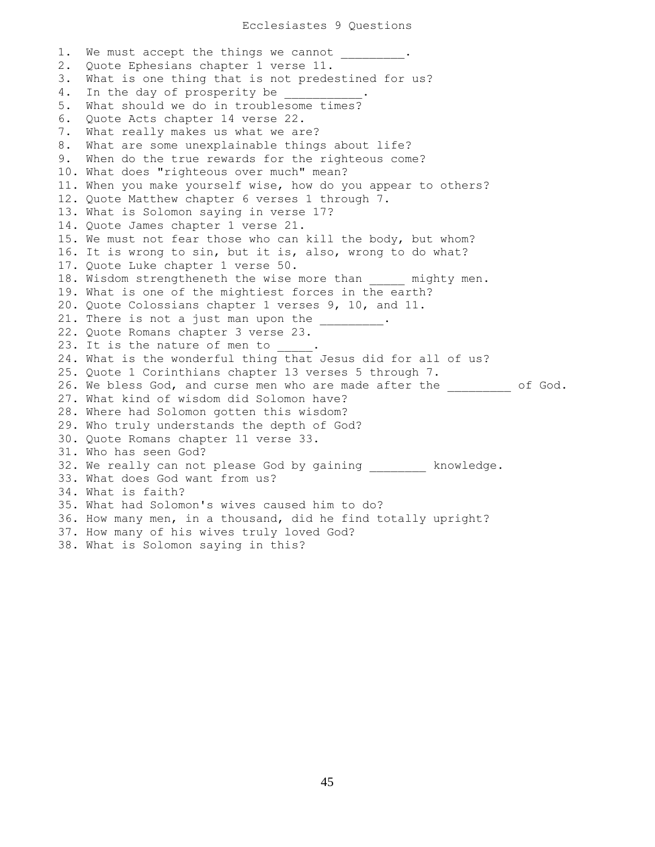1. We must accept the things we cannot . 2. Quote Ephesians chapter 1 verse 11. 3. What is one thing that is not predestined for us? 4. In the day of prosperity be 5. What should we do in troublesome times? 6. Quote Acts chapter 14 verse 22. 7. What really makes us what we are? 8. What are some unexplainable things about life? 9. When do the true rewards for the righteous come? 10. What does "righteous over much" mean? 11. When you make yourself wise, how do you appear to others? 12. Quote Matthew chapter 6 verses 1 through 7. 13. What is Solomon saying in verse 17? 14. Quote James chapter 1 verse 21. 15. We must not fear those who can kill the body, but whom? 16. It is wrong to sin, but it is, also, wrong to do what? 17. Quote Luke chapter 1 verse 50. 18. Wisdom strengtheneth the wise more than \_\_\_\_ mighty men. 19. What is one of the mightiest forces in the earth? 20. Quote Colossians chapter 1 verses 9, 10, and 11. 21. There is not a just man upon the \_\_\_\_\_\_\_\_. 22. Quote Romans chapter 3 verse 23. 23. It is the nature of men to 24. What is the wonderful thing that Jesus did for all of us? 25. Quote 1 Corinthians chapter 13 verses 5 through 7. 26. We bless God, and curse men who are made after the  $\qquad \qquad$  of God. 27. What kind of wisdom did Solomon have? 28. Where had Solomon gotten this wisdom? 29. Who truly understands the depth of God? 30. Quote Romans chapter 11 verse 33. 31. Who has seen God? 32. We really can not please God by gaining and knowledge. 33. What does God want from us? 34. What is faith? 35. What had Solomon's wives caused him to do? 36. How many men, in a thousand, did he find totally upright? 37. How many of his wives truly loved God? 38. What is Solomon saying in this?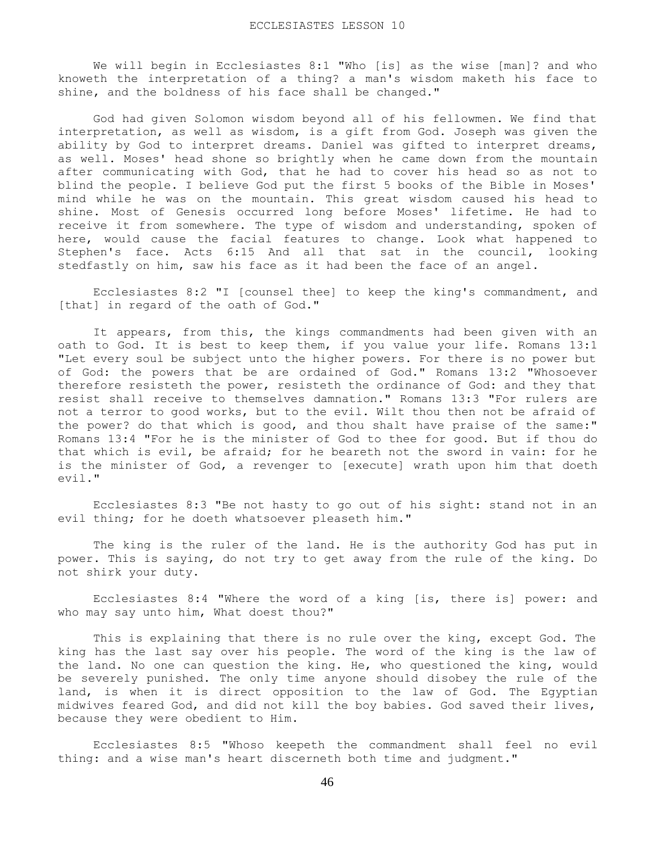We will begin in Ecclesiastes 8:1 "Who [is] as the wise [man]? and who knoweth the interpretation of a thing? a man's wisdom maketh his face to shine, and the boldness of his face shall be changed."

 God had given Solomon wisdom beyond all of his fellowmen. We find that interpretation, as well as wisdom, is a gift from God. Joseph was given the ability by God to interpret dreams. Daniel was gifted to interpret dreams, as well. Moses' head shone so brightly when he came down from the mountain after communicating with God, that he had to cover his head so as not to blind the people. I believe God put the first 5 books of the Bible in Moses' mind while he was on the mountain. This great wisdom caused his head to shine. Most of Genesis occurred long before Moses' lifetime. He had to receive it from somewhere. The type of wisdom and understanding, spoken of here, would cause the facial features to change. Look what happened to Stephen's face. Acts 6:15 And all that sat in the council, looking stedfastly on him, saw his face as it had been the face of an angel.

 Ecclesiastes 8:2 "I [counsel thee] to keep the king's commandment, and [that] in regard of the oath of God."

 It appears, from this, the kings commandments had been given with an oath to God. It is best to keep them, if you value your life. Romans 13:1 "Let every soul be subject unto the higher powers. For there is no power but of God: the powers that be are ordained of God." Romans 13:2 "Whosoever therefore resisteth the power, resisteth the ordinance of God: and they that resist shall receive to themselves damnation." Romans 13:3 "For rulers are not a terror to good works, but to the evil. Wilt thou then not be afraid of the power? do that which is good, and thou shalt have praise of the same:" Romans 13:4 "For he is the minister of God to thee for good. But if thou do that which is evil, be afraid; for he beareth not the sword in vain: for he is the minister of God, a revenger to [execute] wrath upon him that doeth evil."

 Ecclesiastes 8:3 "Be not hasty to go out of his sight: stand not in an evil thing; for he doeth whatsoever pleaseth him."

 The king is the ruler of the land. He is the authority God has put in power. This is saying, do not try to get away from the rule of the king. Do not shirk your duty.

 Ecclesiastes 8:4 "Where the word of a king [is, there is] power: and who may say unto him, What doest thou?"

 This is explaining that there is no rule over the king, except God. The king has the last say over his people. The word of the king is the law of the land. No one can question the king. He, who questioned the king, would be severely punished. The only time anyone should disobey the rule of the land, is when it is direct opposition to the law of God. The Egyptian midwives feared God, and did not kill the boy babies. God saved their lives, because they were obedient to Him.

 Ecclesiastes 8:5 "Whoso keepeth the commandment shall feel no evil thing: and a wise man's heart discerneth both time and judgment."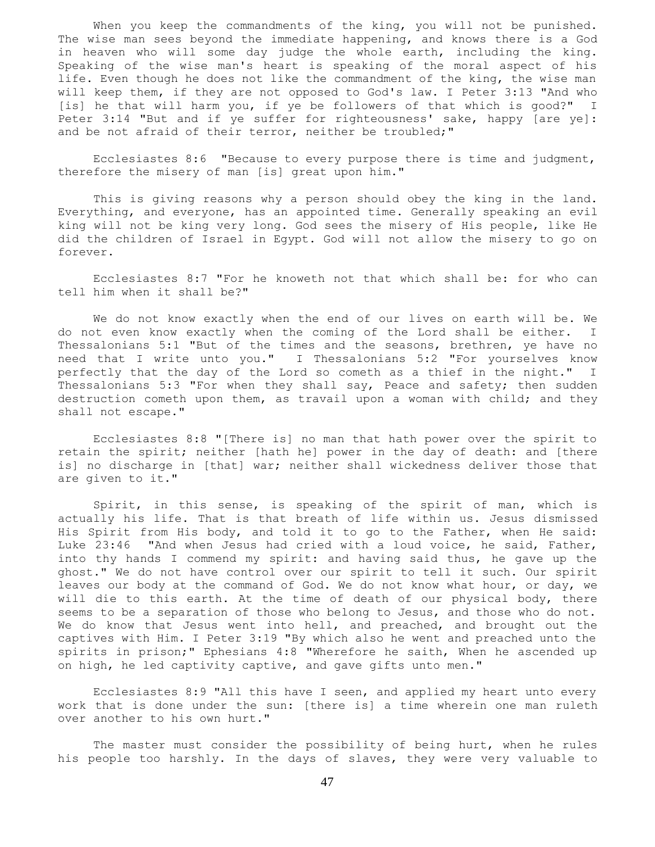When you keep the commandments of the king, you will not be punished. The wise man sees beyond the immediate happening, and knows there is a God in heaven who will some day judge the whole earth, including the king. Speaking of the wise man's heart is speaking of the moral aspect of his life. Even though he does not like the commandment of the king, the wise man will keep them, if they are not opposed to God's law. I Peter 3:13 "And who [is] he that will harm you, if ye be followers of that which is good?" I Peter 3:14 "But and if ye suffer for righteousness' sake, happy [are ye]: and be not afraid of their terror, neither be troubled;"

 Ecclesiastes 8:6 "Because to every purpose there is time and judgment, therefore the misery of man [is] great upon him."

 This is giving reasons why a person should obey the king in the land. Everything, and everyone, has an appointed time. Generally speaking an evil king will not be king very long. God sees the misery of His people, like He did the children of Israel in Egypt. God will not allow the misery to go on forever.

 Ecclesiastes 8:7 "For he knoweth not that which shall be: for who can tell him when it shall be?"

 We do not know exactly when the end of our lives on earth will be. We do not even know exactly when the coming of the Lord shall be either. I Thessalonians 5:1 "But of the times and the seasons, brethren, ye have no need that I write unto you." I Thessalonians 5:2 "For yourselves know perfectly that the day of the Lord so cometh as a thief in the night." I Thessalonians 5:3 "For when they shall say, Peace and safety; then sudden destruction cometh upon them, as travail upon a woman with child; and they shall not escape."

 Ecclesiastes 8:8 "[There is] no man that hath power over the spirit to retain the spirit; neither [hath he] power in the day of death: and [there is] no discharge in [that] war; neither shall wickedness deliver those that are given to it."

 Spirit, in this sense, is speaking of the spirit of man, which is actually his life. That is that breath of life within us. Jesus dismissed His Spirit from His body, and told it to go to the Father, when He said: Luke 23:46 "And when Jesus had cried with a loud voice, he said, Father, into thy hands I commend my spirit: and having said thus, he gave up the ghost." We do not have control over our spirit to tell it such. Our spirit leaves our body at the command of God. We do not know what hour, or day, we will die to this earth. At the time of death of our physical body, there seems to be a separation of those who belong to Jesus, and those who do not. We do know that Jesus went into hell, and preached, and brought out the captives with Him. I Peter 3:19 "By which also he went and preached unto the spirits in prison;" Ephesians 4:8 "Wherefore he saith, When he ascended up on high, he led captivity captive, and gave gifts unto men."

 Ecclesiastes 8:9 "All this have I seen, and applied my heart unto every work that is done under the sun: [there is] a time wherein one man ruleth over another to his own hurt."

 The master must consider the possibility of being hurt, when he rules his people too harshly. In the days of slaves, they were very valuable to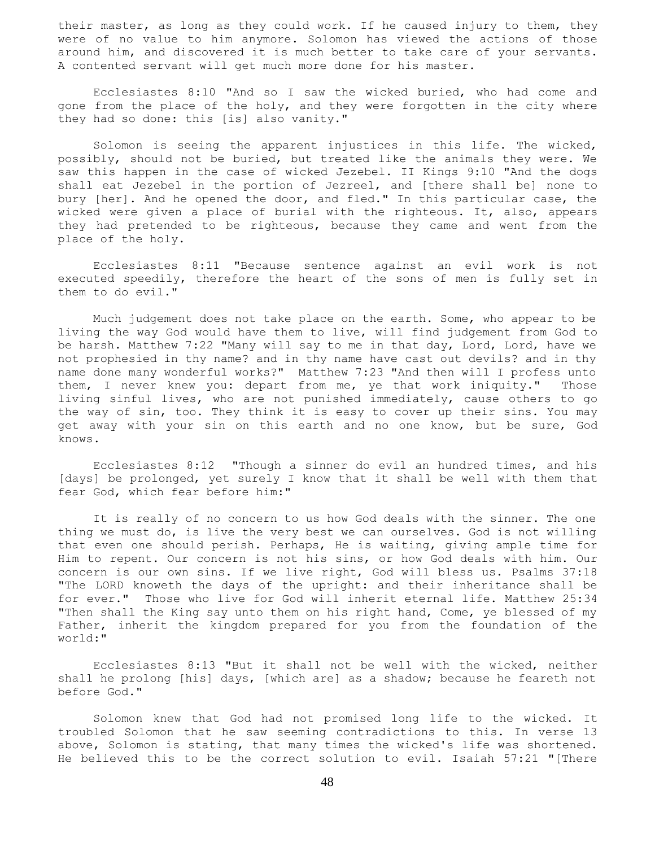their master, as long as they could work. If he caused injury to them, they were of no value to him anymore. Solomon has viewed the actions of those around him, and discovered it is much better to take care of your servants. A contented servant will get much more done for his master.

 Ecclesiastes 8:10 "And so I saw the wicked buried, who had come and gone from the place of the holy, and they were forgotten in the city where they had so done: this [is] also vanity."

 Solomon is seeing the apparent injustices in this life. The wicked, possibly, should not be buried, but treated like the animals they were. We saw this happen in the case of wicked Jezebel. II Kings 9:10 "And the dogs shall eat Jezebel in the portion of Jezreel, and [there shall be] none to bury [her]. And he opened the door, and fled." In this particular case, the wicked were given a place of burial with the righteous. It, also, appears they had pretended to be righteous, because they came and went from the place of the holy.

 Ecclesiastes 8:11 "Because sentence against an evil work is not executed speedily, therefore the heart of the sons of men is fully set in them to do evil."

 Much judgement does not take place on the earth. Some, who appear to be living the way God would have them to live, will find judgement from God to be harsh. Matthew 7:22 "Many will say to me in that day, Lord, Lord, have we not prophesied in thy name? and in thy name have cast out devils? and in thy name done many wonderful works?" Matthew 7:23 "And then will I profess unto them, I never knew you: depart from me, ye that work iniquity." Those living sinful lives, who are not punished immediately, cause others to go the way of sin, too. They think it is easy to cover up their sins. You may get away with your sin on this earth and no one know, but be sure, God knows.

 Ecclesiastes 8:12 "Though a sinner do evil an hundred times, and his [days] be prolonged, yet surely I know that it shall be well with them that fear God, which fear before him:"

 It is really of no concern to us how God deals with the sinner. The one thing we must do, is live the very best we can ourselves. God is not willing that even one should perish. Perhaps, He is waiting, giving ample time for Him to repent. Our concern is not his sins, or how God deals with him. Our concern is our own sins. If we live right, God will bless us. Psalms 37:18 "The LORD knoweth the days of the upright: and their inheritance shall be for ever." Those who live for God will inherit eternal life. Matthew 25:34 "Then shall the King say unto them on his right hand, Come, ye blessed of my Father, inherit the kingdom prepared for you from the foundation of the world:"

 Ecclesiastes 8:13 "But it shall not be well with the wicked, neither shall he prolong [his] days, [which are] as a shadow; because he feareth not before God."

 Solomon knew that God had not promised long life to the wicked. It troubled Solomon that he saw seeming contradictions to this. In verse 13 above, Solomon is stating, that many times the wicked's life was shortened. He believed this to be the correct solution to evil. Isaiah 57:21 "[There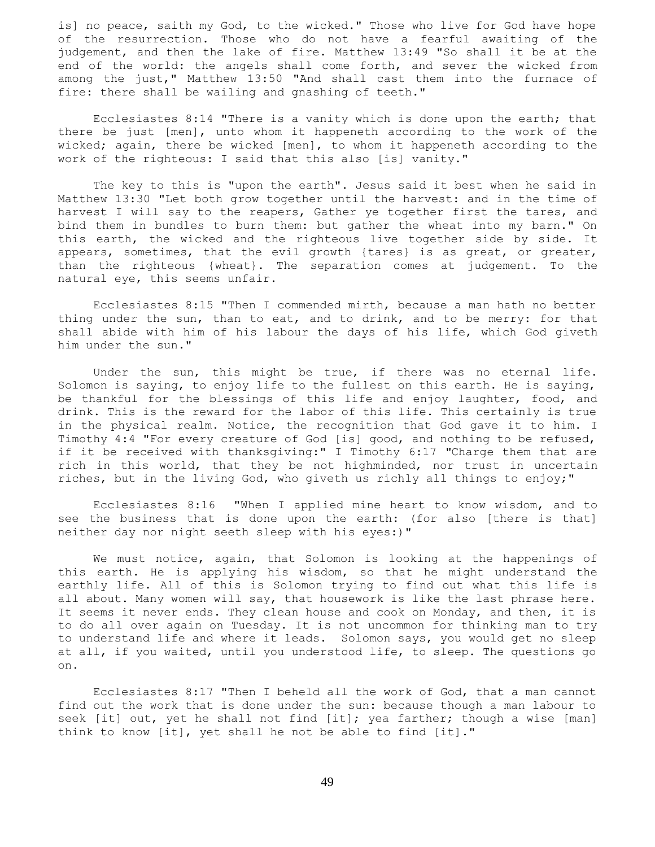is] no peace, saith my God, to the wicked." Those who live for God have hope of the resurrection. Those who do not have a fearful awaiting of the judgement, and then the lake of fire. Matthew 13:49 "So shall it be at the end of the world: the angels shall come forth, and sever the wicked from among the just," Matthew 13:50 "And shall cast them into the furnace of fire: there shall be wailing and gnashing of teeth."

 Ecclesiastes 8:14 "There is a vanity which is done upon the earth; that there be just [men], unto whom it happeneth according to the work of the wicked; again, there be wicked [men], to whom it happeneth according to the work of the righteous: I said that this also [is] vanity."

 The key to this is "upon the earth". Jesus said it best when he said in Matthew 13:30 "Let both grow together until the harvest: and in the time of harvest I will say to the reapers, Gather ye together first the tares, and bind them in bundles to burn them: but gather the wheat into my barn." On this earth, the wicked and the righteous live together side by side. It appears, sometimes, that the evil growth {tares} is as great, or greater, than the righteous {wheat}. The separation comes at judgement. To the natural eye, this seems unfair.

 Ecclesiastes 8:15 "Then I commended mirth, because a man hath no better thing under the sun, than to eat, and to drink, and to be merry: for that shall abide with him of his labour the days of his life, which God giveth him under the sun."

 Under the sun, this might be true, if there was no eternal life. Solomon is saying, to enjoy life to the fullest on this earth. He is saying, be thankful for the blessings of this life and enjoy laughter, food, and drink. This is the reward for the labor of this life. This certainly is true in the physical realm. Notice, the recognition that God gave it to him. I Timothy 4:4 "For every creature of God [is] good, and nothing to be refused, if it be received with thanksgiving:" I Timothy 6:17 "Charge them that are rich in this world, that they be not highminded, nor trust in uncertain riches, but in the living God, who giveth us richly all things to enjoy;"

 Ecclesiastes 8:16 "When I applied mine heart to know wisdom, and to see the business that is done upon the earth: (for also [there is that] neither day nor night seeth sleep with his eyes:)"

 We must notice, again, that Solomon is looking at the happenings of this earth. He is applying his wisdom, so that he might understand the earthly life. All of this is Solomon trying to find out what this life is all about. Many women will say, that housework is like the last phrase here. It seems it never ends. They clean house and cook on Monday, and then, it is to do all over again on Tuesday. It is not uncommon for thinking man to try to understand life and where it leads. Solomon says, you would get no sleep at all, if you waited, until you understood life, to sleep. The questions go on.

 Ecclesiastes 8:17 "Then I beheld all the work of God, that a man cannot find out the work that is done under the sun: because though a man labour to seek [it] out, yet he shall not find [it]; yea farther; though a wise [man] think to know [it], yet shall he not be able to find [it]."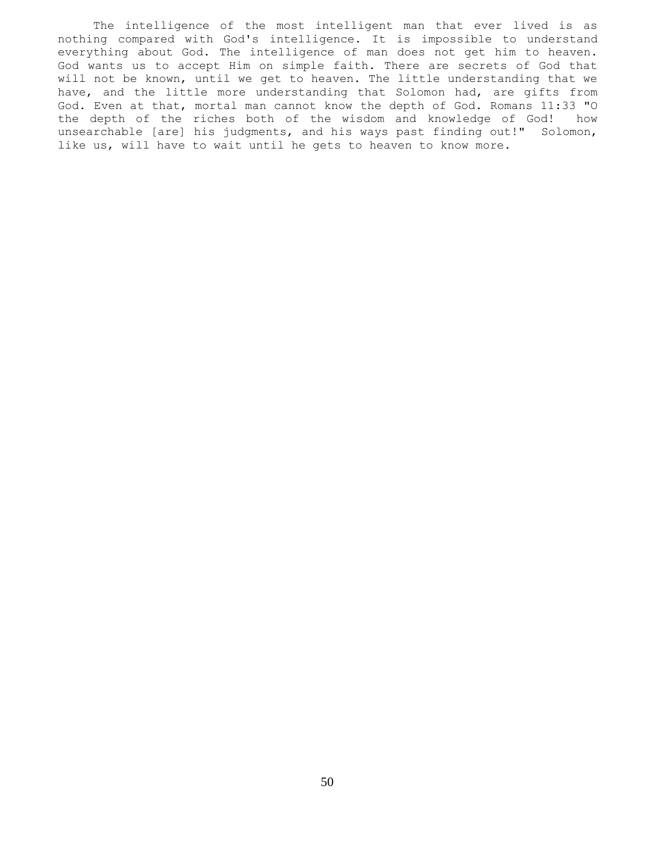The intelligence of the most intelligent man that ever lived is as nothing compared with God's intelligence. It is impossible to understand everything about God. The intelligence of man does not get him to heaven. God wants us to accept Him on simple faith. There are secrets of God that will not be known, until we get to heaven. The little understanding that we have, and the little more understanding that Solomon had, are gifts from God. Even at that, mortal man cannot know the depth of God. Romans 11:33 "O the depth of the riches both of the wisdom and knowledge of God! how unsearchable [are] his judgments, and his ways past finding out!" Solomon, like us, will have to wait until he gets to heaven to know more.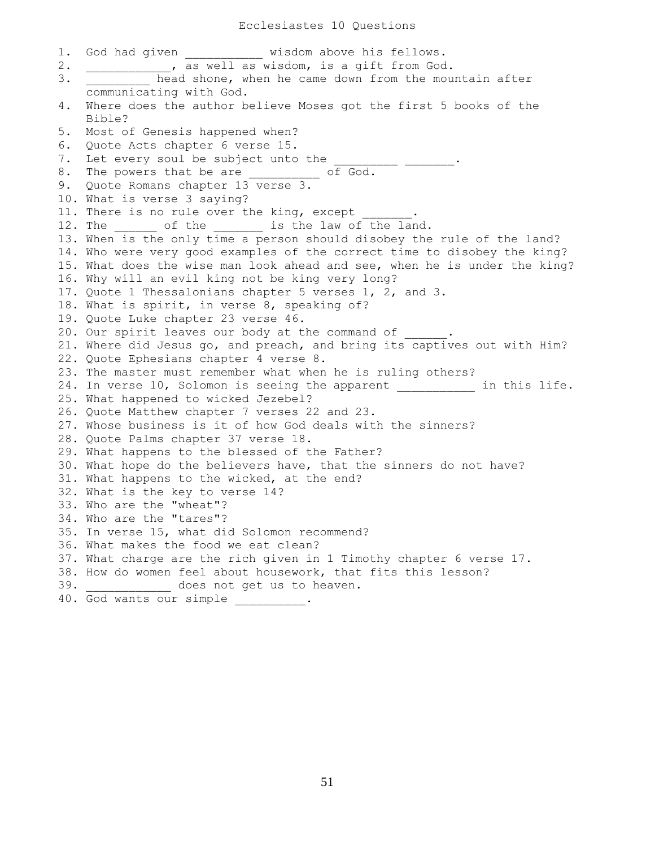Ecclesiastes 10 Questions

1. God had given wisdom above his fellows. 2. \_\_\_\_\_\_\_\_\_\_\_\_, as well as wisdom, is a gift from God. 3. **Example 2** head shone, when he came down from the mountain after communicating with God. 4. Where does the author believe Moses got the first 5 books of the Bible? 5. Most of Genesis happened when? 6. Quote Acts chapter 6 verse 15. 7. Let every soul be subject unto the 8. The powers that be are \_\_\_\_\_\_\_\_\_ of God. 9. Quote Romans chapter 13 verse 3. 10. What is verse 3 saying? 11. There is no rule over the king, except 12. The \_\_\_\_\_\_ of the \_\_\_\_\_\_ is the law of the land. 13. When is the only time a person should disobey the rule of the land? 14. Who were very good examples of the correct time to disobey the king? 15. What does the wise man look ahead and see, when he is under the king? 16. Why will an evil king not be king very long? 17. Quote 1 Thessalonians chapter 5 verses 1, 2, and 3. 18. What is spirit, in verse 8, speaking of? 19. Quote Luke chapter 23 verse 46. 20. Our spirit leaves our body at the command of \_\_\_\_ 21. Where did Jesus go, and preach, and bring its captives out with Him? 22. Quote Ephesians chapter 4 verse 8. 23. The master must remember what when he is ruling others? 24. In verse 10, Solomon is seeing the apparent \_\_\_\_\_\_\_\_\_\_ in this life. 25. What happened to wicked Jezebel? 26. Quote Matthew chapter 7 verses 22 and 23. 27. Whose business is it of how God deals with the sinners? 28. Quote Palms chapter 37 verse 18. 29. What happens to the blessed of the Father? 30. What hope do the believers have, that the sinners do not have? 31. What happens to the wicked, at the end? 32. What is the key to verse 14? 33. Who are the "wheat"? 34. Who are the "tares"? 35. In verse 15, what did Solomon recommend? 36. What makes the food we eat clean? 37. What charge are the rich given in 1 Timothy chapter 6 verse 17. 38. How do women feel about housework, that fits this lesson? 39.  $does not get us to hearen.$ 40. God wants our simple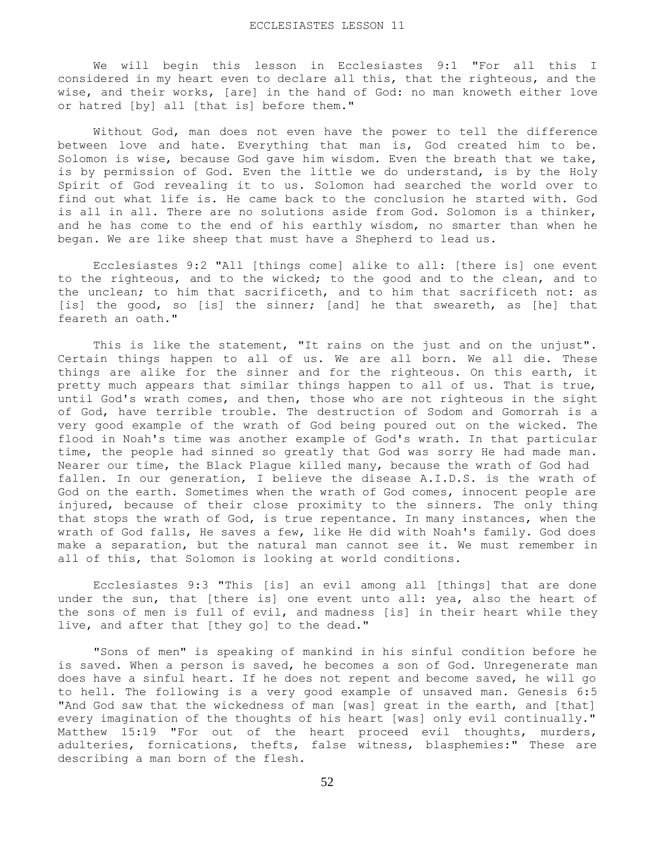We will begin this lesson in Ecclesiastes 9:1 "For all this I considered in my heart even to declare all this, that the righteous, and the wise, and their works, [are] in the hand of God: no man knoweth either love or hatred [by] all [that is] before them."

 Without God, man does not even have the power to tell the difference between love and hate. Everything that man is, God created him to be. Solomon is wise, because God gave him wisdom. Even the breath that we take, is by permission of God. Even the little we do understand, is by the Holy Spirit of God revealing it to us. Solomon had searched the world over to find out what life is. He came back to the conclusion he started with. God is all in all. There are no solutions aside from God. Solomon is a thinker, and he has come to the end of his earthly wisdom, no smarter than when he began. We are like sheep that must have a Shepherd to lead us.

 Ecclesiastes 9:2 "All [things come] alike to all: [there is] one event to the righteous, and to the wicked; to the good and to the clean, and to the unclean; to him that sacrificeth, and to him that sacrificeth not: as [is] the good, so [is] the sinner; [and] he that sweareth, as [he] that feareth an oath."

This is like the statement, "It rains on the just and on the unjust". Certain things happen to all of us. We are all born. We all die. These things are alike for the sinner and for the righteous. On this earth, it pretty much appears that similar things happen to all of us. That is true, until God's wrath comes, and then, those who are not righteous in the sight of God, have terrible trouble. The destruction of Sodom and Gomorrah is a very good example of the wrath of God being poured out on the wicked. The flood in Noah's time was another example of God's wrath. In that particular time, the people had sinned so greatly that God was sorry He had made man. Nearer our time, the Black Plague killed many, because the wrath of God had fallen. In our generation, I believe the disease A.I.D.S. is the wrath of God on the earth. Sometimes when the wrath of God comes, innocent people are injured, because of their close proximity to the sinners. The only thing that stops the wrath of God, is true repentance. In many instances, when the wrath of God falls, He saves a few, like He did with Noah's family. God does make a separation, but the natural man cannot see it. We must remember in all of this, that Solomon is looking at world conditions.

 Ecclesiastes 9:3 "This [is] an evil among all [things] that are done under the sun, that [there is] one event unto all: yea, also the heart of the sons of men is full of evil, and madness [is] in their heart while they live, and after that [they go] to the dead."

 "Sons of men" is speaking of mankind in his sinful condition before he is saved. When a person is saved, he becomes a son of God. Unregenerate man does have a sinful heart. If he does not repent and become saved, he will go to hell. The following is a very good example of unsaved man. Genesis 6:5 "And God saw that the wickedness of man [was] great in the earth, and [that] every imagination of the thoughts of his heart [was] only evil continually." Matthew 15:19 "For out of the heart proceed evil thoughts, murders, adulteries, fornications, thefts, false witness, blasphemies:" These are describing a man born of the flesh.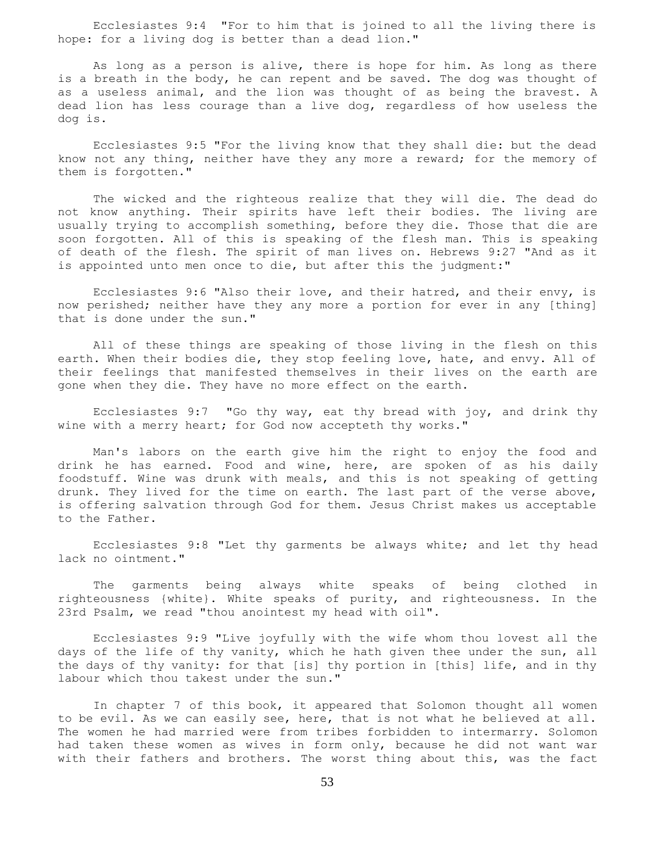Ecclesiastes 9:4 "For to him that is joined to all the living there is hope: for a living dog is better than a dead lion."

 As long as a person is alive, there is hope for him. As long as there is a breath in the body, he can repent and be saved. The dog was thought of as a useless animal, and the lion was thought of as being the bravest. A dead lion has less courage than a live dog, regardless of how useless the dog is.

 Ecclesiastes 9:5 "For the living know that they shall die: but the dead know not any thing, neither have they any more a reward; for the memory of them is forgotten."

 The wicked and the righteous realize that they will die. The dead do not know anything. Their spirits have left their bodies. The living are usually trying to accomplish something, before they die. Those that die are soon forgotten. All of this is speaking of the flesh man. This is speaking of death of the flesh. The spirit of man lives on. Hebrews 9:27 "And as it is appointed unto men once to die, but after this the judgment:"

 Ecclesiastes 9:6 "Also their love, and their hatred, and their envy, is now perished; neither have they any more a portion for ever in any [thing] that is done under the sun."

 All of these things are speaking of those living in the flesh on this earth. When their bodies die, they stop feeling love, hate, and envy. All of their feelings that manifested themselves in their lives on the earth are gone when they die. They have no more effect on the earth.

 Ecclesiastes 9:7 "Go thy way, eat thy bread with joy, and drink thy wine with a merry heart; for God now accepteth thy works."

 Man's labors on the earth give him the right to enjoy the food and drink he has earned. Food and wine, here, are spoken of as his daily foodstuff. Wine was drunk with meals, and this is not speaking of getting drunk. They lived for the time on earth. The last part of the verse above, is offering salvation through God for them. Jesus Christ makes us acceptable to the Father.

 Ecclesiastes 9:8 "Let thy garments be always white; and let thy head lack no ointment."

 The garments being always white speaks of being clothed in righteousness {white}. White speaks of purity, and righteousness. In the 23rd Psalm, we read "thou anointest my head with oil".

 Ecclesiastes 9:9 "Live joyfully with the wife whom thou lovest all the days of the life of thy vanity, which he hath given thee under the sun, all the days of thy vanity: for that [is] thy portion in [this] life, and in thy labour which thou takest under the sun."

 In chapter 7 of this book, it appeared that Solomon thought all women to be evil. As we can easily see, here, that is not what he believed at all. The women he had married were from tribes forbidden to intermarry. Solomon had taken these women as wives in form only, because he did not want war with their fathers and brothers. The worst thing about this, was the fact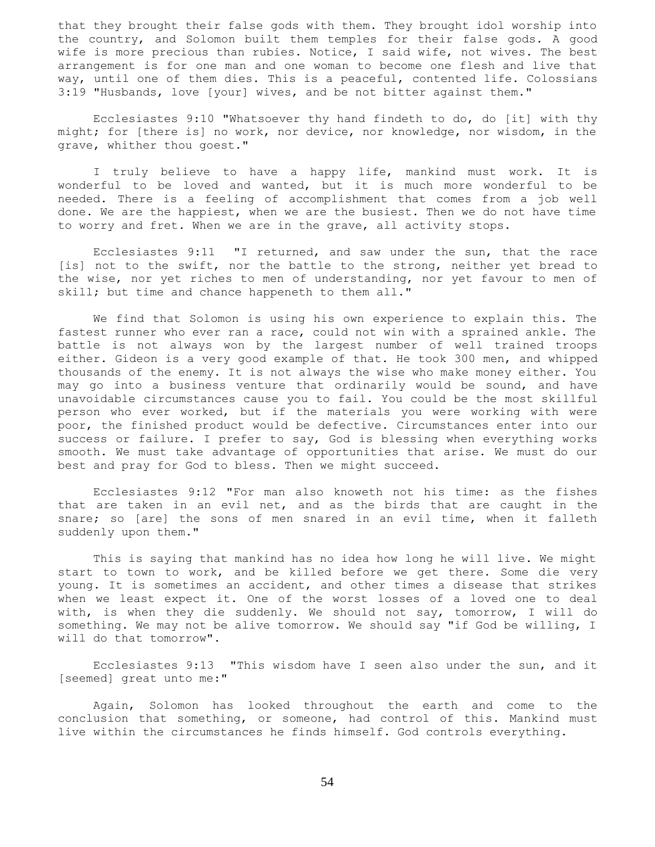that they brought their false gods with them. They brought idol worship into the country, and Solomon built them temples for their false gods. A good wife is more precious than rubies. Notice, I said wife, not wives. The best arrangement is for one man and one woman to become one flesh and live that way, until one of them dies. This is a peaceful, contented life. Colossians 3:19 "Husbands, love [your] wives, and be not bitter against them."

 Ecclesiastes 9:10 "Whatsoever thy hand findeth to do, do [it] with thy might; for [there is] no work, nor device, nor knowledge, nor wisdom, in the grave, whither thou goest."

 I truly believe to have a happy life, mankind must work. It is wonderful to be loved and wanted, but it is much more wonderful to be needed. There is a feeling of accomplishment that comes from a job well done. We are the happiest, when we are the busiest. Then we do not have time to worry and fret. When we are in the grave, all activity stops.

 Ecclesiastes 9:11 "I returned, and saw under the sun, that the race [is] not to the swift, nor the battle to the strong, neither yet bread to the wise, nor yet riches to men of understanding, nor yet favour to men of skill; but time and chance happeneth to them all."

 We find that Solomon is using his own experience to explain this. The fastest runner who ever ran a race, could not win with a sprained ankle. The battle is not always won by the largest number of well trained troops either. Gideon is a very good example of that. He took 300 men, and whipped thousands of the enemy. It is not always the wise who make money either. You may go into a business venture that ordinarily would be sound, and have unavoidable circumstances cause you to fail. You could be the most skillful person who ever worked, but if the materials you were working with were poor, the finished product would be defective. Circumstances enter into our success or failure. I prefer to say, God is blessing when everything works smooth. We must take advantage of opportunities that arise. We must do our best and pray for God to bless. Then we might succeed.

 Ecclesiastes 9:12 "For man also knoweth not his time: as the fishes that are taken in an evil net, and as the birds that are caught in the snare; so [are] the sons of men snared in an evil time, when it falleth suddenly upon them."

 This is saying that mankind has no idea how long he will live. We might start to town to work, and be killed before we get there. Some die very young. It is sometimes an accident, and other times a disease that strikes when we least expect it. One of the worst losses of a loved one to deal with, is when they die suddenly. We should not say, tomorrow, I will do something. We may not be alive tomorrow. We should say "if God be willing, I will do that tomorrow".

 Ecclesiastes 9:13 "This wisdom have I seen also under the sun, and it [seemed] great unto me:"

 Again, Solomon has looked throughout the earth and come to the conclusion that something, or someone, had control of this. Mankind must live within the circumstances he finds himself. God controls everything.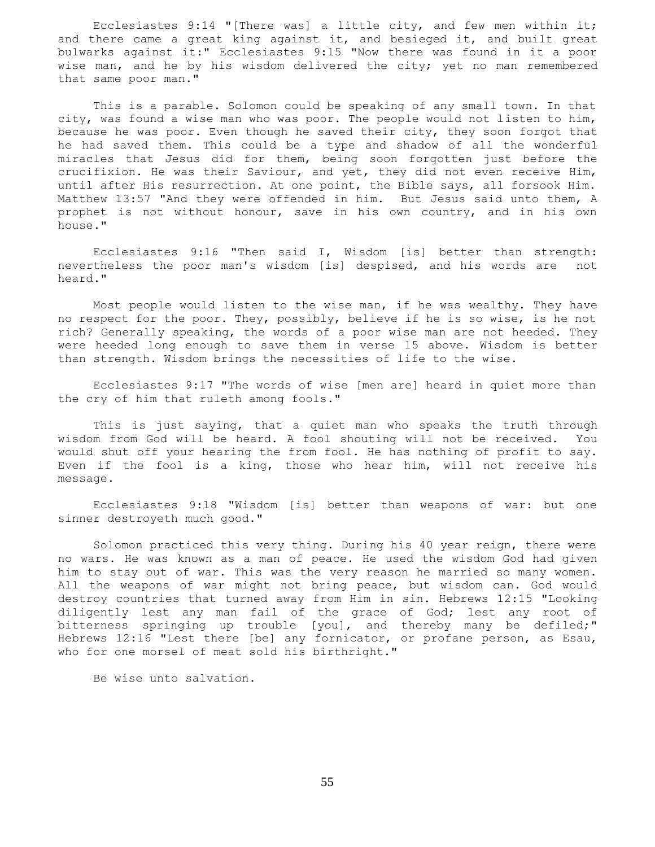Ecclesiastes 9:14 "[There was] a little city, and few men within it; and there came a great king against it, and besieged it, and built great bulwarks against it:" Ecclesiastes 9:15 "Now there was found in it a poor wise man, and he by his wisdom delivered the city; yet no man remembered that same poor man."

 This is a parable. Solomon could be speaking of any small town. In that city, was found a wise man who was poor. The people would not listen to him, because he was poor. Even though he saved their city, they soon forgot that he had saved them. This could be a type and shadow of all the wonderful miracles that Jesus did for them, being soon forgotten just before the crucifixion. He was their Saviour, and yet, they did not even receive Him, until after His resurrection. At one point, the Bible says, all forsook Him. Matthew 13:57 "And they were offended in him. But Jesus said unto them, A prophet is not without honour, save in his own country, and in his own house."

 Ecclesiastes 9:16 "Then said I, Wisdom [is] better than strength: nevertheless the poor man's wisdom [is] despised, and his words are not heard."

 Most people would listen to the wise man, if he was wealthy. They have no respect for the poor. They, possibly, believe if he is so wise, is he not rich? Generally speaking, the words of a poor wise man are not heeded. They were heeded long enough to save them in verse 15 above. Wisdom is better than strength. Wisdom brings the necessities of life to the wise.

 Ecclesiastes 9:17 "The words of wise [men are] heard in quiet more than the cry of him that ruleth among fools."

 This is just saying, that a quiet man who speaks the truth through wisdom from God will be heard. A fool shouting will not be received. You would shut off your hearing the from fool. He has nothing of profit to say. Even if the fool is a king, those who hear him, will not receive his message.

 Ecclesiastes 9:18 "Wisdom [is] better than weapons of war: but one sinner destroyeth much good."

 Solomon practiced this very thing. During his 40 year reign, there were no wars. He was known as a man of peace. He used the wisdom God had given him to stay out of war. This was the very reason he married so many women. All the weapons of war might not bring peace, but wisdom can. God would destroy countries that turned away from Him in sin. Hebrews 12:15 "Looking diligently lest any man fail of the grace of God; lest any root of bitterness springing up trouble [you], and thereby many be defiled;" Hebrews 12:16 "Lest there [be] any fornicator, or profane person, as Esau, who for one morsel of meat sold his birthright."

Be wise unto salvation.

55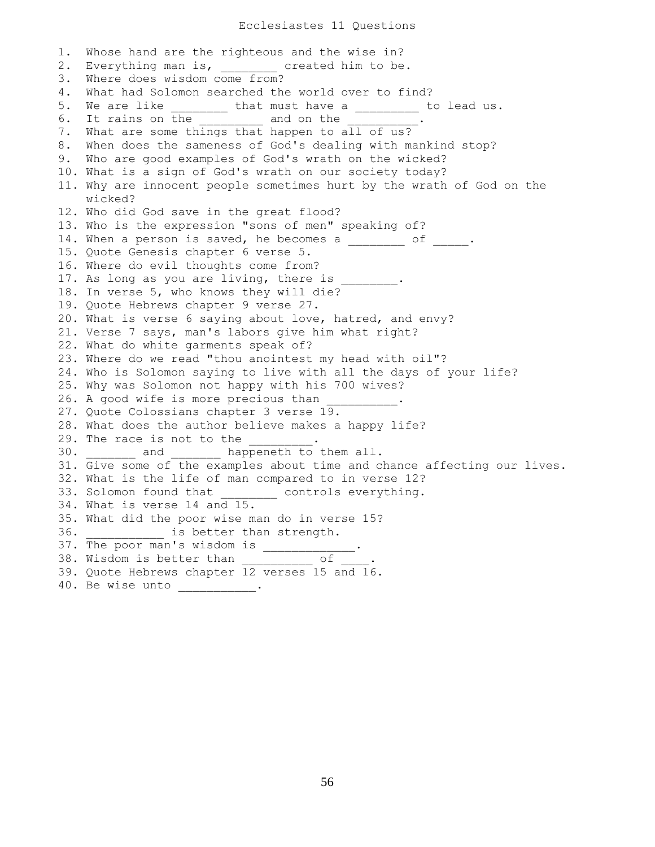1. Whose hand are the righteous and the wise in? 2. Everything man is, ereated him to be. 3. Where does wisdom come from? 4. What had Solomon searched the world over to find? 5. We are like \_\_\_\_\_\_\_\_ that must have a \_\_\_\_\_\_\_\_ to lead us. 6. It rains on the and on the set of the set of the set of the set of the set of the set of the set of the set o 7. What are some things that happen to all of us? 8. When does the sameness of God's dealing with mankind stop? 9. Who are good examples of God's wrath on the wicked? 10. What is a sign of God's wrath on our society today? 11. Why are innocent people sometimes hurt by the wrath of God on the wicked? 12. Who did God save in the great flood? 13. Who is the expression "sons of men" speaking of? 14. When a person is saved, he becomes a  $\frac{1}{\sqrt{2}}$  of  $\frac{1}{\sqrt{2}}$ . 15. Quote Genesis chapter 6 verse 5. 16. Where do evil thoughts come from? 17. As long as you are living, there is 18. In verse 5, who knows they will die? 19. Quote Hebrews chapter 9 verse 27. 20. What is verse 6 saying about love, hatred, and envy? 21. Verse 7 says, man's labors give him what right? 22. What do white garments speak of? 23. Where do we read "thou anointest my head with oil"? 24. Who is Solomon saying to live with all the days of your life? 25. Why was Solomon not happy with his 700 wives? 26. A good wife is more precious than 27. Quote Colossians chapter 3 verse 19. 28. What does the author believe makes a happy life? 29. The race is not to the  $\qquad \qquad$ 30. \_\_\_\_\_\_\_ and \_\_\_\_\_\_\_ happeneth to them all. 31. Give some of the examples about time and chance affecting our lives. 32. What is the life of man compared to in verse 12? 33. Solomon found that \_\_\_\_\_\_\_\_ controls everything. 34. What is verse 14 and 15. 35. What did the poor wise man do in verse 15? 36. **Exercise is better than strength.** 37. The poor man's wisdom is \_\_\_\_\_\_\_\_\_\_\_\_\_. 38. Wisdom is better than  $\qquad \qquad$  of  $\qquad$ . 39. Quote Hebrews chapter 12 verses 15 and 16. 40. Be wise unto \_\_\_\_\_\_\_\_\_\_\_\_.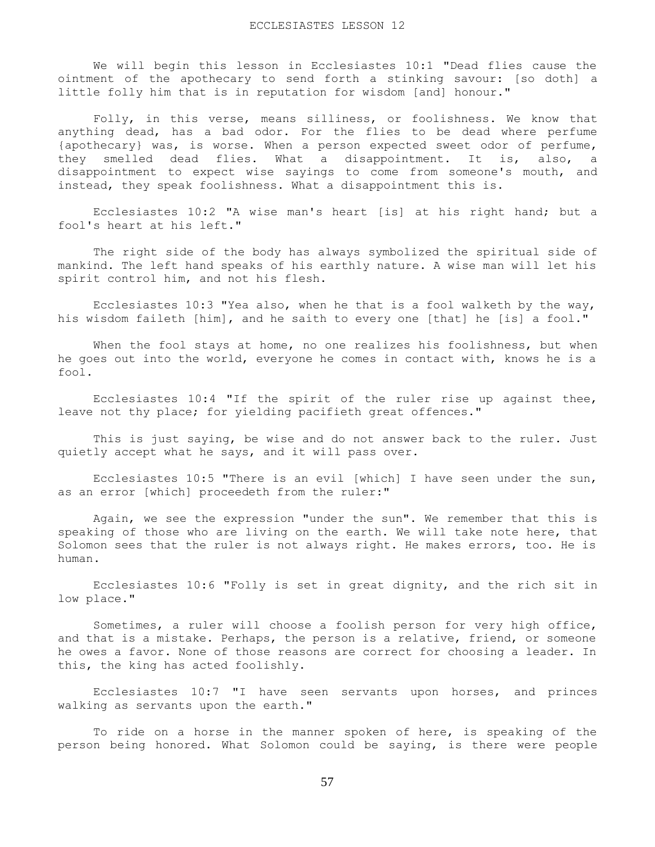We will begin this lesson in Ecclesiastes 10:1 "Dead flies cause the ointment of the apothecary to send forth a stinking savour: [so doth] a little folly him that is in reputation for wisdom [and] honour."

 Folly, in this verse, means silliness, or foolishness. We know that anything dead, has a bad odor. For the flies to be dead where perfume {apothecary} was, is worse. When a person expected sweet odor of perfume, they smelled dead flies. What a disappointment. It is, also, a disappointment to expect wise sayings to come from someone's mouth, and instead, they speak foolishness. What a disappointment this is.

 Ecclesiastes 10:2 "A wise man's heart [is] at his right hand; but a fool's heart at his left."

 The right side of the body has always symbolized the spiritual side of mankind. The left hand speaks of his earthly nature. A wise man will let his spirit control him, and not his flesh.

 Ecclesiastes 10:3 "Yea also, when he that is a fool walketh by the way, his wisdom faileth [him], and he saith to every one [that] he [is] a fool."

When the fool stays at home, no one realizes his foolishness, but when he goes out into the world, everyone he comes in contact with, knows he is a fool.

 Ecclesiastes 10:4 "If the spirit of the ruler rise up against thee, leave not thy place; for yielding pacifieth great offences."

 This is just saying, be wise and do not answer back to the ruler. Just quietly accept what he says, and it will pass over.

 Ecclesiastes 10:5 "There is an evil [which] I have seen under the sun, as an error [which] proceedeth from the ruler:"

 Again, we see the expression "under the sun". We remember that this is speaking of those who are living on the earth. We will take note here, that Solomon sees that the ruler is not always right. He makes errors, too. He is human.

 Ecclesiastes 10:6 "Folly is set in great dignity, and the rich sit in low place."

 Sometimes, a ruler will choose a foolish person for very high office, and that is a mistake. Perhaps, the person is a relative, friend, or someone he owes a favor. None of those reasons are correct for choosing a leader. In this, the king has acted foolishly.

 Ecclesiastes 10:7 "I have seen servants upon horses, and princes walking as servants upon the earth."

 To ride on a horse in the manner spoken of here, is speaking of the person being honored. What Solomon could be saying, is there were people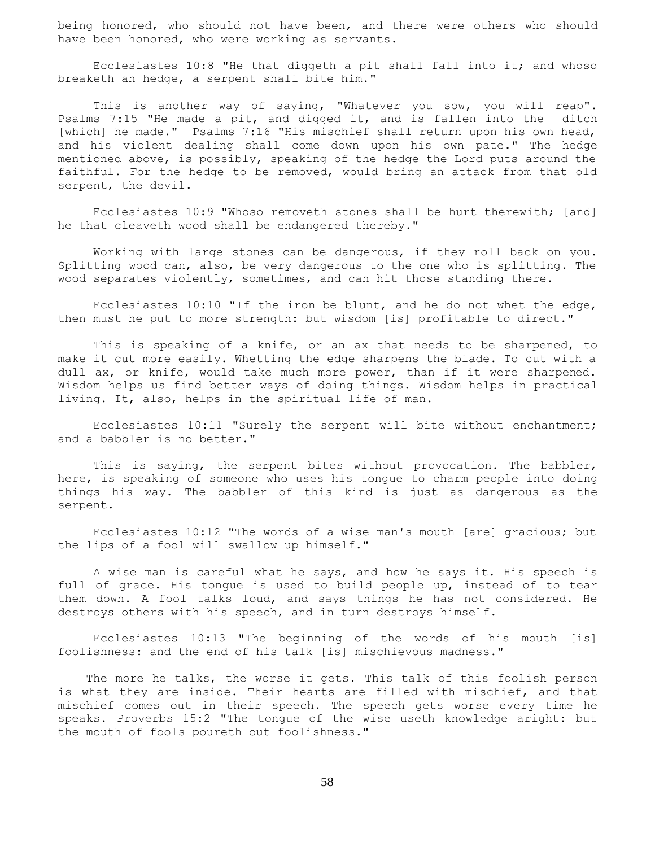being honored, who should not have been, and there were others who should have been honored, who were working as servants.

 Ecclesiastes 10:8 "He that diggeth a pit shall fall into it; and whoso breaketh an hedge, a serpent shall bite him."

This is another way of saying, "Whatever you sow, you will reap". Psalms 7:15 "He made a pit, and digged it, and is fallen into the ditch [which] he made." Psalms 7:16 "His mischief shall return upon his own head, and his violent dealing shall come down upon his own pate." The hedge mentioned above, is possibly, speaking of the hedge the Lord puts around the faithful. For the hedge to be removed, would bring an attack from that old serpent, the devil.

 Ecclesiastes 10:9 "Whoso removeth stones shall be hurt therewith; [and] he that cleaveth wood shall be endangered thereby."

 Working with large stones can be dangerous, if they roll back on you. Splitting wood can, also, be very dangerous to the one who is splitting. The wood separates violently, sometimes, and can hit those standing there.

 Ecclesiastes 10:10 "If the iron be blunt, and he do not whet the edge, then must he put to more strength: but wisdom [is] profitable to direct."

 This is speaking of a knife, or an ax that needs to be sharpened, to make it cut more easily. Whetting the edge sharpens the blade. To cut with a dull ax, or knife, would take much more power, than if it were sharpened. Wisdom helps us find better ways of doing things. Wisdom helps in practical living. It, also, helps in the spiritual life of man.

 Ecclesiastes 10:11 "Surely the serpent will bite without enchantment; and a babbler is no better."

 This is saying, the serpent bites without provocation. The babbler, here, is speaking of someone who uses his tongue to charm people into doing things his way. The babbler of this kind is just as dangerous as the serpent.

 Ecclesiastes 10:12 "The words of a wise man's mouth [are] gracious; but the lips of a fool will swallow up himself."

 A wise man is careful what he says, and how he says it. His speech is full of grace. His tongue is used to build people up, instead of to tear them down. A fool talks loud, and says things he has not considered. He destroys others with his speech, and in turn destroys himself.

 Ecclesiastes 10:13 "The beginning of the words of his mouth [is] foolishness: and the end of his talk [is] mischievous madness."

 The more he talks, the worse it gets. This talk of this foolish person is what they are inside. Their hearts are filled with mischief, and that mischief comes out in their speech. The speech gets worse every time he speaks. Proverbs 15:2 "The tongue of the wise useth knowledge aright: but the mouth of fools poureth out foolishness."

58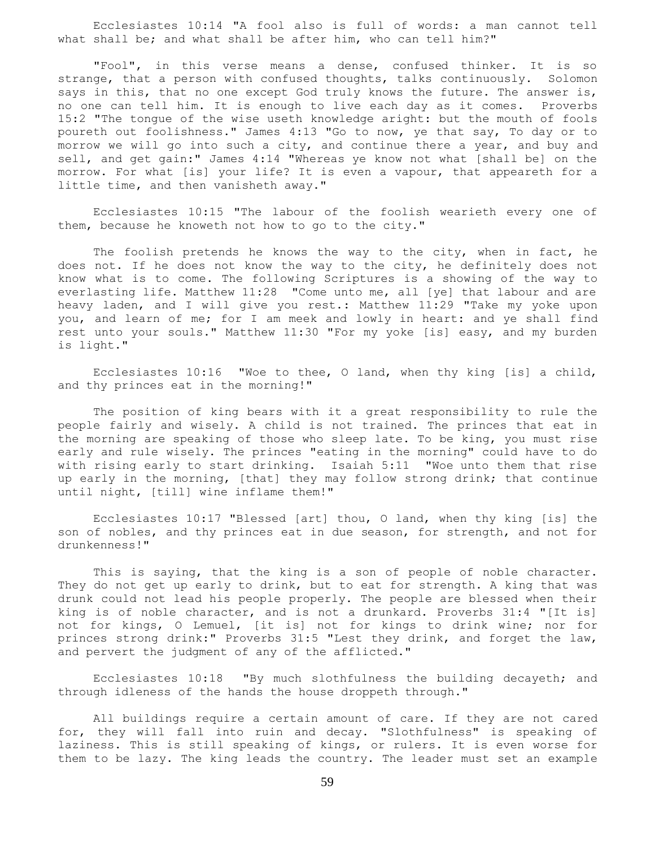Ecclesiastes 10:14 "A fool also is full of words: a man cannot tell what shall be; and what shall be after him, who can tell him?"

 "Fool", in this verse means a dense, confused thinker. It is so strange, that a person with confused thoughts, talks continuously. Solomon says in this, that no one except God truly knows the future. The answer is, no one can tell him. It is enough to live each day as it comes. Proverbs 15:2 "The tongue of the wise useth knowledge aright: but the mouth of fools poureth out foolishness." James 4:13 "Go to now, ye that say, To day or to morrow we will go into such a city, and continue there a year, and buy and sell, and get gain:" James 4:14 "Whereas ye know not what [shall be] on the morrow. For what [is] your life? It is even a vapour, that appeareth for a little time, and then vanisheth away."

 Ecclesiastes 10:15 "The labour of the foolish wearieth every one of them, because he knoweth not how to go to the city."

 The foolish pretends he knows the way to the city, when in fact, he does not. If he does not know the way to the city, he definitely does not know what is to come. The following Scriptures is a showing of the way to everlasting life. Matthew 11:28 "Come unto me, all [ye] that labour and are heavy laden, and I will give you rest.: Matthew 11:29 "Take my yoke upon you, and learn of me; for I am meek and lowly in heart: and ye shall find rest unto your souls." Matthew 11:30 "For my yoke [is] easy, and my burden is light."

Ecclesiastes  $10:16$  "Woe to thee, O land, when thy king [is] a child, and thy princes eat in the morning!"

 The position of king bears with it a great responsibility to rule the people fairly and wisely. A child is not trained. The princes that eat in the morning are speaking of those who sleep late. To be king, you must rise early and rule wisely. The princes "eating in the morning" could have to do with rising early to start drinking. Isaiah 5:11 "Woe unto them that rise up early in the morning, [that] they may follow strong drink; that continue until night, [till] wine inflame them!"

 Ecclesiastes 10:17 "Blessed [art] thou, O land, when thy king [is] the son of nobles, and thy princes eat in due season, for strength, and not for drunkenness!"

 This is saying, that the king is a son of people of noble character. They do not get up early to drink, but to eat for strength. A king that was drunk could not lead his people properly. The people are blessed when their king is of noble character, and is not a drunkard. Proverbs 31:4 "[It is] not for kings, O Lemuel, [it is] not for kings to drink wine; nor for princes strong drink:" Proverbs 31:5 "Lest they drink, and forget the law, and pervert the judgment of any of the afflicted."

 Ecclesiastes 10:18 "By much slothfulness the building decayeth; and through idleness of the hands the house droppeth through."

 All buildings require a certain amount of care. If they are not cared for, they will fall into ruin and decay. "Slothfulness" is speaking of laziness. This is still speaking of kings, or rulers. It is even worse for them to be lazy. The king leads the country. The leader must set an example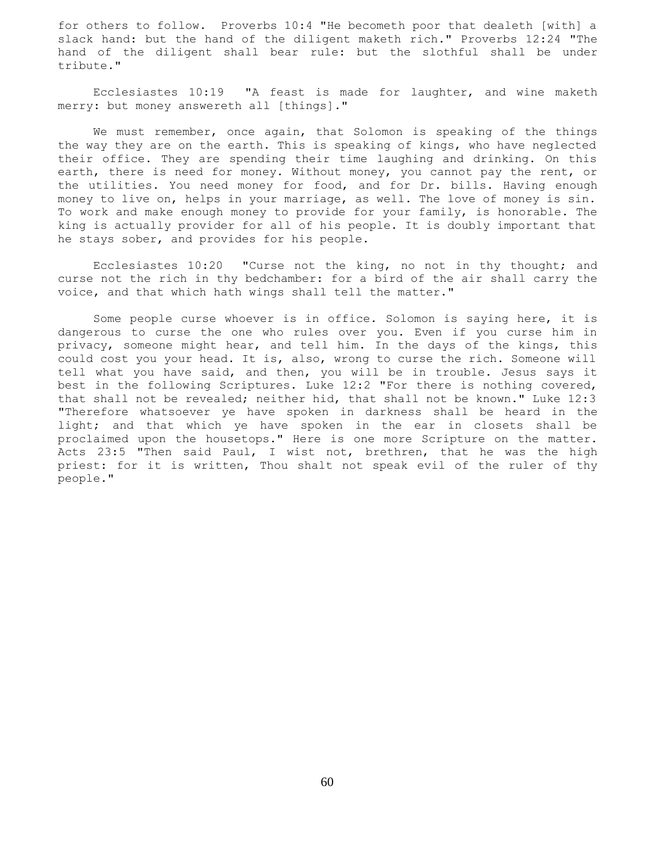for others to follow. Proverbs 10:4 "He becometh poor that dealeth [with] a slack hand: but the hand of the diligent maketh rich." Proverbs 12:24 "The hand of the diligent shall bear rule: but the slothful shall be under tribute."

 Ecclesiastes 10:19 "A feast is made for laughter, and wine maketh merry: but money answereth all [things]."

 We must remember, once again, that Solomon is speaking of the things the way they are on the earth. This is speaking of kings, who have neglected their office. They are spending their time laughing and drinking. On this earth, there is need for money. Without money, you cannot pay the rent, or the utilities. You need money for food, and for Dr. bills. Having enough money to live on, helps in your marriage, as well. The love of money is sin. To work and make enough money to provide for your family, is honorable. The king is actually provider for all of his people. It is doubly important that he stays sober, and provides for his people.

 Ecclesiastes 10:20 "Curse not the king, no not in thy thought; and curse not the rich in thy bedchamber: for a bird of the air shall carry the voice, and that which hath wings shall tell the matter."

 Some people curse whoever is in office. Solomon is saying here, it is dangerous to curse the one who rules over you. Even if you curse him in privacy, someone might hear, and tell him. In the days of the kings, this could cost you your head. It is, also, wrong to curse the rich. Someone will tell what you have said, and then, you will be in trouble. Jesus says it best in the following Scriptures. Luke 12:2 "For there is nothing covered, that shall not be revealed; neither hid, that shall not be known." Luke 12:3 "Therefore whatsoever ye have spoken in darkness shall be heard in the light; and that which ye have spoken in the ear in closets shall be proclaimed upon the housetops." Here is one more Scripture on the matter. Acts 23:5 "Then said Paul, I wist not, brethren, that he was the high priest: for it is written, Thou shalt not speak evil of the ruler of thy people."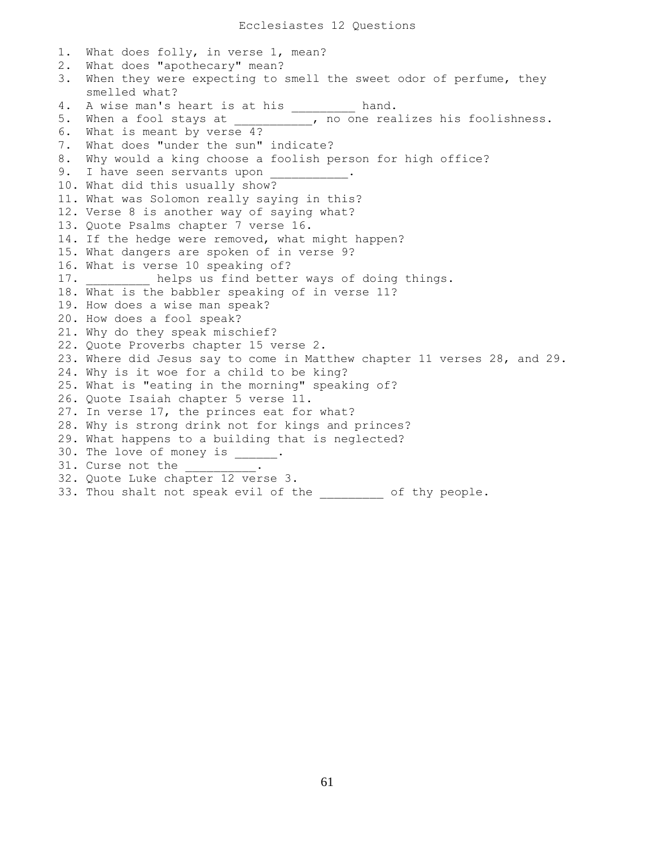1. What does folly, in verse 1, mean? 2. What does "apothecary" mean? 3. When they were expecting to smell the sweet odor of perfume, they smelled what? 4. A wise man's heart is at his \_\_\_\_\_\_\_\_\_ hand. 5. When a fool stays at \_\_\_\_\_\_\_\_\_\_\_, no one realizes his foolishness. 6. What is meant by verse 4? 7. What does "under the sun" indicate? 8. Why would a king choose a foolish person for high office? 9. I have seen servants upon 10. What did this usually show? 11. What was Solomon really saying in this? 12. Verse 8 is another way of saying what? 13. Quote Psalms chapter 7 verse 16. 14. If the hedge were removed, what might happen? 15. What dangers are spoken of in verse 9? 16. What is verse 10 speaking of? 17. **Example 12** helps us find better ways of doing things. 18. What is the babbler speaking of in verse 11? 19. How does a wise man speak? 20. How does a fool speak? 21. Why do they speak mischief? 22. Quote Proverbs chapter 15 verse 2. 23. Where did Jesus say to come in Matthew chapter 11 verses 28, and 29. 24. Why is it woe for a child to be king? 25. What is "eating in the morning" speaking of? 26. Quote Isaiah chapter 5 verse 11. 27. In verse 17, the princes eat for what? 28. Why is strong drink not for kings and princes? 29. What happens to a building that is neglected? 30. The love of money is \_\_\_\_\_\_. 31. Curse not the \_\_\_\_\_\_\_. 32. Quote Luke chapter 12 verse 3. 33. Thou shalt not speak evil of the \_\_\_\_\_\_\_\_ of thy people.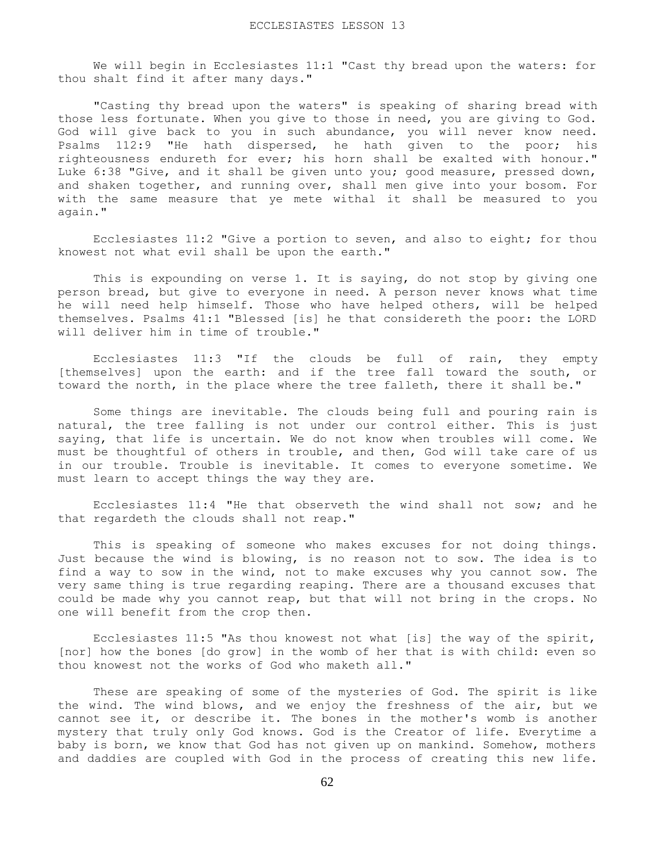We will begin in Ecclesiastes 11:1 "Cast thy bread upon the waters: for thou shalt find it after many days."

 "Casting thy bread upon the waters" is speaking of sharing bread with those less fortunate. When you give to those in need, you are giving to God. God will give back to you in such abundance, you will never know need. Psalms 112:9 "He hath dispersed, he hath given to the poor; his righteousness endureth for ever; his horn shall be exalted with honour." Luke 6:38 "Give, and it shall be given unto you; good measure, pressed down, and shaken together, and running over, shall men give into your bosom. For with the same measure that ye mete withal it shall be measured to you again."

 Ecclesiastes 11:2 "Give a portion to seven, and also to eight; for thou knowest not what evil shall be upon the earth."

 This is expounding on verse 1. It is saying, do not stop by giving one person bread, but give to everyone in need. A person never knows what time he will need help himself. Those who have helped others, will be helped themselves. Psalms 41:1 "Blessed [is] he that considereth the poor: the LORD will deliver him in time of trouble."

 Ecclesiastes 11:3 "If the clouds be full of rain, they empty [themselves] upon the earth: and if the tree fall toward the south, or toward the north, in the place where the tree falleth, there it shall be."

 Some things are inevitable. The clouds being full and pouring rain is natural, the tree falling is not under our control either. This is just saying, that life is uncertain. We do not know when troubles will come. We must be thoughtful of others in trouble, and then, God will take care of us in our trouble. Trouble is inevitable. It comes to everyone sometime. We must learn to accept things the way they are.

 Ecclesiastes 11:4 "He that observeth the wind shall not sow; and he that regardeth the clouds shall not reap."

 This is speaking of someone who makes excuses for not doing things. Just because the wind is blowing, is no reason not to sow. The idea is to find a way to sow in the wind, not to make excuses why you cannot sow. The very same thing is true regarding reaping. There are a thousand excuses that could be made why you cannot reap, but that will not bring in the crops. No one will benefit from the crop then.

 Ecclesiastes 11:5 "As thou knowest not what [is] the way of the spirit, [nor] how the bones [do grow] in the womb of her that is with child: even so thou knowest not the works of God who maketh all."

 These are speaking of some of the mysteries of God. The spirit is like the wind. The wind blows, and we enjoy the freshness of the air, but we cannot see it, or describe it. The bones in the mother's womb is another mystery that truly only God knows. God is the Creator of life. Everytime a baby is born, we know that God has not given up on mankind. Somehow, mothers and daddies are coupled with God in the process of creating this new life.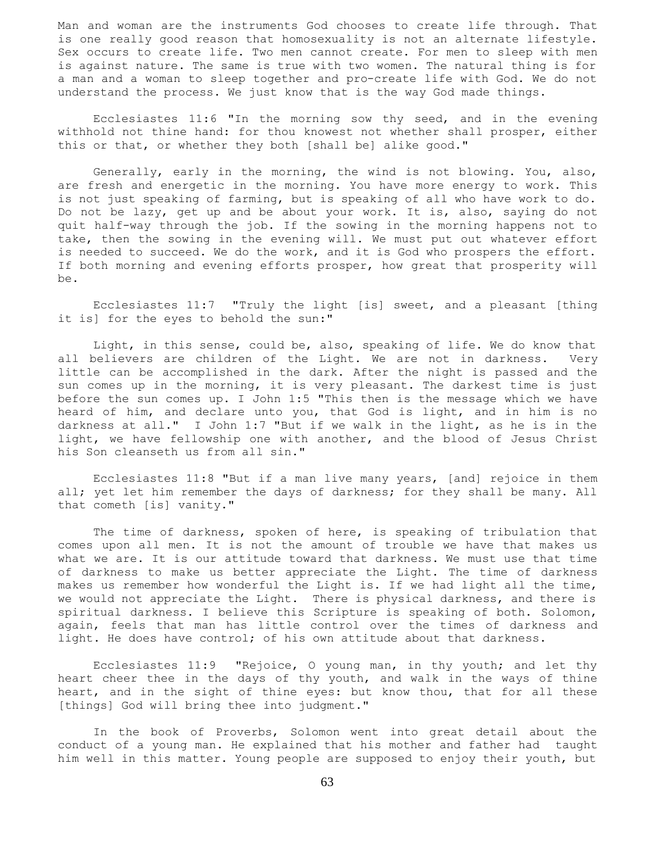Man and woman are the instruments God chooses to create life through. That is one really good reason that homosexuality is not an alternate lifestyle. Sex occurs to create life. Two men cannot create. For men to sleep with men is against nature. The same is true with two women. The natural thing is for a man and a woman to sleep together and pro-create life with God. We do not understand the process. We just know that is the way God made things.

 Ecclesiastes 11:6 "In the morning sow thy seed, and in the evening withhold not thine hand: for thou knowest not whether shall prosper, either this or that, or whether they both [shall be] alike good."

 Generally, early in the morning, the wind is not blowing. You, also, are fresh and energetic in the morning. You have more energy to work. This is not just speaking of farming, but is speaking of all who have work to do. Do not be lazy, get up and be about your work. It is, also, saying do not quit half-way through the job. If the sowing in the morning happens not to take, then the sowing in the evening will. We must put out whatever effort is needed to succeed. We do the work, and it is God who prospers the effort. If both morning and evening efforts prosper, how great that prosperity will be.

 Ecclesiastes 11:7 "Truly the light [is] sweet, and a pleasant [thing it is] for the eyes to behold the sun:"

 Light, in this sense, could be, also, speaking of life. We do know that all believers are children of the Light. We are not in darkness. Very little can be accomplished in the dark. After the night is passed and the sun comes up in the morning, it is very pleasant. The darkest time is just before the sun comes up. I John 1:5 "This then is the message which we have heard of him, and declare unto you, that God is light, and in him is no darkness at all." I John 1:7 "But if we walk in the light, as he is in the light, we have fellowship one with another, and the blood of Jesus Christ his Son cleanseth us from all sin."

 Ecclesiastes 11:8 "But if a man live many years, [and] rejoice in them all; yet let him remember the days of darkness; for they shall be many. All that cometh [is] vanity."

 The time of darkness, spoken of here, is speaking of tribulation that comes upon all men. It is not the amount of trouble we have that makes us what we are. It is our attitude toward that darkness. We must use that time of darkness to make us better appreciate the Light. The time of darkness makes us remember how wonderful the Light is. If we had light all the time, we would not appreciate the Light. There is physical darkness, and there is spiritual darkness. I believe this Scripture is speaking of both. Solomon, again, feels that man has little control over the times of darkness and light. He does have control; of his own attitude about that darkness.

 Ecclesiastes 11:9 "Rejoice, O young man, in thy youth; and let thy heart cheer thee in the days of thy youth, and walk in the ways of thine heart, and in the sight of thine eyes: but know thou, that for all these [things] God will bring thee into judgment."

 In the book of Proverbs, Solomon went into great detail about the conduct of a young man. He explained that his mother and father had taught him well in this matter. Young people are supposed to enjoy their youth, but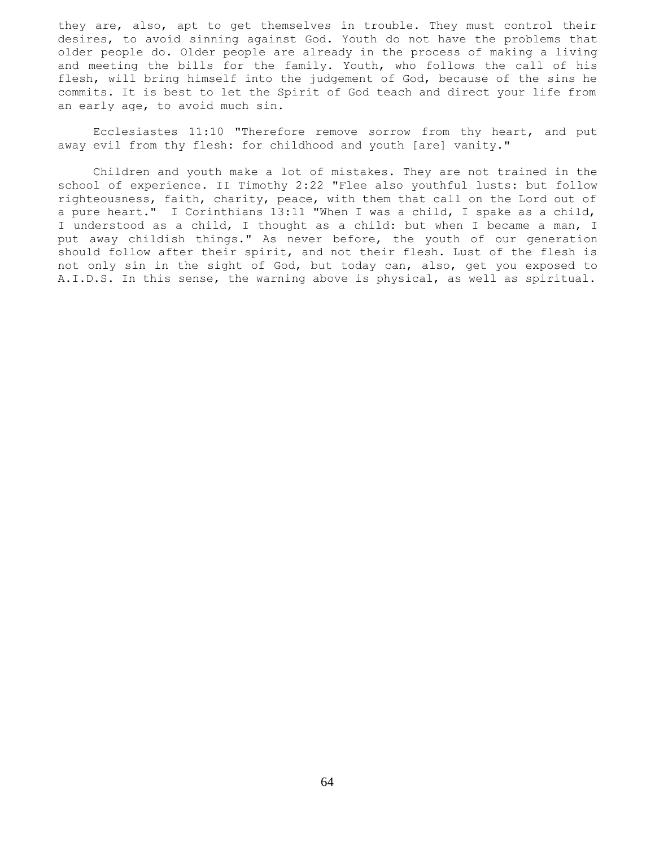they are, also, apt to get themselves in trouble. They must control their desires, to avoid sinning against God. Youth do not have the problems that older people do. Older people are already in the process of making a living and meeting the bills for the family. Youth, who follows the call of his flesh, will bring himself into the judgement of God, because of the sins he commits. It is best to let the Spirit of God teach and direct your life from an early age, to avoid much sin.

 Ecclesiastes 11:10 "Therefore remove sorrow from thy heart, and put away evil from thy flesh: for childhood and youth [are] vanity."

 Children and youth make a lot of mistakes. They are not trained in the school of experience. II Timothy 2:22 "Flee also youthful lusts: but follow righteousness, faith, charity, peace, with them that call on the Lord out of a pure heart." I Corinthians 13:11 "When I was a child, I spake as a child, I understood as a child, I thought as a child: but when I became a man, I put away childish things." As never before, the youth of our generation should follow after their spirit, and not their flesh. Lust of the flesh is not only sin in the sight of God, but today can, also, get you exposed to A.I.D.S. In this sense, the warning above is physical, as well as spiritual.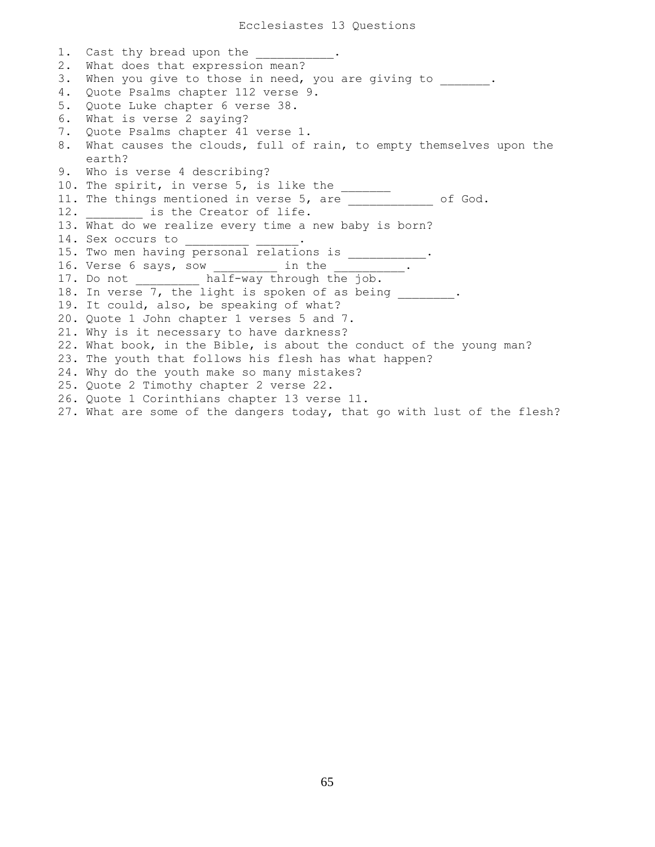1. Cast thy bread upon the 2. What does that expression mean? 3. When you give to those in need, you are giving to \_\_\_\_\_\_\_. 4. Quote Psalms chapter 112 verse 9. 5. Quote Luke chapter 6 verse 38. 6. What is verse 2 saying? 7. Quote Psalms chapter 41 verse 1. 8. What causes the clouds, full of rain, to empty themselves upon the earth? 9. Who is verse 4 describing? 10. The spirit, in verse 5, is like the  $\frac{1}{\sqrt{2}}$ 11. The things mentioned in verse 5, are \_\_\_\_\_\_\_\_\_\_\_\_\_ of God. 12. **is the Creator of life.** 13. What do we realize every time a new baby is born? 14. Sex occurs to \_\_\_\_\_\_\_\_\_\_ 15. Two men having personal relations is \_\_\_\_\_\_\_\_\_\_. 16. Verse 6 says, sow in the  $\qquad \qquad$  . 17. Do not half-way through the job. 18. In verse 7, the light is spoken of as being . 19. It could, also, be speaking of what? 20. Quote 1 John chapter 1 verses 5 and 7. 21. Why is it necessary to have darkness? 22. What book, in the Bible, is about the conduct of the young man? 23. The youth that follows his flesh has what happen? 24. Why do the youth make so many mistakes? 25. Quote 2 Timothy chapter 2 verse 22. 26. Quote 1 Corinthians chapter 13 verse 11. 27. What are some of the dangers today, that go with lust of the flesh?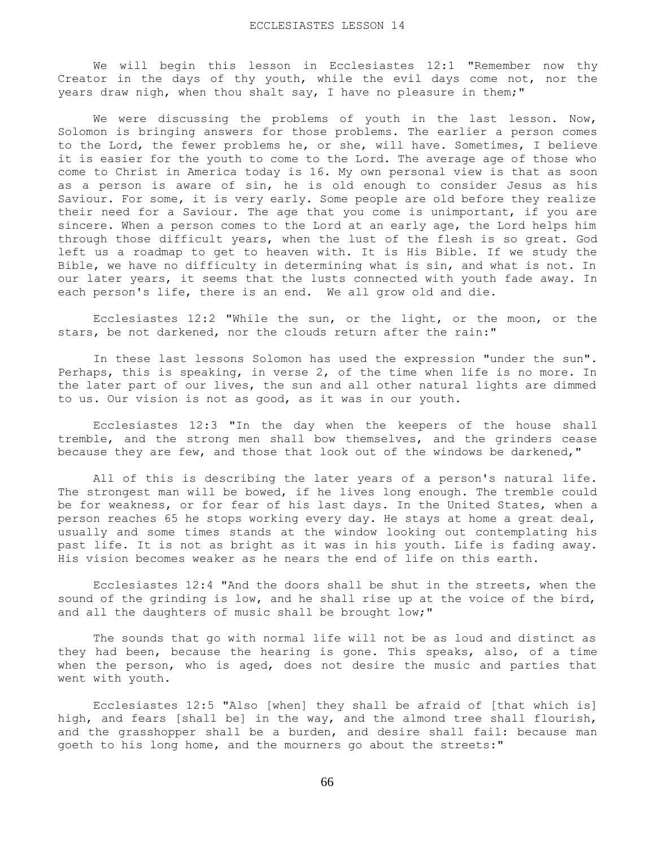We will begin this lesson in Ecclesiastes 12:1 "Remember now thy Creator in the days of thy youth, while the evil days come not, nor the years draw nigh, when thou shalt say, I have no pleasure in them;"

We were discussing the problems of youth in the last lesson. Now, Solomon is bringing answers for those problems. The earlier a person comes to the Lord, the fewer problems he, or she, will have. Sometimes, I believe it is easier for the youth to come to the Lord. The average age of those who come to Christ in America today is 16. My own personal view is that as soon as a person is aware of sin, he is old enough to consider Jesus as his Saviour. For some, it is very early. Some people are old before they realize their need for a Saviour. The age that you come is unimportant, if you are sincere. When a person comes to the Lord at an early age, the Lord helps him through those difficult years, when the lust of the flesh is so great. God left us a roadmap to get to heaven with. It is His Bible. If we study the Bible, we have no difficulty in determining what is sin, and what is not. In our later years, it seems that the lusts connected with youth fade away. In each person's life, there is an end. We all grow old and die.

 Ecclesiastes 12:2 "While the sun, or the light, or the moon, or the stars, be not darkened, nor the clouds return after the rain:"

 In these last lessons Solomon has used the expression "under the sun". Perhaps, this is speaking, in verse 2, of the time when life is no more. In the later part of our lives, the sun and all other natural lights are dimmed to us. Our vision is not as good, as it was in our youth.

 Ecclesiastes 12:3 "In the day when the keepers of the house shall tremble, and the strong men shall bow themselves, and the grinders cease because they are few, and those that look out of the windows be darkened,"

 All of this is describing the later years of a person's natural life. The strongest man will be bowed, if he lives long enough. The tremble could be for weakness, or for fear of his last days. In the United States, when a person reaches 65 he stops working every day. He stays at home a great deal, usually and some times stands at the window looking out contemplating his past life. It is not as bright as it was in his youth. Life is fading away. His vision becomes weaker as he nears the end of life on this earth.

 Ecclesiastes 12:4 "And the doors shall be shut in the streets, when the sound of the grinding is low, and he shall rise up at the voice of the bird, and all the daughters of music shall be brought low;"

 The sounds that go with normal life will not be as loud and distinct as they had been, because the hearing is gone. This speaks, also, of a time when the person, who is aged, does not desire the music and parties that went with youth.

 Ecclesiastes 12:5 "Also [when] they shall be afraid of [that which is] high, and fears [shall be] in the way, and the almond tree shall flourish, and the grasshopper shall be a burden, and desire shall fail: because man goeth to his long home, and the mourners go about the streets:"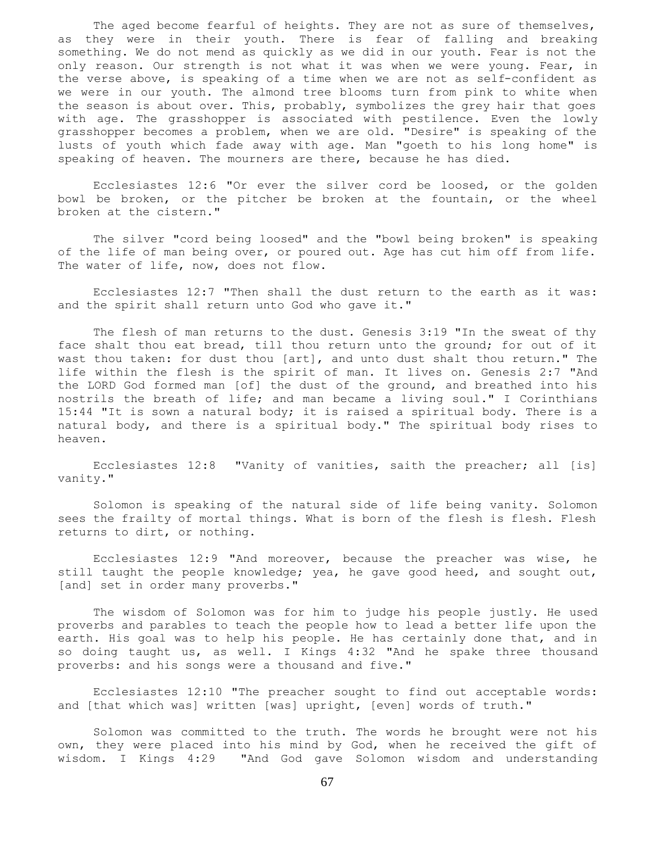The aged become fearful of heights. They are not as sure of themselves, as they were in their youth. There is fear of falling and breaking something. We do not mend as quickly as we did in our youth. Fear is not the only reason. Our strength is not what it was when we were young. Fear, in the verse above, is speaking of a time when we are not as self-confident as we were in our youth. The almond tree blooms turn from pink to white when the season is about over. This, probably, symbolizes the grey hair that goes with age. The grasshopper is associated with pestilence. Even the lowly grasshopper becomes a problem, when we are old. "Desire" is speaking of the lusts of youth which fade away with age. Man "goeth to his long home" is speaking of heaven. The mourners are there, because he has died.

 Ecclesiastes 12:6 "Or ever the silver cord be loosed, or the golden bowl be broken, or the pitcher be broken at the fountain, or the wheel broken at the cistern."

 The silver "cord being loosed" and the "bowl being broken" is speaking of the life of man being over, or poured out. Age has cut him off from life. The water of life, now, does not flow.

 Ecclesiastes 12:7 "Then shall the dust return to the earth as it was: and the spirit shall return unto God who gave it."

 The flesh of man returns to the dust. Genesis 3:19 "In the sweat of thy face shalt thou eat bread, till thou return unto the ground; for out of it wast thou taken: for dust thou [art], and unto dust shalt thou return." The life within the flesh is the spirit of man. It lives on. Genesis 2:7 "And the LORD God formed man [of] the dust of the ground, and breathed into his nostrils the breath of life; and man became a living soul." I Corinthians 15:44 "It is sown a natural body; it is raised a spiritual body. There is a natural body, and there is a spiritual body." The spiritual body rises to heaven.

 Ecclesiastes 12:8 "Vanity of vanities, saith the preacher; all [is] vanity."

 Solomon is speaking of the natural side of life being vanity. Solomon sees the frailty of mortal things. What is born of the flesh is flesh. Flesh returns to dirt, or nothing.

 Ecclesiastes 12:9 "And moreover, because the preacher was wise, he still taught the people knowledge; yea, he gave good heed, and sought out, [and] set in order many proverbs."

 The wisdom of Solomon was for him to judge his people justly. He used proverbs and parables to teach the people how to lead a better life upon the earth. His goal was to help his people. He has certainly done that, and in so doing taught us, as well. I Kings 4:32 "And he spake three thousand proverbs: and his songs were a thousand and five."

 Ecclesiastes 12:10 "The preacher sought to find out acceptable words: and [that which was] written [was] upright, [even] words of truth."

 Solomon was committed to the truth. The words he brought were not his own, they were placed into his mind by God, when he received the gift of wisdom. I Kings 4:29 "And God gave Solomon wisdom and understanding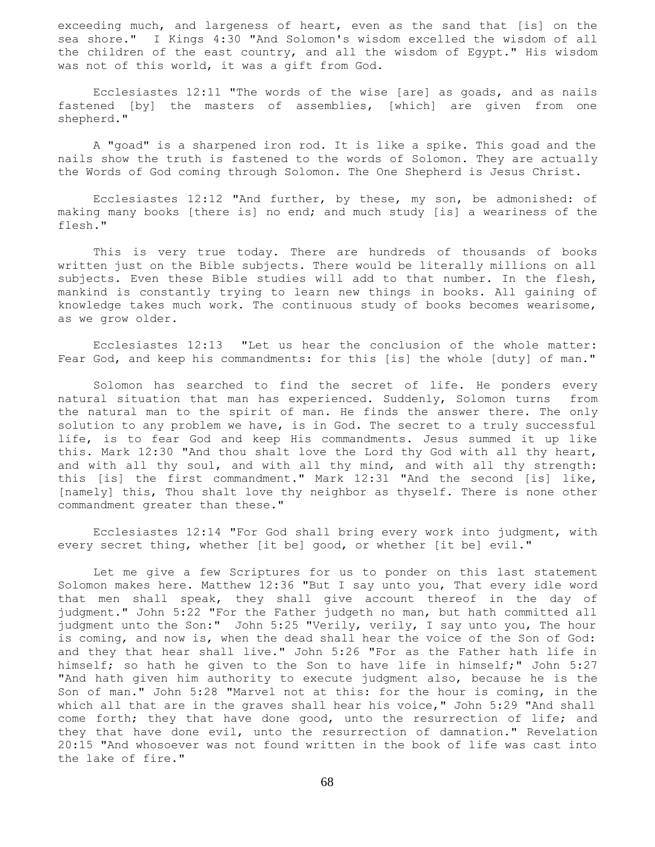exceeding much, and largeness of heart, even as the sand that [is] on the sea shore." I Kings 4:30 "And Solomon's wisdom excelled the wisdom of all the children of the east country, and all the wisdom of Egypt." His wisdom was not of this world, it was a gift from God.

 Ecclesiastes 12:11 "The words of the wise [are] as goads, and as nails fastened [by] the masters of assemblies, [which] are given from one shepherd."

 A "goad" is a sharpened iron rod. It is like a spike. This goad and the nails show the truth is fastened to the words of Solomon. They are actually the Words of God coming through Solomon. The One Shepherd is Jesus Christ.

 Ecclesiastes 12:12 "And further, by these, my son, be admonished: of making many books [there is] no end; and much study [is] a weariness of the flesh."

 This is very true today. There are hundreds of thousands of books written just on the Bible subjects. There would be literally millions on all subjects. Even these Bible studies will add to that number. In the flesh, mankind is constantly trying to learn new things in books. All gaining of knowledge takes much work. The continuous study of books becomes wearisome, as we grow older.

 Ecclesiastes 12:13 "Let us hear the conclusion of the whole matter: Fear God, and keep his commandments: for this [is] the whole [duty] of man."

 Solomon has searched to find the secret of life. He ponders every natural situation that man has experienced. Suddenly, Solomon turns from the natural man to the spirit of man. He finds the answer there. The only solution to any problem we have, is in God. The secret to a truly successful life, is to fear God and keep His commandments. Jesus summed it up like this. Mark 12:30 "And thou shalt love the Lord thy God with all thy heart, and with all thy soul, and with all thy mind, and with all thy strength: this [is] the first commandment." Mark 12:31 "And the second [is] like, [namely] this, Thou shalt love thy neighbor as thyself. There is none other commandment greater than these."

 Ecclesiastes 12:14 "For God shall bring every work into judgment, with every secret thing, whether [it be] good, or whether [it be] evil."

 Let me give a few Scriptures for us to ponder on this last statement Solomon makes here. Matthew 12:36 "But I say unto you, That every idle word that men shall speak, they shall give account thereof in the day of judgment." John 5:22 "For the Father judgeth no man, but hath committed all judgment unto the Son:" John 5:25 "Verily, verily, I say unto you, The hour is coming, and now is, when the dead shall hear the voice of the Son of God: and they that hear shall live." John 5:26 "For as the Father hath life in himself; so hath he given to the Son to have life in himself;" John 5:27 "And hath given him authority to execute judgment also, because he is the Son of man." John 5:28 "Marvel not at this: for the hour is coming, in the which all that are in the graves shall hear his voice," John 5:29 "And shall come forth; they that have done good, unto the resurrection of life; and they that have done evil, unto the resurrection of damnation." Revelation 20:15 "And whosoever was not found written in the book of life was cast into the lake of fire."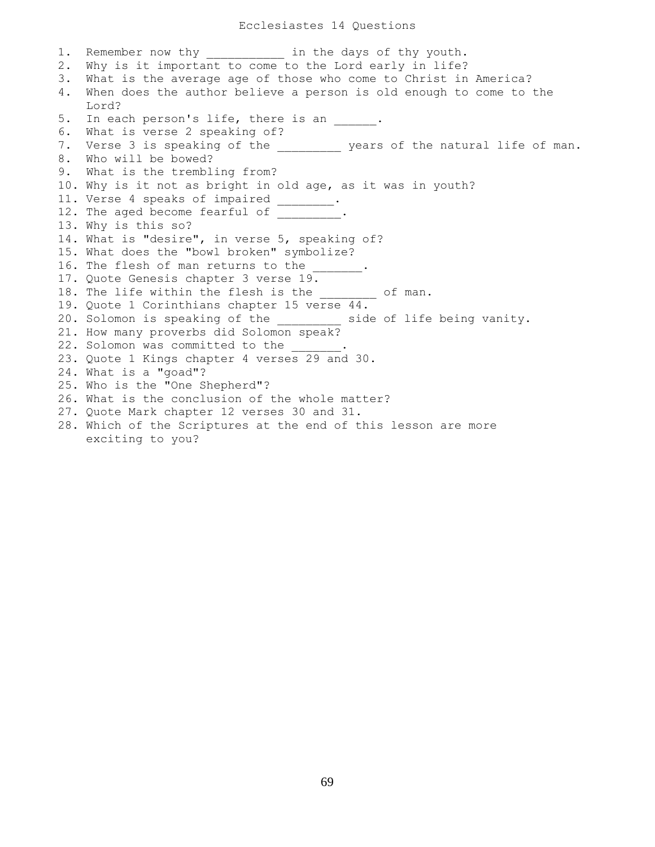1. Remember now thy **in the days of thy youth.** 2. Why is it important to come to the Lord early in life? 3. What is the average age of those who come to Christ in America? 4. When does the author believe a person is old enough to come to the Lord? 5. In each person's life, there is an  $\blacksquare$ . 6. What is verse 2 speaking of? 7. Verse 3 is speaking of the \_\_\_\_\_\_\_\_\_ years of the natural life of man. 8. Who will be bowed? 9. What is the trembling from? 10. Why is it not as bright in old age, as it was in youth? 11. Verse 4 speaks of impaired \_\_\_\_\_\_\_\_. 12. The aged become fearful of . 13. Why is this so? 14. What is "desire", in verse 5, speaking of? 15. What does the "bowl broken" symbolize? 16. The flesh of man returns to the 17. Quote Genesis chapter 3 verse 19. 18. The life within the flesh is the of man. 19. Quote 1 Corinthians chapter 15 verse 44. 20. Solomon is speaking of the \_\_\_\_\_\_\_\_\_ side of life being vanity. 21. How many proverbs did Solomon speak? 22. Solomon was committed to the 23. Quote 1 Kings chapter 4 verses 29 and 30. 24. What is a "goad"? 25. Who is the "One Shepherd"? 26. What is the conclusion of the whole matter? 27. Quote Mark chapter 12 verses 30 and 31. 28. Which of the Scriptures at the end of this lesson are more exciting to you?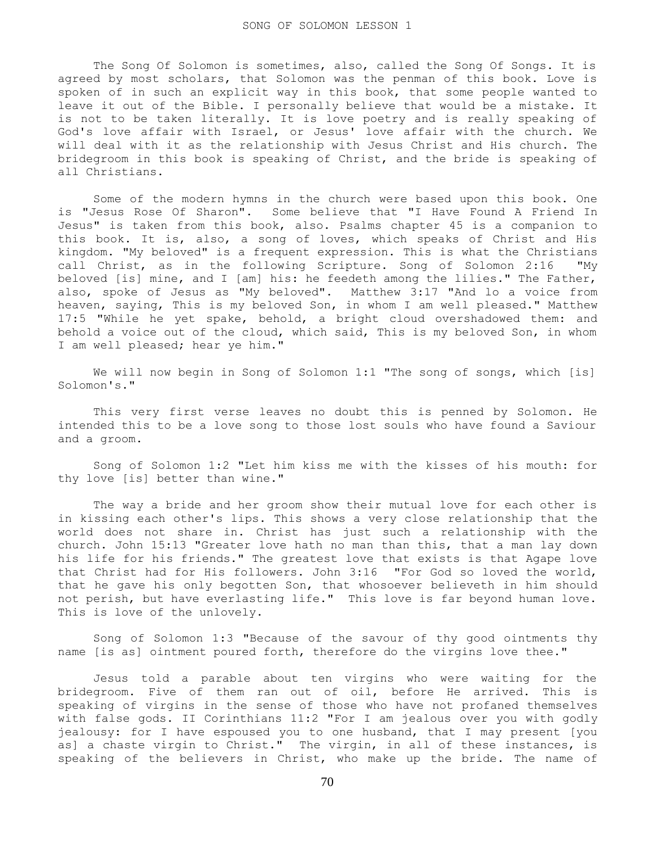The Song Of Solomon is sometimes, also, called the Song Of Songs. It is agreed by most scholars, that Solomon was the penman of this book. Love is spoken of in such an explicit way in this book, that some people wanted to leave it out of the Bible. I personally believe that would be a mistake. It is not to be taken literally. It is love poetry and is really speaking of God's love affair with Israel, or Jesus' love affair with the church. We will deal with it as the relationship with Jesus Christ and His church. The bridegroom in this book is speaking of Christ, and the bride is speaking of all Christians.

 Some of the modern hymns in the church were based upon this book. One is "Jesus Rose Of Sharon". Some believe that "I Have Found A Friend In Jesus" is taken from this book, also. Psalms chapter 45 is a companion to this book. It is, also, a song of loves, which speaks of Christ and His kingdom. "My beloved" is a frequent expression. This is what the Christians call Christ, as in the following Scripture. Song of Solomon 2:16 "My beloved [is] mine, and I [am] his: he feedeth among the lilies." The Father, also, spoke of Jesus as "My beloved". Matthew 3:17 "And lo a voice from heaven, saying, This is my beloved Son, in whom I am well pleased." Matthew 17:5 "While he yet spake, behold, a bright cloud overshadowed them: and behold a voice out of the cloud, which said, This is my beloved Son, in whom I am well pleased; hear ye him."

 We will now begin in Song of Solomon 1:1 "The song of songs, which [is] Solomon's."

 This very first verse leaves no doubt this is penned by Solomon. He intended this to be a love song to those lost souls who have found a Saviour and a groom.

 Song of Solomon 1:2 "Let him kiss me with the kisses of his mouth: for thy love [is] better than wine."

 The way a bride and her groom show their mutual love for each other is in kissing each other's lips. This shows a very close relationship that the world does not share in. Christ has just such a relationship with the church. John 15:13 "Greater love hath no man than this, that a man lay down his life for his friends." The greatest love that exists is that Agape love that Christ had for His followers. John 3:16 "For God so loved the world, that he gave his only begotten Son, that whosoever believeth in him should not perish, but have everlasting life." This love is far beyond human love. This is love of the unlovely.

 Song of Solomon 1:3 "Because of the savour of thy good ointments thy name [is as] ointment poured forth, therefore do the virgins love thee."

 Jesus told a parable about ten virgins who were waiting for the bridegroom. Five of them ran out of oil, before He arrived. This is speaking of virgins in the sense of those who have not profaned themselves with false gods. II Corinthians 11:2 "For I am jealous over you with godly jealousy: for I have espoused you to one husband, that I may present [you as] a chaste virgin to Christ." The virgin, in all of these instances, is speaking of the believers in Christ, who make up the bride. The name of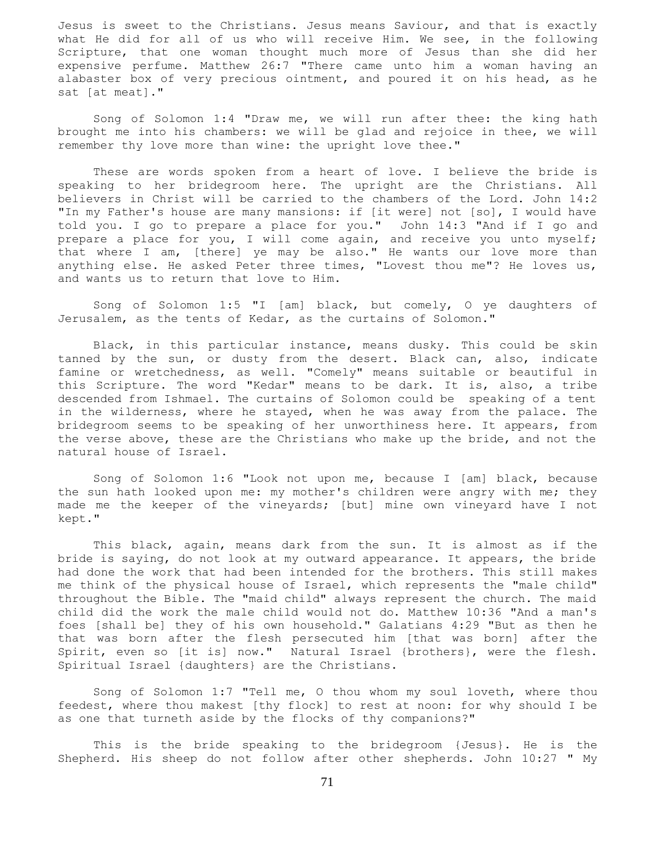Jesus is sweet to the Christians. Jesus means Saviour, and that is exactly what He did for all of us who will receive Him. We see, in the following Scripture, that one woman thought much more of Jesus than she did her expensive perfume. Matthew 26:7 "There came unto him a woman having an alabaster box of very precious ointment, and poured it on his head, as he sat [at meat]."

 Song of Solomon 1:4 "Draw me, we will run after thee: the king hath brought me into his chambers: we will be glad and rejoice in thee, we will remember thy love more than wine: the upright love thee."

 These are words spoken from a heart of love. I believe the bride is speaking to her bridegroom here. The upright are the Christians. All believers in Christ will be carried to the chambers of the Lord. John 14:2 "In my Father's house are many mansions: if [it were] not [so], I would have told you. I go to prepare a place for you." John 14:3 "And if I go and prepare a place for you, I will come again, and receive you unto myself; that where I am, [there] ye may be also." He wants our love more than anything else. He asked Peter three times, "Lovest thou me"? He loves us, and wants us to return that love to Him.

 Song of Solomon 1:5 "I [am] black, but comely, O ye daughters of Jerusalem, as the tents of Kedar, as the curtains of Solomon."

 Black, in this particular instance, means dusky. This could be skin tanned by the sun, or dusty from the desert. Black can, also, indicate famine or wretchedness, as well. "Comely" means suitable or beautiful in this Scripture. The word "Kedar" means to be dark. It is, also, a tribe descended from Ishmael. The curtains of Solomon could be speaking of a tent in the wilderness, where he stayed, when he was away from the palace. The bridegroom seems to be speaking of her unworthiness here. It appears, from the verse above, these are the Christians who make up the bride, and not the natural house of Israel.

 Song of Solomon 1:6 "Look not upon me, because I [am] black, because the sun hath looked upon me: my mother's children were angry with me; they made me the keeper of the vineyards; [but] mine own vineyard have I not kept."

 This black, again, means dark from the sun. It is almost as if the bride is saying, do not look at my outward appearance. It appears, the bride had done the work that had been intended for the brothers. This still makes me think of the physical house of Israel, which represents the "male child" throughout the Bible. The "maid child" always represent the church. The maid child did the work the male child would not do. Matthew 10:36 "And a man's foes [shall be] they of his own household." Galatians 4:29 "But as then he that was born after the flesh persecuted him [that was born] after the Spirit, even so [it is] now." Natural Israel {brothers}, were the flesh. Spiritual Israel {daughters} are the Christians.

 Song of Solomon 1:7 "Tell me, O thou whom my soul loveth, where thou feedest, where thou makest [thy flock] to rest at noon: for why should I be as one that turneth aside by the flocks of thy companions?"

 This is the bride speaking to the bridegroom {Jesus}. He is the Shepherd. His sheep do not follow after other shepherds. John 10:27 " My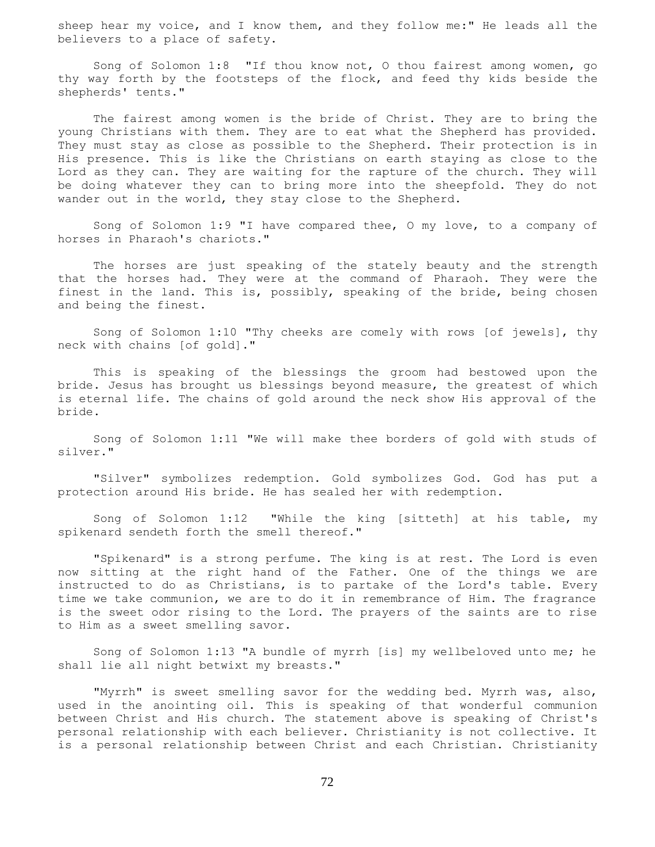sheep hear my voice, and I know them, and they follow me:" He leads all the believers to a place of safety.

 Song of Solomon 1:8 "If thou know not, O thou fairest among women, go thy way forth by the footsteps of the flock, and feed thy kids beside the shepherds' tents."

 The fairest among women is the bride of Christ. They are to bring the young Christians with them. They are to eat what the Shepherd has provided. They must stay as close as possible to the Shepherd. Their protection is in His presence. This is like the Christians on earth staying as close to the Lord as they can. They are waiting for the rapture of the church. They will be doing whatever they can to bring more into the sheepfold. They do not wander out in the world, they stay close to the Shepherd.

 Song of Solomon 1:9 "I have compared thee, O my love, to a company of horses in Pharaoh's chariots."

 The horses are just speaking of the stately beauty and the strength that the horses had. They were at the command of Pharaoh. They were the finest in the land. This is, possibly, speaking of the bride, being chosen and being the finest.

 Song of Solomon 1:10 "Thy cheeks are comely with rows [of jewels], thy neck with chains [of gold]."

 This is speaking of the blessings the groom had bestowed upon the bride. Jesus has brought us blessings beyond measure, the greatest of which is eternal life. The chains of gold around the neck show His approval of the bride.

 Song of Solomon 1:11 "We will make thee borders of gold with studs of silver."

 "Silver" symbolizes redemption. Gold symbolizes God. God has put a protection around His bride. He has sealed her with redemption.

 Song of Solomon 1:12 "While the king [sitteth] at his table, my spikenard sendeth forth the smell thereof."

 "Spikenard" is a strong perfume. The king is at rest. The Lord is even now sitting at the right hand of the Father. One of the things we are instructed to do as Christians, is to partake of the Lord's table. Every time we take communion, we are to do it in remembrance of Him. The fragrance is the sweet odor rising to the Lord. The prayers of the saints are to rise to Him as a sweet smelling savor.

 Song of Solomon 1:13 "A bundle of myrrh [is] my wellbeloved unto me; he shall lie all night betwixt my breasts."

 "Myrrh" is sweet smelling savor for the wedding bed. Myrrh was, also, used in the anointing oil. This is speaking of that wonderful communion between Christ and His church. The statement above is speaking of Christ's personal relationship with each believer. Christianity is not collective. It is a personal relationship between Christ and each Christian. Christianity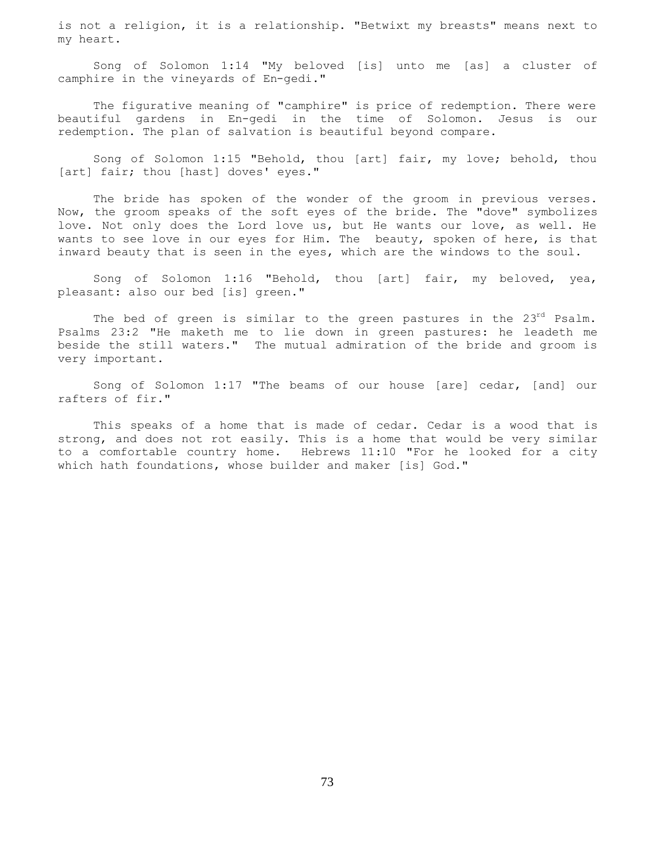is not a religion, it is a relationship. "Betwixt my breasts" means next to my heart.

 Song of Solomon 1:14 "My beloved [is] unto me [as] a cluster of camphire in the vineyards of En-gedi."

 The figurative meaning of "camphire" is price of redemption. There were beautiful gardens in En-gedi in the time of Solomon. Jesus is our redemption. The plan of salvation is beautiful beyond compare.

 Song of Solomon 1:15 "Behold, thou [art] fair, my love; behold, thou [art] fair; thou [hast] doves' eyes."

 The bride has spoken of the wonder of the groom in previous verses. Now, the groom speaks of the soft eyes of the bride. The "dove" symbolizes love. Not only does the Lord love us, but He wants our love, as well. He wants to see love in our eyes for Him. The beauty, spoken of here, is that inward beauty that is seen in the eyes, which are the windows to the soul.

 Song of Solomon 1:16 "Behold, thou [art] fair, my beloved, yea, pleasant: also our bed [is] green."

The bed of green is similar to the green pastures in the  $23^{rd}$  Psalm. Psalms 23:2 "He maketh me to lie down in green pastures: he leadeth me beside the still waters." The mutual admiration of the bride and groom is very important.

 Song of Solomon 1:17 "The beams of our house [are] cedar, [and] our rafters of fir."

 This speaks of a home that is made of cedar. Cedar is a wood that is strong, and does not rot easily. This is a home that would be very similar to a comfortable country home. Hebrews 11:10 "For he looked for a city which hath foundations, whose builder and maker [is] God."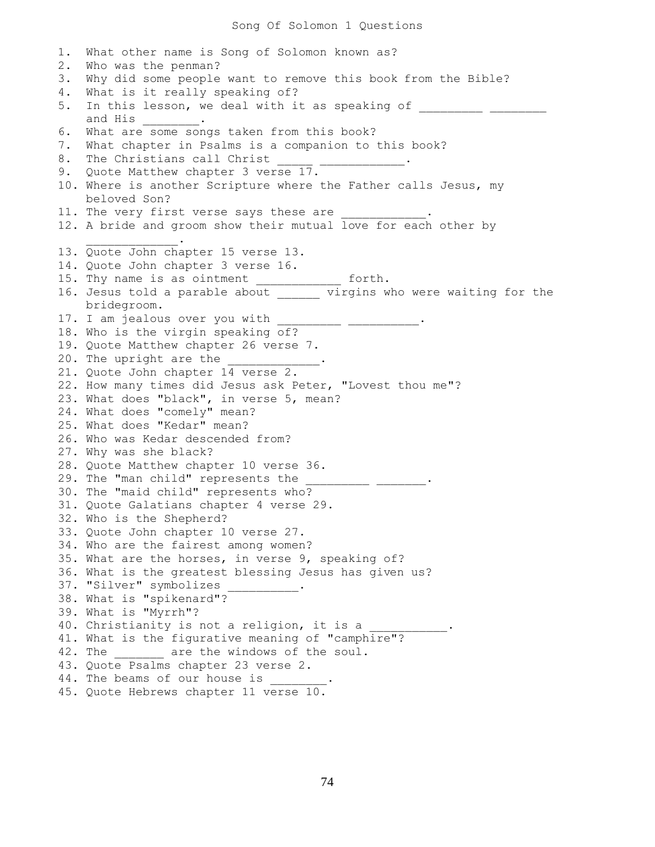1. What other name is Song of Solomon known as? 2. Who was the penman? 3. Why did some people want to remove this book from the Bible? 4. What is it really speaking of? 5. In this lesson, we deal with it as speaking of \_\_\_\_\_\_\_\_\_\_ \_\_\_ and His \_\_\_\_\_\_\_\_\_. 6. What are some songs taken from this book? 7. What chapter in Psalms is a companion to this book? 8. The Christians call Christ 9. Quote Matthew chapter 3 verse 17. 10. Where is another Scripture where the Father calls Jesus, my beloved Son? 11. The very first verse says these are 12. A bride and groom show their mutual love for each other by  $\mathcal{L}=\mathcal{L}=\mathcal{L}=\mathcal{L}=\mathcal{L}=\mathcal{L}=\mathcal{L}$ 13. Quote John chapter 15 verse 13. 14. Quote John chapter 3 verse 16. 15. Thy name is as ointment \_\_\_\_\_\_\_\_\_\_\_\_\_ forth. 16. Jesus told a parable about \_\_\_\_\_\_\_ virgins who were waiting for the bridegroom. 17. I am jealous over you with \_\_\_\_\_\_\_\_\_\_ \_\_\_\_\_\_\_\_\_\_\_. 18. Who is the virgin speaking of? 19. Quote Matthew chapter 26 verse 7. 20. The upright are the 21. Quote John chapter 14 verse 2. 22. How many times did Jesus ask Peter, "Lovest thou me"? 23. What does "black", in verse 5, mean? 24. What does "comely" mean? 25. What does "Kedar" mean? 26. Who was Kedar descended from? 27. Why was she black? 28. Quote Matthew chapter 10 verse 36. 29. The "man child" represents the 30. The "maid child" represents who? 31. Quote Galatians chapter 4 verse 29. 32. Who is the Shepherd? 33. Quote John chapter 10 verse 27. 34. Who are the fairest among women? 35. What are the horses, in verse 9, speaking of? 36. What is the greatest blessing Jesus has given us? 37. "Silver" symbolizes 38. What is "spikenard"? 39. What is "Myrrh"? 40. Christianity is not a religion, it is a 41. What is the figurative meaning of "camphire"? 42. The \_\_\_\_\_\_\_\_ are the windows of the soul. 43. Quote Psalms chapter 23 verse 2. 44. The beams of our house is 45. Quote Hebrews chapter 11 verse 10.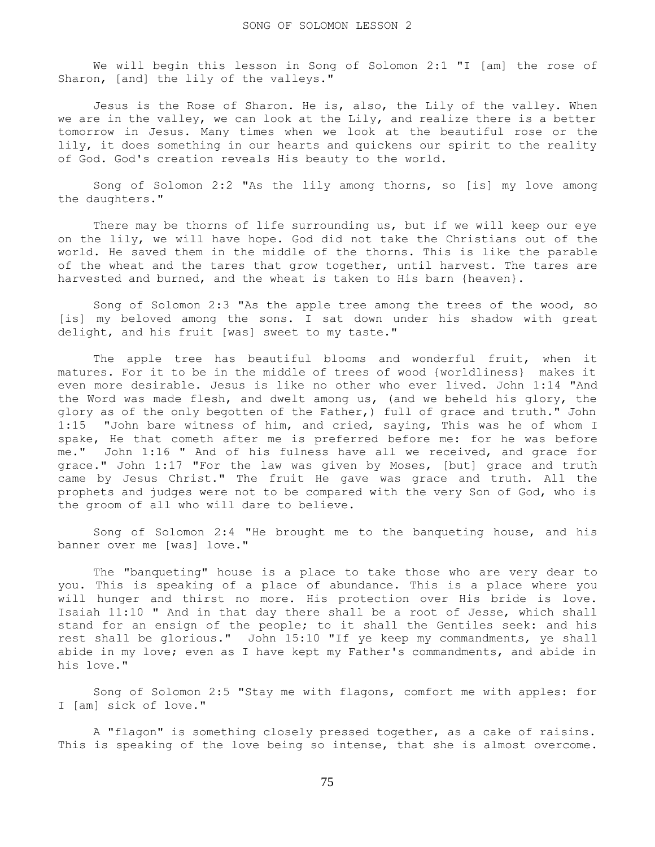We will begin this lesson in Song of Solomon 2:1 "I [am] the rose of Sharon, [and] the lily of the valleys."

Jesus is the Rose of Sharon. He is, also, the Lily of the valley. When we are in the valley, we can look at the Lily, and realize there is a better tomorrow in Jesus. Many times when we look at the beautiful rose or the lily, it does something in our hearts and quickens our spirit to the reality of God. God's creation reveals His beauty to the world.

 Song of Solomon 2:2 "As the lily among thorns, so [is] my love among the daughters."

 There may be thorns of life surrounding us, but if we will keep our eye on the lily, we will have hope. God did not take the Christians out of the world. He saved them in the middle of the thorns. This is like the parable of the wheat and the tares that grow together, until harvest. The tares are harvested and burned, and the wheat is taken to His barn {heaven}.

 Song of Solomon 2:3 "As the apple tree among the trees of the wood, so [is] my beloved among the sons. I sat down under his shadow with great delight, and his fruit [was] sweet to my taste."

 The apple tree has beautiful blooms and wonderful fruit, when it matures. For it to be in the middle of trees of wood {worldliness} makes it even more desirable. Jesus is like no other who ever lived. John 1:14 "And the Word was made flesh, and dwelt among us, (and we beheld his glory, the glory as of the only begotten of the Father,) full of grace and truth." John 1:15 "John bare witness of him, and cried, saying, This was he of whom I spake, He that cometh after me is preferred before me: for he was before me." John 1:16 " And of his fulness have all we received, and grace for grace." John 1:17 "For the law was given by Moses, [but] grace and truth came by Jesus Christ." The fruit He gave was grace and truth. All the prophets and judges were not to be compared with the very Son of God, who is the groom of all who will dare to believe.

 Song of Solomon 2:4 "He brought me to the banqueting house, and his banner over me [was] love."

 The "banqueting" house is a place to take those who are very dear to you. This is speaking of a place of abundance. This is a place where you will hunger and thirst no more. His protection over His bride is love. Isaiah 11:10 " And in that day there shall be a root of Jesse, which shall stand for an ensign of the people; to it shall the Gentiles seek: and his rest shall be glorious." John 15:10 "If ye keep my commandments, ye shall abide in my love; even as I have kept my Father's commandments, and abide in his love."

 Song of Solomon 2:5 "Stay me with flagons, comfort me with apples: for I [am] sick of love."

 A "flagon" is something closely pressed together, as a cake of raisins. This is speaking of the love being so intense, that she is almost overcome.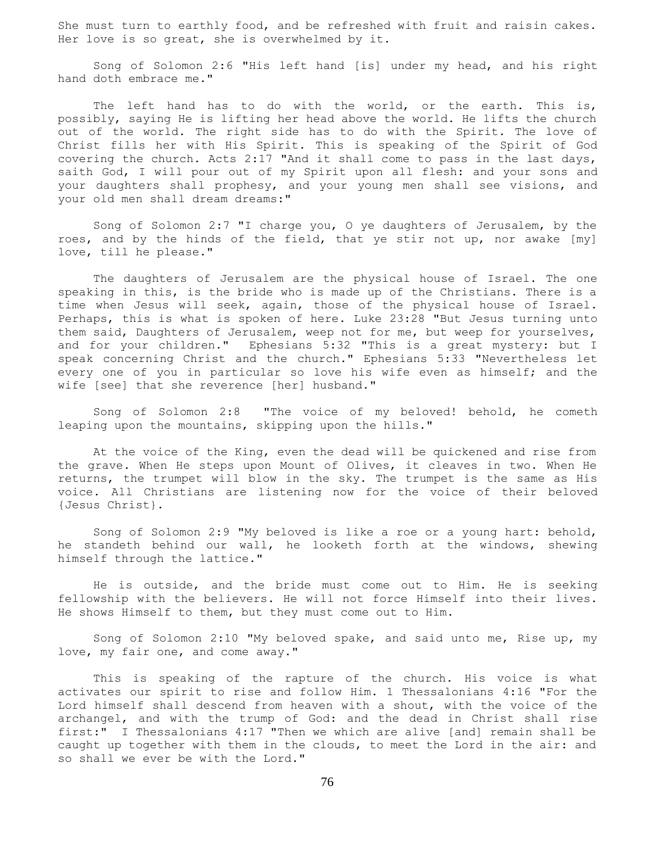She must turn to earthly food, and be refreshed with fruit and raisin cakes. Her love is so great, she is overwhelmed by it.

 Song of Solomon 2:6 "His left hand [is] under my head, and his right hand doth embrace me."

The left hand has to do with the world, or the earth. This is, possibly, saying He is lifting her head above the world. He lifts the church out of the world. The right side has to do with the Spirit. The love of Christ fills her with His Spirit. This is speaking of the Spirit of God covering the church. Acts 2:17 "And it shall come to pass in the last days, saith God, I will pour out of my Spirit upon all flesh: and your sons and your daughters shall prophesy, and your young men shall see visions, and your old men shall dream dreams:"

 Song of Solomon 2:7 "I charge you, O ye daughters of Jerusalem, by the roes, and by the hinds of the field, that ye stir not up, nor awake [my] love, till he please."

 The daughters of Jerusalem are the physical house of Israel. The one speaking in this, is the bride who is made up of the Christians. There is a time when Jesus will seek, again, those of the physical house of Israel. Perhaps, this is what is spoken of here. Luke 23:28 "But Jesus turning unto them said, Daughters of Jerusalem, weep not for me, but weep for yourselves, and for your children." Ephesians 5:32 "This is a great mystery: but I speak concerning Christ and the church." Ephesians 5:33 "Nevertheless let every one of you in particular so love his wife even as himself; and the wife [see] that she reverence [her] husband."

 Song of Solomon 2:8 "The voice of my beloved! behold, he cometh leaping upon the mountains, skipping upon the hills."

 At the voice of the King, even the dead will be quickened and rise from the grave. When He steps upon Mount of Olives, it cleaves in two. When He returns, the trumpet will blow in the sky. The trumpet is the same as His voice. All Christians are listening now for the voice of their beloved {Jesus Christ}.

 Song of Solomon 2:9 "My beloved is like a roe or a young hart: behold, he standeth behind our wall, he looketh forth at the windows, shewing himself through the lattice."

 He is outside, and the bride must come out to Him. He is seeking fellowship with the believers. He will not force Himself into their lives. He shows Himself to them, but they must come out to Him.

 Song of Solomon 2:10 "My beloved spake, and said unto me, Rise up, my love, my fair one, and come away."

 This is speaking of the rapture of the church. His voice is what activates our spirit to rise and follow Him. 1 Thessalonians 4:16 "For the Lord himself shall descend from heaven with a shout, with the voice of the archangel, and with the trump of God: and the dead in Christ shall rise first:" I Thessalonians 4:17 "Then we which are alive [and] remain shall be caught up together with them in the clouds, to meet the Lord in the air: and so shall we ever be with the Lord."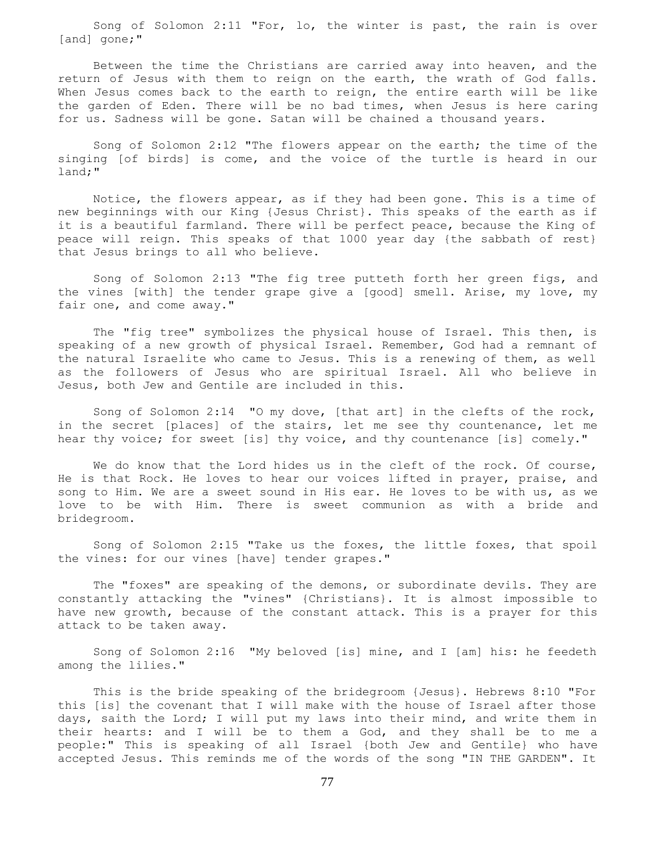Song of Solomon 2:11 "For, lo, the winter is past, the rain is over [and] gone;"

 Between the time the Christians are carried away into heaven, and the return of Jesus with them to reign on the earth, the wrath of God falls. When Jesus comes back to the earth to reign, the entire earth will be like the garden of Eden. There will be no bad times, when Jesus is here caring for us. Sadness will be gone. Satan will be chained a thousand years.

 Song of Solomon 2:12 "The flowers appear on the earth; the time of the singing [of birds] is come, and the voice of the turtle is heard in our land;"

 Notice, the flowers appear, as if they had been gone. This is a time of new beginnings with our King {Jesus Christ}. This speaks of the earth as if it is a beautiful farmland. There will be perfect peace, because the King of peace will reign. This speaks of that 1000 year day {the sabbath of rest} that Jesus brings to all who believe.

 Song of Solomon 2:13 "The fig tree putteth forth her green figs, and the vines [with] the tender grape give a [good] smell. Arise, my love, my fair one, and come away."

 The "fig tree" symbolizes the physical house of Israel. This then, is speaking of a new growth of physical Israel. Remember, God had a remnant of the natural Israelite who came to Jesus. This is a renewing of them, as well as the followers of Jesus who are spiritual Israel. All who believe in Jesus, both Jew and Gentile are included in this.

 Song of Solomon 2:14 "O my dove, [that art] in the clefts of the rock, in the secret [places] of the stairs, let me see thy countenance, let me hear thy voice; for sweet [is] thy voice, and thy countenance [is] comely."

We do know that the Lord hides us in the cleft of the rock. Of course, He is that Rock. He loves to hear our voices lifted in prayer, praise, and song to Him. We are a sweet sound in His ear. He loves to be with us, as we love to be with Him. There is sweet communion as with a bride and bridegroom.

 Song of Solomon 2:15 "Take us the foxes, the little foxes, that spoil the vines: for our vines [have] tender grapes."

 The "foxes" are speaking of the demons, or subordinate devils. They are constantly attacking the "vines" {Christians}. It is almost impossible to have new growth, because of the constant attack. This is a prayer for this attack to be taken away.

 Song of Solomon 2:16 "My beloved [is] mine, and I [am] his: he feedeth among the lilies."

 This is the bride speaking of the bridegroom {Jesus}. Hebrews 8:10 "For this [is] the covenant that I will make with the house of Israel after those days, saith the Lord; I will put my laws into their mind, and write them in their hearts: and I will be to them a God, and they shall be to me a people:" This is speaking of all Israel {both Jew and Gentile} who have accepted Jesus. This reminds me of the words of the song "IN THE GARDEN". It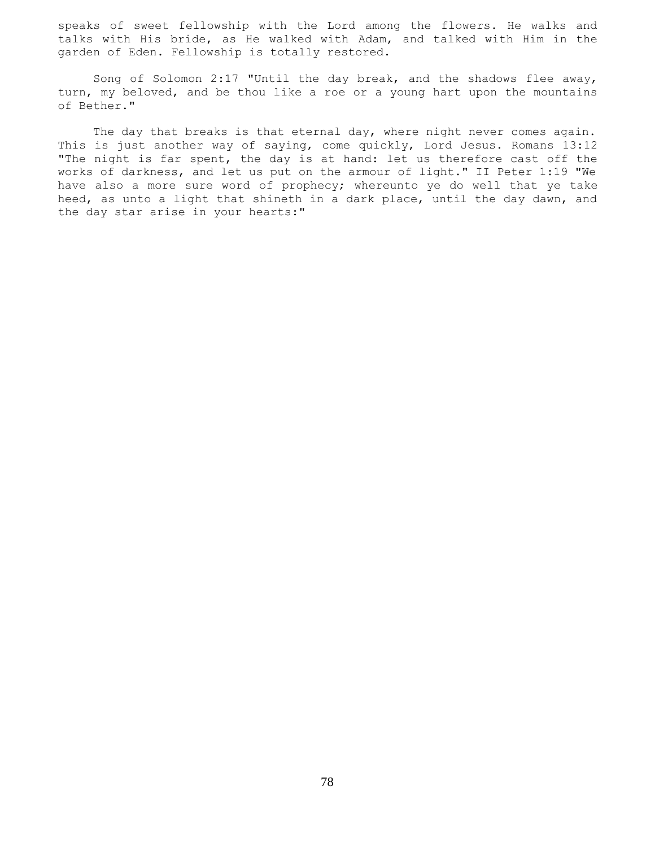speaks of sweet fellowship with the Lord among the flowers. He walks and talks with His bride, as He walked with Adam, and talked with Him in the garden of Eden. Fellowship is totally restored.

 Song of Solomon 2:17 "Until the day break, and the shadows flee away, turn, my beloved, and be thou like a roe or a young hart upon the mountains of Bether."

The day that breaks is that eternal day, where night never comes again. This is just another way of saying, come quickly, Lord Jesus. Romans 13:12 "The night is far spent, the day is at hand: let us therefore cast off the works of darkness, and let us put on the armour of light." II Peter 1:19 "We have also a more sure word of prophecy; whereunto ye do well that ye take heed, as unto a light that shineth in a dark place, until the day dawn, and the day star arise in your hearts:"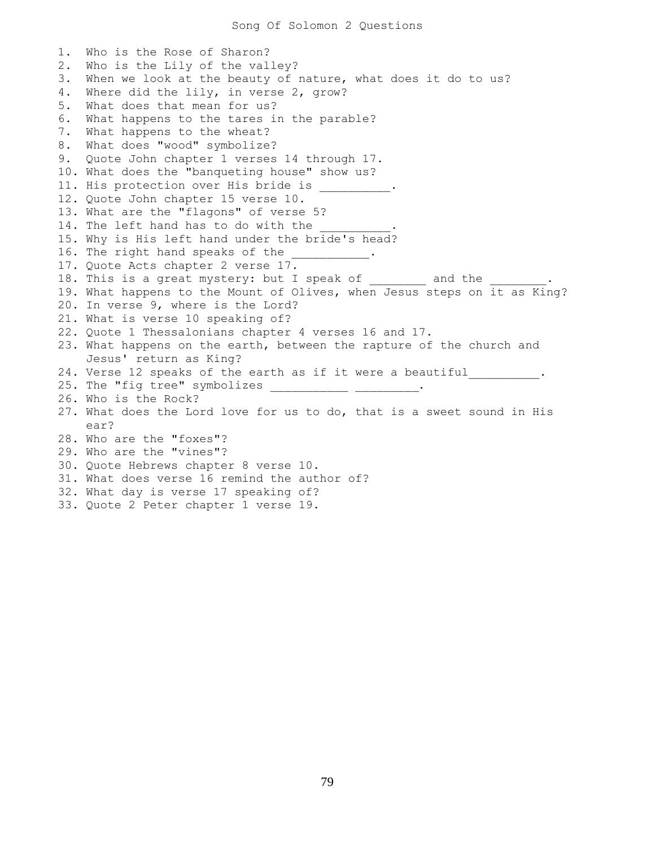1. Who is the Rose of Sharon? 2. Who is the Lily of the valley? 3. When we look at the beauty of nature, what does it do to us? 4. Where did the lily, in verse 2, grow? 5. What does that mean for us? 6. What happens to the tares in the parable? 7. What happens to the wheat? 8. What does "wood" symbolize? 9. Quote John chapter 1 verses 14 through 17. 10. What does the "banqueting house" show us? 11. His protection over His bride is 12. Quote John chapter 15 verse 10. 13. What are the "flagons" of verse 5? 14. The left hand has to do with the 15. Why is His left hand under the bride's head? 16. The right hand speaks of the 17. Quote Acts chapter 2 verse 17. 18. This is a great mystery: but I speak of and the 19. What happens to the Mount of Olives, when Jesus steps on it as King? 20. In verse 9, where is the Lord? 21. What is verse 10 speaking of? 22. Quote 1 Thessalonians chapter 4 verses 16 and 17. 23. What happens on the earth, between the rapture of the church and Jesus' return as King? 24. Verse 12 speaks of the earth as if it were a beautiful . 25. The "fig tree" symbolizes \_\_\_\_\_\_\_\_\_\_\_ \_\_\_\_\_\_\_\_\_. 26. Who is the Rock? 27. What does the Lord love for us to do, that is a sweet sound in His ear? 28. Who are the "foxes"? 29. Who are the "vines"? 30. Quote Hebrews chapter 8 verse 10. 31. What does verse 16 remind the author of? 32. What day is verse 17 speaking of? 33. Quote 2 Peter chapter 1 verse 19.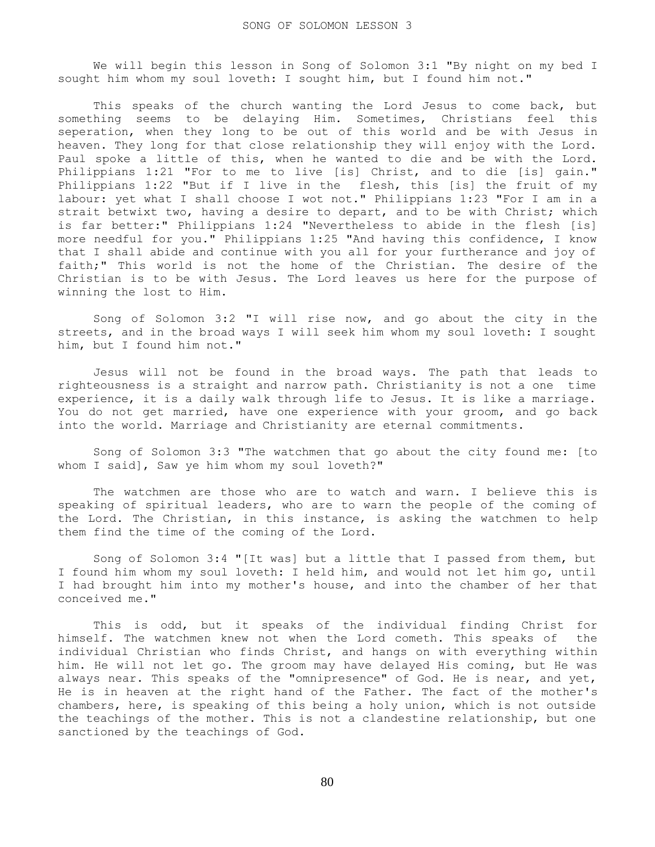We will begin this lesson in Song of Solomon 3:1 "By night on my bed I sought him whom my soul loveth: I sought him, but I found him not."

This speaks of the church wanting the Lord Jesus to come back, but something seems to be delaying Him. Sometimes, Christians feel this seperation, when they long to be out of this world and be with Jesus in heaven. They long for that close relationship they will enjoy with the Lord. Paul spoke a little of this, when he wanted to die and be with the Lord. Philippians 1:21 "For to me to live [is] Christ, and to die [is] gain." Philippians 1:22 "But if I live in the flesh, this [is] the fruit of my labour: yet what I shall choose I wot not." Philippians 1:23 "For I am in a strait betwixt two, having a desire to depart, and to be with Christ; which is far better:" Philippians 1:24 "Nevertheless to abide in the flesh [is] more needful for you." Philippians 1:25 "And having this confidence, I know that I shall abide and continue with you all for your furtherance and joy of faith;" This world is not the home of the Christian. The desire of the Christian is to be with Jesus. The Lord leaves us here for the purpose of winning the lost to Him.

 Song of Solomon 3:2 "I will rise now, and go about the city in the streets, and in the broad ways I will seek him whom my soul loveth: I sought him, but I found him not."

 Jesus will not be found in the broad ways. The path that leads to righteousness is a straight and narrow path. Christianity is not a one time experience, it is a daily walk through life to Jesus. It is like a marriage. You do not get married, have one experience with your groom, and go back into the world. Marriage and Christianity are eternal commitments.

 Song of Solomon 3:3 "The watchmen that go about the city found me: [to whom I said], Saw ye him whom my soul loveth?"

 The watchmen are those who are to watch and warn. I believe this is speaking of spiritual leaders, who are to warn the people of the coming of the Lord. The Christian, in this instance, is asking the watchmen to help them find the time of the coming of the Lord.

 Song of Solomon 3:4 "[It was] but a little that I passed from them, but I found him whom my soul loveth: I held him, and would not let him go, until I had brought him into my mother's house, and into the chamber of her that conceived me."

 This is odd, but it speaks of the individual finding Christ for himself. The watchmen knew not when the Lord cometh. This speaks of the individual Christian who finds Christ, and hangs on with everything within him. He will not let go. The groom may have delayed His coming, but He was always near. This speaks of the "omnipresence" of God. He is near, and yet, He is in heaven at the right hand of the Father. The fact of the mother's chambers, here, is speaking of this being a holy union, which is not outside the teachings of the mother. This is not a clandestine relationship, but one sanctioned by the teachings of God.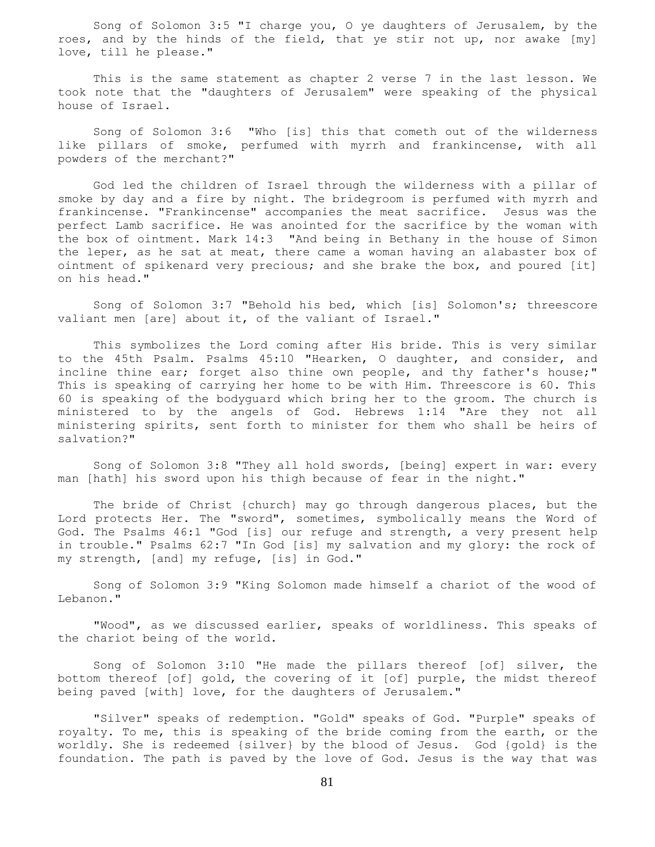Song of Solomon 3:5 "I charge you, O ye daughters of Jerusalem, by the roes, and by the hinds of the field, that ye stir not up, nor awake [my] love, till he please."

 This is the same statement as chapter 2 verse 7 in the last lesson. We took note that the "daughters of Jerusalem" were speaking of the physical house of Israel.

 Song of Solomon 3:6 "Who [is] this that cometh out of the wilderness like pillars of smoke, perfumed with myrrh and frankincense, with all powders of the merchant?"

 God led the children of Israel through the wilderness with a pillar of smoke by day and a fire by night. The bridegroom is perfumed with myrrh and frankincense. "Frankincense" accompanies the meat sacrifice. Jesus was the perfect Lamb sacrifice. He was anointed for the sacrifice by the woman with the box of ointment. Mark 14:3 "And being in Bethany in the house of Simon the leper, as he sat at meat, there came a woman having an alabaster box of ointment of spikenard very precious; and she brake the box, and poured [it] on his head."

 Song of Solomon 3:7 "Behold his bed, which [is] Solomon's; threescore valiant men [are] about it, of the valiant of Israel."

 This symbolizes the Lord coming after His bride. This is very similar to the 45th Psalm. Psalms 45:10 "Hearken, O daughter, and consider, and incline thine ear; forget also thine own people, and thy father's house;" This is speaking of carrying her home to be with Him. Threescore is 60. This 60 is speaking of the bodyguard which bring her to the groom. The church is ministered to by the angels of God. Hebrews 1:14 "Are they not all ministering spirits, sent forth to minister for them who shall be heirs of salvation?"

 Song of Solomon 3:8 "They all hold swords, [being] expert in war: every man [hath] his sword upon his thigh because of fear in the night."

 The bride of Christ {church} may go through dangerous places, but the Lord protects Her. The "sword", sometimes, symbolically means the Word of God. The Psalms 46:1 "God [is] our refuge and strength, a very present help in trouble." Psalms 62:7 "In God [is] my salvation and my glory: the rock of my strength, [and] my refuge, [is] in God."

 Song of Solomon 3:9 "King Solomon made himself a chariot of the wood of Lebanon."

 "Wood", as we discussed earlier, speaks of worldliness. This speaks of the chariot being of the world.

 Song of Solomon 3:10 "He made the pillars thereof [of] silver, the bottom thereof [of] gold, the covering of it [of] purple, the midst thereof being paved [with] love, for the daughters of Jerusalem."

 "Silver" speaks of redemption. "Gold" speaks of God. "Purple" speaks of royalty. To me, this is speaking of the bride coming from the earth, or the worldly. She is redeemed {silver} by the blood of Jesus. God {gold} is the foundation. The path is paved by the love of God. Jesus is the way that was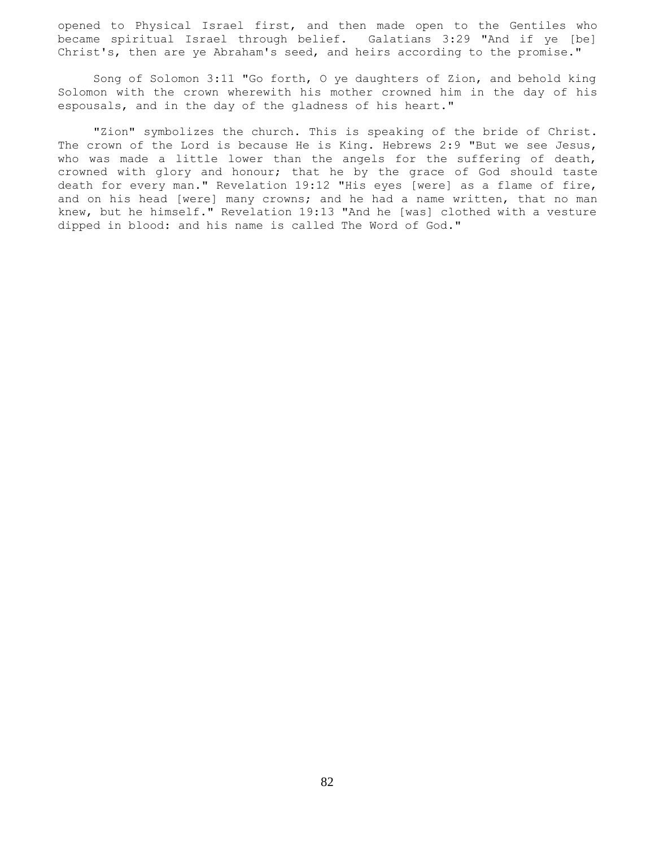opened to Physical Israel first, and then made open to the Gentiles who became spiritual Israel through belief. Galatians 3:29 "And if ye [be] Christ's, then are ye Abraham's seed, and heirs according to the promise."

 Song of Solomon 3:11 "Go forth, O ye daughters of Zion, and behold king Solomon with the crown wherewith his mother crowned him in the day of his espousals, and in the day of the gladness of his heart."

 "Zion" symbolizes the church. This is speaking of the bride of Christ. The crown of the Lord is because He is King. Hebrews 2:9 "But we see Jesus, who was made a little lower than the angels for the suffering of death, crowned with glory and honour; that he by the grace of God should taste death for every man." Revelation 19:12 "His eyes [were] as a flame of fire, and on his head [were] many crowns; and he had a name written, that no man knew, but he himself." Revelation 19:13 "And he [was] clothed with a vesture dipped in blood: and his name is called The Word of God."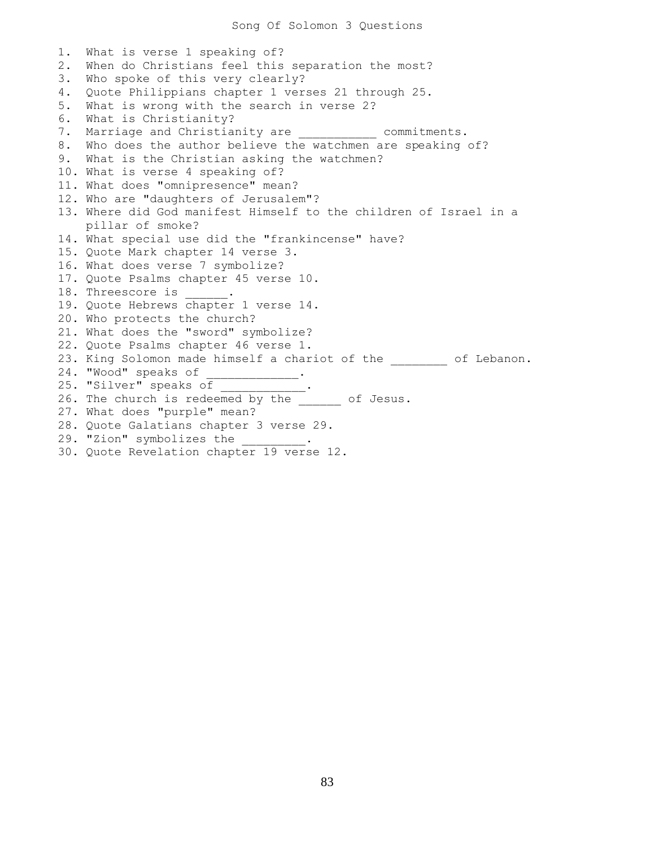Song Of Solomon 3 Questions

1. What is verse 1 speaking of? 2. When do Christians feel this separation the most? 3. Who spoke of this very clearly? 4. Quote Philippians chapter 1 verses 21 through 25. 5. What is wrong with the search in verse 2? 6. What is Christianity? 7. Marriage and Christianity are  $\sim$  commitments. 8. Who does the author believe the watchmen are speaking of? 9. What is the Christian asking the watchmen? 10. What is verse 4 speaking of? 11. What does "omnipresence" mean? 12. Who are "daughters of Jerusalem"? 13. Where did God manifest Himself to the children of Israel in a pillar of smoke? 14. What special use did the "frankincense" have? 15. Quote Mark chapter 14 verse 3. 16. What does verse 7 symbolize? 17. Quote Psalms chapter 45 verse 10. 18. Threescore is \_\_\_\_\_\_. 19. Quote Hebrews chapter 1 verse 14. 20. Who protects the church? 21. What does the "sword" symbolize? 22. Quote Psalms chapter 46 verse 1. 23. King Solomon made himself a chariot of the \_\_\_\_\_\_\_ of Lebanon. 24. "Wood" speaks of \_\_\_\_\_\_\_\_\_\_\_\_. 25. "Silver" speaks of 26. Direct because of \_\_\_\_\_\_\_\_\_\_\_.<br>26. The church is redeemed by the of Jesus. 27. What does "purple" mean? 28. Quote Galatians chapter 3 verse 29. 29. "Zion" symbolizes the 30. Quote Revelation chapter 19 verse 12.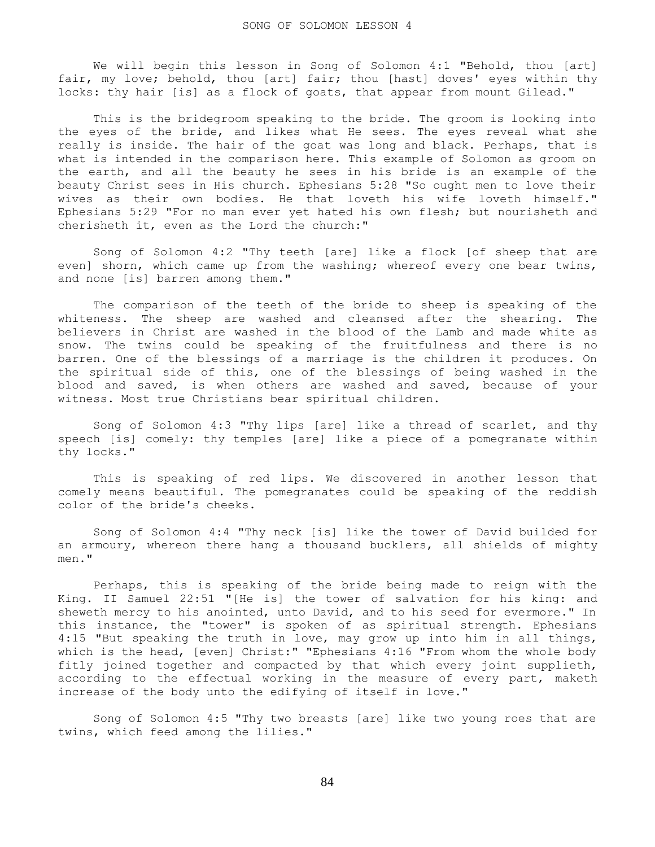We will begin this lesson in Song of Solomon 4:1 "Behold, thou [art] fair, my love; behold, thou [art] fair; thou [hast] doves' eyes within thy locks: thy hair [is] as a flock of goats, that appear from mount Gilead."

 This is the bridegroom speaking to the bride. The groom is looking into the eyes of the bride, and likes what He sees. The eyes reveal what she really is inside. The hair of the goat was long and black. Perhaps, that is what is intended in the comparison here. This example of Solomon as groom on the earth, and all the beauty he sees in his bride is an example of the beauty Christ sees in His church. Ephesians 5:28 "So ought men to love their wives as their own bodies. He that loveth his wife loveth himself." Ephesians 5:29 "For no man ever yet hated his own flesh; but nourisheth and cherisheth it, even as the Lord the church:"

 Song of Solomon 4:2 "Thy teeth [are] like a flock [of sheep that are even] shorn, which came up from the washing; whereof every one bear twins, and none [is] barren among them."

 The comparison of the teeth of the bride to sheep is speaking of the whiteness. The sheep are washed and cleansed after the shearing. The believers in Christ are washed in the blood of the Lamb and made white as snow. The twins could be speaking of the fruitfulness and there is no barren. One of the blessings of a marriage is the children it produces. On the spiritual side of this, one of the blessings of being washed in the blood and saved, is when others are washed and saved, because of your witness. Most true Christians bear spiritual children.

 Song of Solomon 4:3 "Thy lips [are] like a thread of scarlet, and thy speech [is] comely: thy temples [are] like a piece of a pomegranate within thy locks."

 This is speaking of red lips. We discovered in another lesson that comely means beautiful. The pomegranates could be speaking of the reddish color of the bride's cheeks.

 Song of Solomon 4:4 "Thy neck [is] like the tower of David builded for an armoury, whereon there hang a thousand bucklers, all shields of mighty men."

 Perhaps, this is speaking of the bride being made to reign with the King. II Samuel 22:51 "[He is] the tower of salvation for his king: and sheweth mercy to his anointed, unto David, and to his seed for evermore." In this instance, the "tower" is spoken of as spiritual strength. Ephesians 4:15 "But speaking the truth in love, may grow up into him in all things, which is the head, [even] Christ:" "Ephesians 4:16 "From whom the whole body fitly joined together and compacted by that which every joint supplieth, according to the effectual working in the measure of every part, maketh increase of the body unto the edifying of itself in love."

 Song of Solomon 4:5 "Thy two breasts [are] like two young roes that are twins, which feed among the lilies."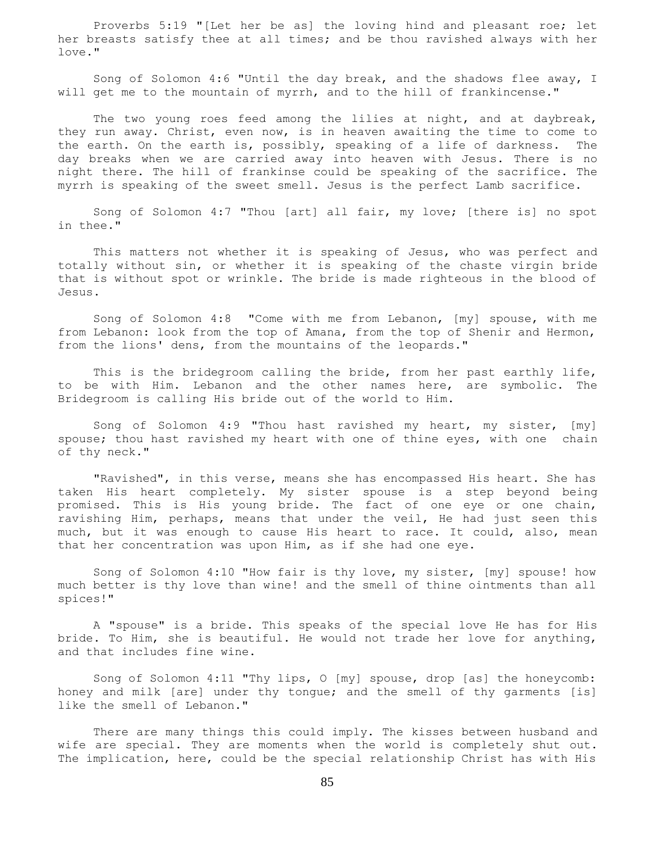Proverbs 5:19 "[Let her be as] the loving hind and pleasant roe; let her breasts satisfy thee at all times; and be thou ravished always with her love."

 Song of Solomon 4:6 "Until the day break, and the shadows flee away, I will get me to the mountain of myrrh, and to the hill of frankincense."

 The two young roes feed among the lilies at night, and at daybreak, they run away. Christ, even now, is in heaven awaiting the time to come to the earth. On the earth is, possibly, speaking of a life of darkness. The day breaks when we are carried away into heaven with Jesus. There is no night there. The hill of frankinse could be speaking of the sacrifice. The myrrh is speaking of the sweet smell. Jesus is the perfect Lamb sacrifice.

 Song of Solomon 4:7 "Thou [art] all fair, my love; [there is] no spot in thee."

 This matters not whether it is speaking of Jesus, who was perfect and totally without sin, or whether it is speaking of the chaste virgin bride that is without spot or wrinkle. The bride is made righteous in the blood of Jesus.

 Song of Solomon 4:8 "Come with me from Lebanon, [my] spouse, with me from Lebanon: look from the top of Amana, from the top of Shenir and Hermon, from the lions' dens, from the mountains of the leopards."

This is the bridegroom calling the bride, from her past earthly life, to be with Him. Lebanon and the other names here, are symbolic. The Bridegroom is calling His bride out of the world to Him.

 Song of Solomon 4:9 "Thou hast ravished my heart, my sister, [my] spouse; thou hast ravished my heart with one of thine eyes, with one chain of thy neck."

 "Ravished", in this verse, means she has encompassed His heart. She has taken His heart completely. My sister spouse is a step beyond being promised. This is His young bride. The fact of one eye or one chain, ravishing Him, perhaps, means that under the veil, He had just seen this much, but it was enough to cause His heart to race. It could, also, mean that her concentration was upon Him, as if she had one eye.

 Song of Solomon 4:10 "How fair is thy love, my sister, [my] spouse! how much better is thy love than wine! and the smell of thine ointments than all spices!"

 A "spouse" is a bride. This speaks of the special love He has for His bride. To Him, she is beautiful. He would not trade her love for anything, and that includes fine wine.

 Song of Solomon 4:11 "Thy lips, O [my] spouse, drop [as] the honeycomb: honey and milk [are] under thy tongue; and the smell of thy garments [is] like the smell of Lebanon."

 There are many things this could imply. The kisses between husband and wife are special. They are moments when the world is completely shut out. The implication, here, could be the special relationship Christ has with His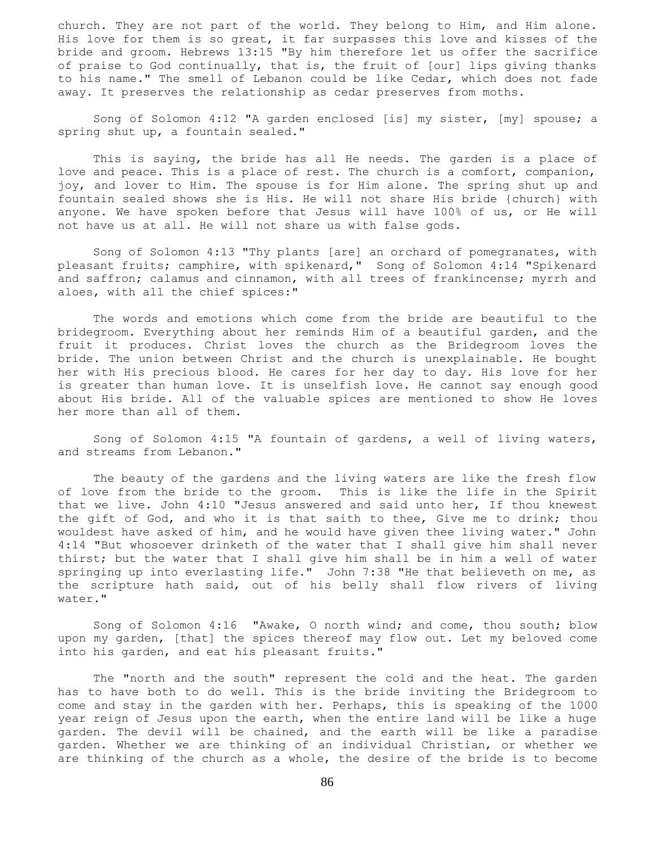church. They are not part of the world. They belong to Him, and Him alone. His love for them is so great, it far surpasses this love and kisses of the bride and groom. Hebrews 13:15 "By him therefore let us offer the sacrifice of praise to God continually, that is, the fruit of [our] lips giving thanks to his name." The smell of Lebanon could be like Cedar, which does not fade away. It preserves the relationship as cedar preserves from moths.

 Song of Solomon 4:12 "A garden enclosed [is] my sister, [my] spouse; a spring shut up, a fountain sealed."

 This is saying, the bride has all He needs. The garden is a place of love and peace. This is a place of rest. The church is a comfort, companion, joy, and lover to Him. The spouse is for Him alone. The spring shut up and fountain sealed shows she is His. He will not share His bride {church} with anyone. We have spoken before that Jesus will have 100% of us, or He will not have us at all. He will not share us with false gods.

 Song of Solomon 4:13 "Thy plants [are] an orchard of pomegranates, with pleasant fruits; camphire, with spikenard," Song of Solomon 4:14 "Spikenard and saffron; calamus and cinnamon, with all trees of frankincense; myrrh and aloes, with all the chief spices:"

 The words and emotions which come from the bride are beautiful to the bridegroom. Everything about her reminds Him of a beautiful garden, and the fruit it produces. Christ loves the church as the Bridegroom loves the bride. The union between Christ and the church is unexplainable. He bought her with His precious blood. He cares for her day to day. His love for her is greater than human love. It is unselfish love. He cannot say enough good about His bride. All of the valuable spices are mentioned to show He loves her more than all of them.

 Song of Solomon 4:15 "A fountain of gardens, a well of living waters, and streams from Lebanon."

 The beauty of the gardens and the living waters are like the fresh flow of love from the bride to the groom. This is like the life in the Spirit that we live. John 4:10 "Jesus answered and said unto her, If thou knewest the gift of God, and who it is that saith to thee, Give me to drink; thou wouldest have asked of him, and he would have given thee living water." John 4:14 "But whosoever drinketh of the water that I shall give him shall never thirst; but the water that I shall give him shall be in him a well of water springing up into everlasting life." John 7:38 "He that believeth on me, as the scripture hath said, out of his belly shall flow rivers of living water."

 Song of Solomon 4:16 "Awake, O north wind; and come, thou south; blow upon my garden, [that] the spices thereof may flow out. Let my beloved come into his garden, and eat his pleasant fruits."

 The "north and the south" represent the cold and the heat. The garden has to have both to do well. This is the bride inviting the Bridegroom to come and stay in the garden with her. Perhaps, this is speaking of the 1000 year reign of Jesus upon the earth, when the entire land will be like a huge garden. The devil will be chained, and the earth will be like a paradise garden. Whether we are thinking of an individual Christian, or whether we are thinking of the church as a whole, the desire of the bride is to become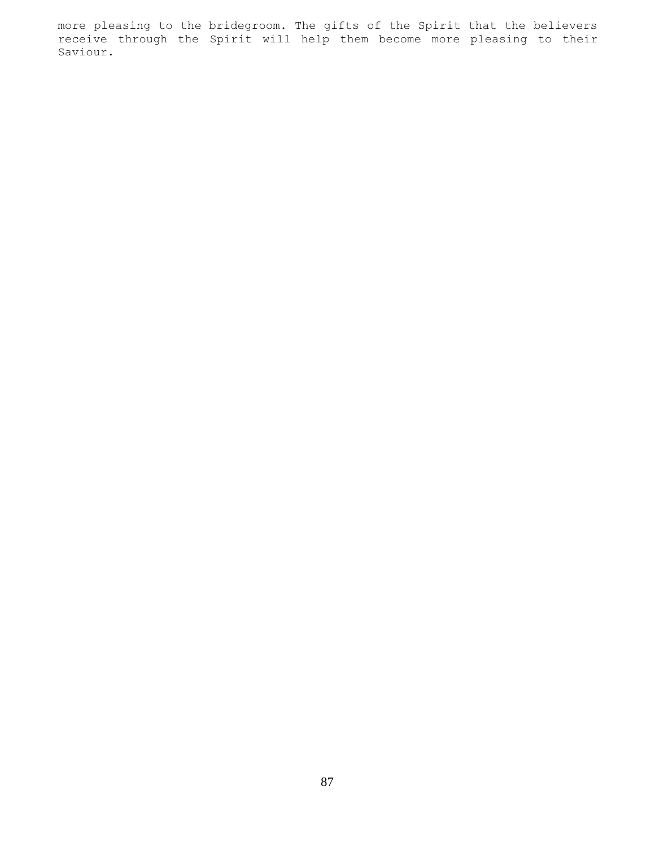more pleasing to the bridegroom. The gifts of the Spirit that the believers receive through the Spirit will help them become more pleasing to their Saviour.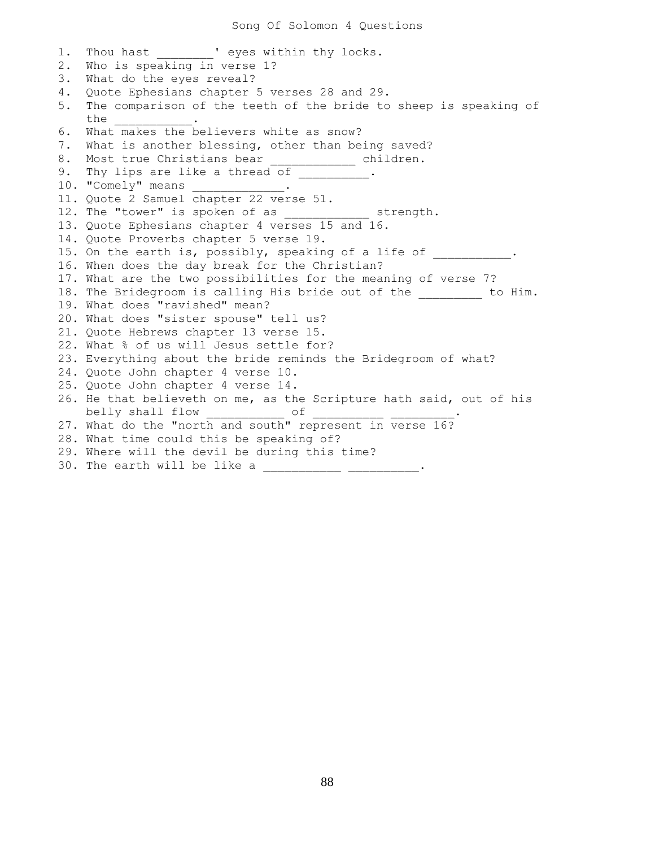1. Thou hast Teyes within thy locks. 2. Who is speaking in verse 1? 3. What do the eyes reveal? 4. Quote Ephesians chapter 5 verses 28 and 29. 5. The comparison of the teeth of the bride to sheep is speaking of the \_\_\_\_\_\_\_\_\_\_\_\_. 6. What makes the believers white as snow? 7. What is another blessing, other than being saved? 8. Most true Christians bear \_\_\_\_\_\_\_\_\_\_\_ children. 9. Thy lips are like a thread of \_\_\_\_\_\_\_\_\_\_\_. 10. "Comely" means ... 11. Quote 2 Samuel chapter 22 verse 51. 12. The "tower" is spoken of as  $\qquad \qquad$  strength. 13. Quote Ephesians chapter 4 verses 15 and 16. 14. Quote Proverbs chapter 5 verse 19. 15. On the earth is, possibly, speaking of a life of \_\_\_\_\_\_\_\_\_\_. 16. When does the day break for the Christian? 17. What are the two possibilities for the meaning of verse 7? 18. The Bridegroom is calling His bride out of the the to Him. 19. What does "ravished" mean? 20. What does "sister spouse" tell us? 21. Quote Hebrews chapter 13 verse 15. 22. What % of us will Jesus settle for? 23. Everything about the bride reminds the Bridegroom of what? 24. Quote John chapter 4 verse 10. 25. Quote John chapter 4 verse 14. 26. He that believeth on me, as the Scripture hath said, out of his belly shall flow  $\frac{1}{1-\frac{1}{2}}$  of  $\frac{1}{2}$ 27. What do the "north and south" represent in verse 16? 28. What time could this be speaking of? 29. Where will the devil be during this time? 30. The earth will be like a \_\_\_\_\_\_\_\_\_\_\_\_\_ \_\_\_\_\_\_\_\_\_\_\_.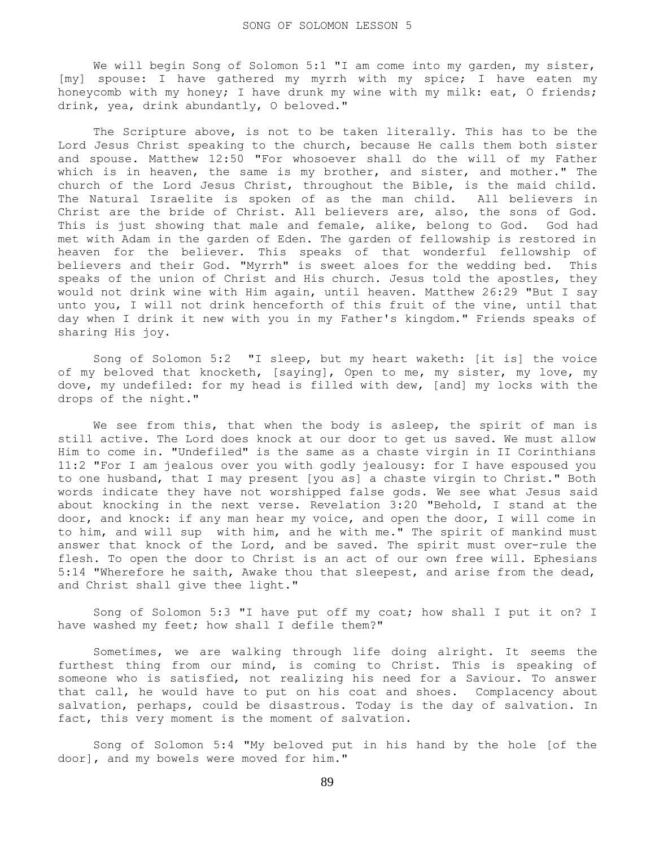We will begin Song of Solomon 5:1 "I am come into my garden, my sister, [my] spouse: I have gathered my myrrh with my spice; I have eaten my honeycomb with my honey; I have drunk my wine with my milk: eat, O friends; drink, yea, drink abundantly, O beloved."

 The Scripture above, is not to be taken literally. This has to be the Lord Jesus Christ speaking to the church, because He calls them both sister and spouse. Matthew 12:50 "For whosoever shall do the will of my Father which is in heaven, the same is my brother, and sister, and mother." The church of the Lord Jesus Christ, throughout the Bible, is the maid child. The Natural Israelite is spoken of as the man child. All believers in Christ are the bride of Christ. All believers are, also, the sons of God. This is just showing that male and female, alike, belong to God. God had met with Adam in the garden of Eden. The garden of fellowship is restored in heaven for the believer. This speaks of that wonderful fellowship of believers and their God. "Myrrh" is sweet aloes for the wedding bed. This speaks of the union of Christ and His church. Jesus told the apostles, they would not drink wine with Him again, until heaven. Matthew 26:29 "But I say unto you, I will not drink henceforth of this fruit of the vine, until that day when I drink it new with you in my Father's kingdom." Friends speaks of sharing His joy.

 Song of Solomon 5:2 "I sleep, but my heart waketh: [it is] the voice of my beloved that knocketh, [saying], Open to me, my sister, my love, my dove, my undefiled: for my head is filled with dew, [and] my locks with the drops of the night."

We see from this, that when the body is asleep, the spirit of man is still active. The Lord does knock at our door to get us saved. We must allow Him to come in. "Undefiled" is the same as a chaste virgin in II Corinthians 11:2 "For I am jealous over you with godly jealousy: for I have espoused you to one husband, that I may present [you as] a chaste virgin to Christ." Both words indicate they have not worshipped false gods. We see what Jesus said about knocking in the next verse. Revelation 3:20 "Behold, I stand at the door, and knock: if any man hear my voice, and open the door, I will come in to him, and will sup with him, and he with me." The spirit of mankind must answer that knock of the Lord, and be saved. The spirit must over-rule the flesh. To open the door to Christ is an act of our own free will. Ephesians 5:14 "Wherefore he saith, Awake thou that sleepest, and arise from the dead, and Christ shall give thee light."

 Song of Solomon 5:3 "I have put off my coat; how shall I put it on? I have washed my feet; how shall I defile them?"

 Sometimes, we are walking through life doing alright. It seems the furthest thing from our mind, is coming to Christ. This is speaking of someone who is satisfied, not realizing his need for a Saviour. To answer that call, he would have to put on his coat and shoes. Complacency about salvation, perhaps, could be disastrous. Today is the day of salvation. In fact, this very moment is the moment of salvation.

 Song of Solomon 5:4 "My beloved put in his hand by the hole [of the door], and my bowels were moved for him."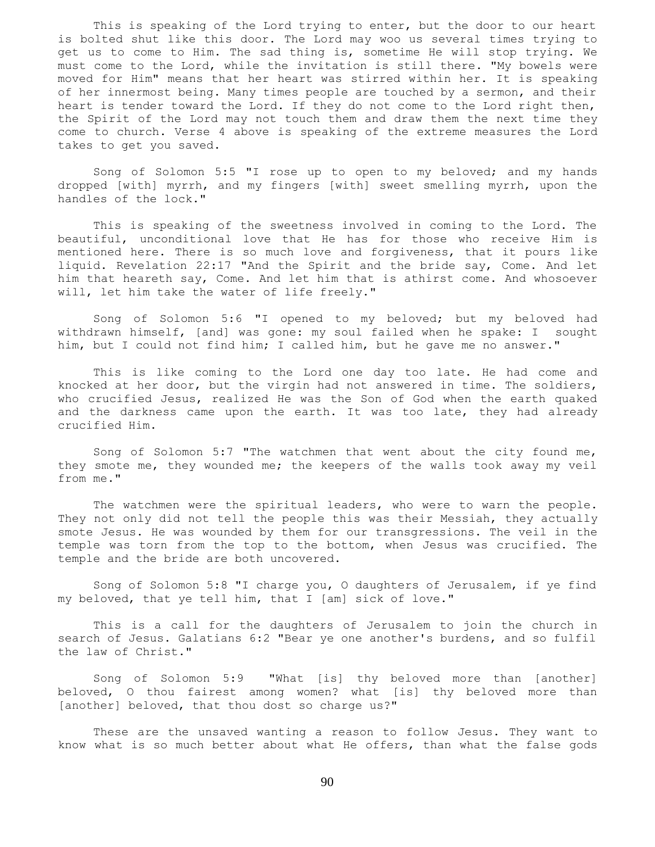This is speaking of the Lord trying to enter, but the door to our heart is bolted shut like this door. The Lord may woo us several times trying to get us to come to Him. The sad thing is, sometime He will stop trying. We must come to the Lord, while the invitation is still there. "My bowels were moved for Him" means that her heart was stirred within her. It is speaking of her innermost being. Many times people are touched by a sermon, and their heart is tender toward the Lord. If they do not come to the Lord right then, the Spirit of the Lord may not touch them and draw them the next time they come to church. Verse 4 above is speaking of the extreme measures the Lord takes to get you saved.

 Song of Solomon 5:5 "I rose up to open to my beloved; and my hands dropped [with] myrrh, and my fingers [with] sweet smelling myrrh, upon the handles of the lock."

 This is speaking of the sweetness involved in coming to the Lord. The beautiful, unconditional love that He has for those who receive Him is mentioned here. There is so much love and forgiveness, that it pours like liquid. Revelation 22:17 "And the Spirit and the bride say, Come. And let him that heareth say, Come. And let him that is athirst come. And whosoever will, let him take the water of life freely."

 Song of Solomon 5:6 "I opened to my beloved; but my beloved had withdrawn himself, [and] was gone: my soul failed when he spake: I sought him, but I could not find him; I called him, but he gave me no answer."

 This is like coming to the Lord one day too late. He had come and knocked at her door, but the virgin had not answered in time. The soldiers, who crucified Jesus, realized He was the Son of God when the earth quaked and the darkness came upon the earth. It was too late, they had already crucified Him.

 Song of Solomon 5:7 "The watchmen that went about the city found me, they smote me, they wounded me; the keepers of the walls took away my veil from me."

The watchmen were the spiritual leaders, who were to warn the people. They not only did not tell the people this was their Messiah, they actually smote Jesus. He was wounded by them for our transgressions. The veil in the temple was torn from the top to the bottom, when Jesus was crucified. The temple and the bride are both uncovered.

 Song of Solomon 5:8 "I charge you, O daughters of Jerusalem, if ye find my beloved, that ye tell him, that I [am] sick of love."

 This is a call for the daughters of Jerusalem to join the church in search of Jesus. Galatians 6:2 "Bear ye one another's burdens, and so fulfil the law of Christ."

 Song of Solomon 5:9 "What [is] thy beloved more than [another] beloved, O thou fairest among women? what [is] thy beloved more than [another] beloved, that thou dost so charge us?"

 These are the unsaved wanting a reason to follow Jesus. They want to know what is so much better about what He offers, than what the false gods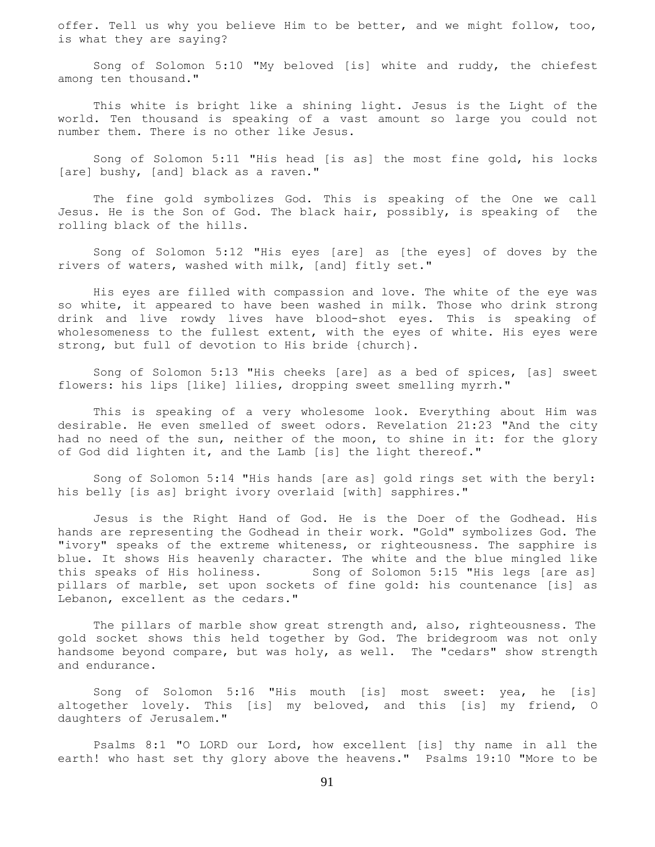offer. Tell us why you believe Him to be better, and we might follow, too, is what they are saying?

 Song of Solomon 5:10 "My beloved [is] white and ruddy, the chiefest among ten thousand."

 This white is bright like a shining light. Jesus is the Light of the world. Ten thousand is speaking of a vast amount so large you could not number them. There is no other like Jesus.

 Song of Solomon 5:11 "His head [is as] the most fine gold, his locks [are] bushy, [and] black as a raven."

 The fine gold symbolizes God. This is speaking of the One we call Jesus. He is the Son of God. The black hair, possibly, is speaking of the rolling black of the hills.

 Song of Solomon 5:12 "His eyes [are] as [the eyes] of doves by the rivers of waters, washed with milk, [and] fitly set."

 His eyes are filled with compassion and love. The white of the eye was so white, it appeared to have been washed in milk. Those who drink strong drink and live rowdy lives have blood-shot eyes. This is speaking of wholesomeness to the fullest extent, with the eyes of white. His eyes were strong, but full of devotion to His bride {church}.

 Song of Solomon 5:13 "His cheeks [are] as a bed of spices, [as] sweet flowers: his lips [like] lilies, dropping sweet smelling myrrh."

 This is speaking of a very wholesome look. Everything about Him was desirable. He even smelled of sweet odors. Revelation 21:23 "And the city had no need of the sun, neither of the moon, to shine in it: for the glory of God did lighten it, and the Lamb [is] the light thereof."

 Song of Solomon 5:14 "His hands [are as] gold rings set with the beryl: his belly [is as] bright ivory overlaid [with] sapphires."

 Jesus is the Right Hand of God. He is the Doer of the Godhead. His hands are representing the Godhead in their work. "Gold" symbolizes God. The "ivory" speaks of the extreme whiteness, or righteousness. The sapphire is blue. It shows His heavenly character. The white and the blue mingled like this speaks of His holiness. Song of Solomon 5:15 "His legs [are as] pillars of marble, set upon sockets of fine gold: his countenance [is] as Lebanon, excellent as the cedars."

 The pillars of marble show great strength and, also, righteousness. The gold socket shows this held together by God. The bridegroom was not only handsome beyond compare, but was holy, as well. The "cedars" show strength and endurance.

 Song of Solomon 5:16 "His mouth [is] most sweet: yea, he [is] altogether lovely. This [is] my beloved, and this [is] my friend, O daughters of Jerusalem."

 Psalms 8:1 "O LORD our Lord, how excellent [is] thy name in all the earth! who hast set thy glory above the heavens." Psalms 19:10 "More to be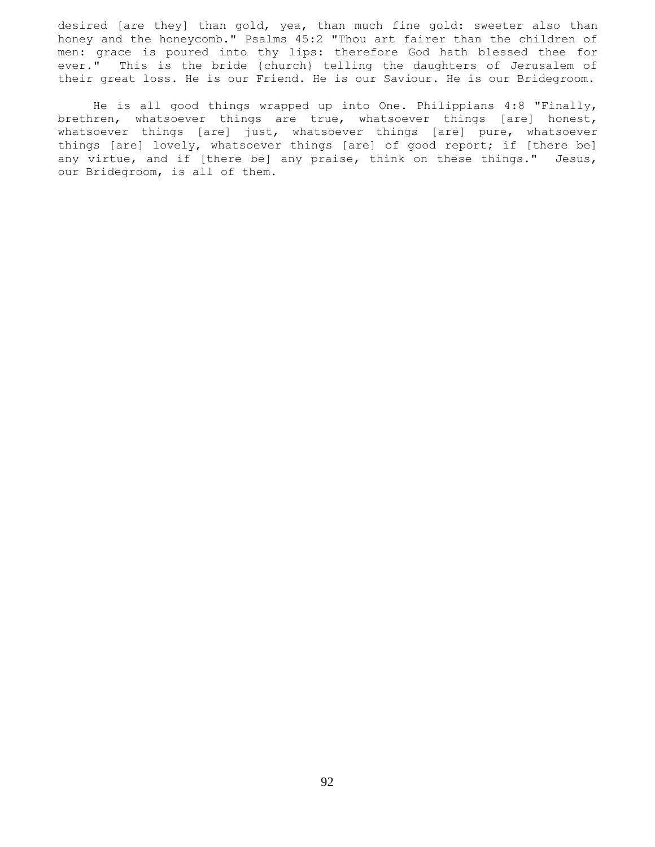desired [are they] than gold, yea, than much fine gold: sweeter also than honey and the honeycomb." Psalms 45:2 "Thou art fairer than the children of men: grace is poured into thy lips: therefore God hath blessed thee for ever." This is the bride {church} telling the daughters of Jerusalem of their great loss. He is our Friend. He is our Saviour. He is our Bridegroom.

 He is all good things wrapped up into One. Philippians 4:8 "Finally, brethren, whatsoever things are true, whatsoever things [are] honest, whatsoever things [are] just, whatsoever things [are] pure, whatsoever things [are] lovely, whatsoever things [are] of good report; if [there be] any virtue, and if [there be] any praise, think on these things." Jesus, our Bridegroom, is all of them.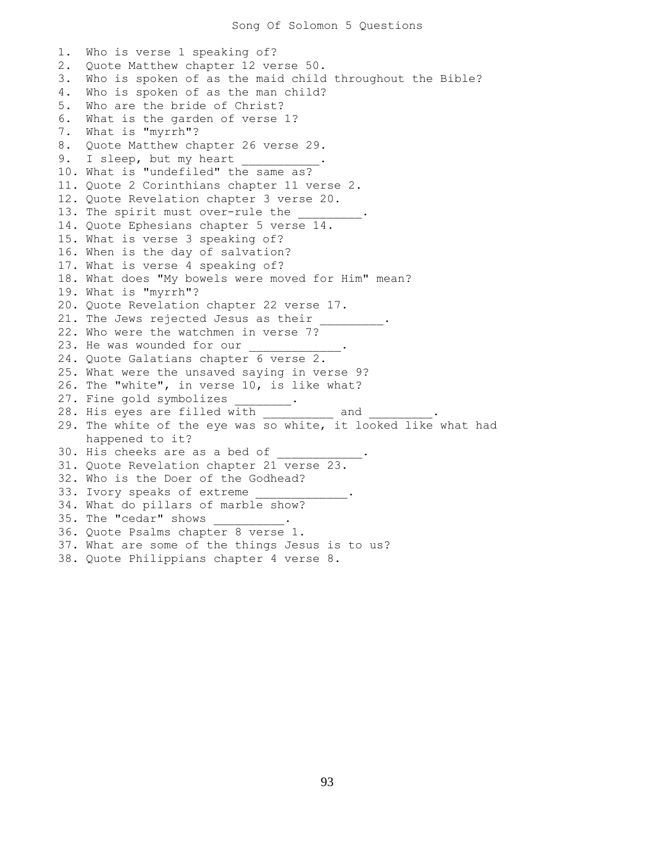1. Who is verse 1 speaking of? 2. Quote Matthew chapter 12 verse 50. 3. Who is spoken of as the maid child throughout the Bible? 4. Who is spoken of as the man child? 5. Who are the bride of Christ? 6. What is the garden of verse 1? 7. What is "myrrh"? 8. Quote Matthew chapter 26 verse 29. 9. I sleep, but my heart 10. What is "undefiled" the same as? 11. Quote 2 Corinthians chapter 11 verse 2. 12. Quote Revelation chapter 3 verse 20. 13. The spirit must over-rule the 14. Quote Ephesians chapter 5 verse 14. 15. What is verse 3 speaking of? 16. When is the day of salvation? 17. What is verse 4 speaking of? 18. What does "My bowels were moved for Him" mean? 19. What is "myrrh"? 20. Quote Revelation chapter 22 verse 17. 21. The Jews rejected Jesus as their 22. Who were the watchmen in verse 7? 23. He was wounded for our 24. Quote Galatians chapter 6 verse 2. 25. What were the unsaved saying in verse 9? 26. The "white", in verse 10, is like what? 27. Fine gold symbolizes \_\_\_\_\_\_\_. 28. His eyes are filled with and the same cand the set of  $\sim$ 29. The white of the eye was so white, it looked like what had happened to it? 30. His cheeks are as a bed of 31. Quote Revelation chapter 21 verse 23. 32. Who is the Doer of the Godhead? 33. Ivory speaks of extreme 34. What do pillars of marble show? 35. The "cedar" shows 36. Quote Psalms chapter 8 verse 1. 37. What are some of the things Jesus is to us? 38. Quote Philippians chapter 4 verse 8.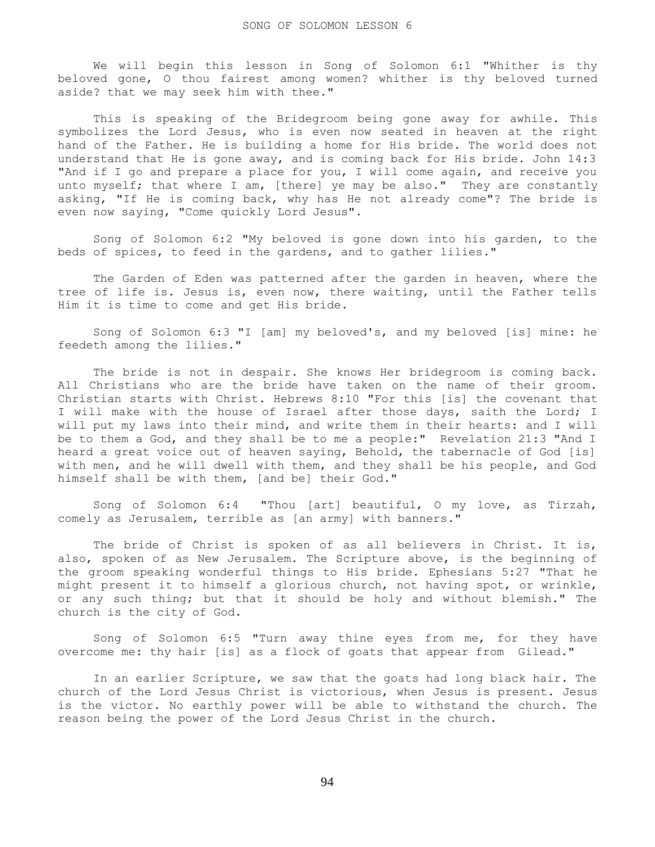We will begin this lesson in Song of Solomon 6:1 "Whither is thy beloved gone, O thou fairest among women? whither is thy beloved turned aside? that we may seek him with thee."

 This is speaking of the Bridegroom being gone away for awhile. This symbolizes the Lord Jesus, who is even now seated in heaven at the right hand of the Father. He is building a home for His bride. The world does not understand that He is gone away, and is coming back for His bride. John 14:3 "And if I go and prepare a place for you, I will come again, and receive you unto myself; that where I am, [there] ye may be also." They are constantly asking, "If He is coming back, why has He not already come"? The bride is even now saying, "Come quickly Lord Jesus".

 Song of Solomon 6:2 "My beloved is gone down into his garden, to the beds of spices, to feed in the gardens, and to gather lilies."

 The Garden of Eden was patterned after the garden in heaven, where the tree of life is. Jesus is, even now, there waiting, until the Father tells Him it is time to come and get His bride.

 Song of Solomon 6:3 "I [am] my beloved's, and my beloved [is] mine: he feedeth among the lilies."

 The bride is not in despair. She knows Her bridegroom is coming back. All Christians who are the bride have taken on the name of their groom. Christian starts with Christ. Hebrews 8:10 "For this [is] the covenant that I will make with the house of Israel after those days, saith the Lord; I will put my laws into their mind, and write them in their hearts: and I will be to them a God, and they shall be to me a people:" Revelation 21:3 "And I heard a great voice out of heaven saying, Behold, the tabernacle of God [is] with men, and he will dwell with them, and they shall be his people, and God himself shall be with them, [and be] their God."

 Song of Solomon 6:4 "Thou [art] beautiful, O my love, as Tirzah, comely as Jerusalem, terrible as [an army] with banners."

 The bride of Christ is spoken of as all believers in Christ. It is, also, spoken of as New Jerusalem. The Scripture above, is the beginning of the groom speaking wonderful things to His bride. Ephesians 5:27 "That he might present it to himself a glorious church, not having spot, or wrinkle, or any such thing; but that it should be holy and without blemish." The church is the city of God.

 Song of Solomon 6:5 "Turn away thine eyes from me, for they have overcome me: thy hair [is] as a flock of goats that appear from Gilead."

 In an earlier Scripture, we saw that the goats had long black hair. The church of the Lord Jesus Christ is victorious, when Jesus is present. Jesus is the victor. No earthly power will be able to withstand the church. The reason being the power of the Lord Jesus Christ in the church.

94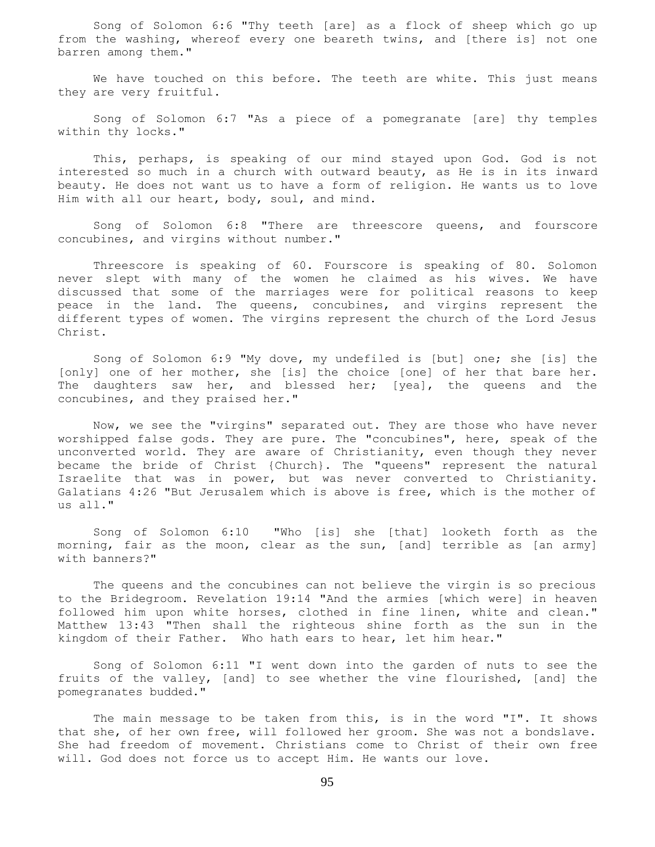Song of Solomon 6:6 "Thy teeth [are] as a flock of sheep which go up from the washing, whereof every one beareth twins, and [there is] not one barren among them."

 We have touched on this before. The teeth are white. This just means they are very fruitful.

 Song of Solomon 6:7 "As a piece of a pomegranate [are] thy temples within thy locks."

 This, perhaps, is speaking of our mind stayed upon God. God is not interested so much in a church with outward beauty, as He is in its inward beauty. He does not want us to have a form of religion. He wants us to love Him with all our heart, body, soul, and mind.

 Song of Solomon 6:8 "There are threescore queens, and fourscore concubines, and virgins without number."

 Threescore is speaking of 60. Fourscore is speaking of 80. Solomon never slept with many of the women he claimed as his wives. We have discussed that some of the marriages were for political reasons to keep peace in the land. The queens, concubines, and virgins represent the different types of women. The virgins represent the church of the Lord Jesus Christ.

 Song of Solomon 6:9 "My dove, my undefiled is [but] one; she [is] the [only] one of her mother, she [is] the choice [one] of her that bare her. The daughters saw her, and blessed her; [yea], the queens and the concubines, and they praised her."

 Now, we see the "virgins" separated out. They are those who have never worshipped false gods. They are pure. The "concubines", here, speak of the unconverted world. They are aware of Christianity, even though they never became the bride of Christ {Church}. The "queens" represent the natural Israelite that was in power, but was never converted to Christianity. Galatians 4:26 "But Jerusalem which is above is free, which is the mother of us all."

 Song of Solomon 6:10 "Who [is] she [that] looketh forth as the morning, fair as the moon, clear as the sun, [and] terrible as [an army] with banners?"

 The queens and the concubines can not believe the virgin is so precious to the Bridegroom. Revelation 19:14 "And the armies [which were] in heaven followed him upon white horses, clothed in fine linen, white and clean." Matthew 13:43 "Then shall the righteous shine forth as the sun in the kingdom of their Father. Who hath ears to hear, let him hear."

 Song of Solomon 6:11 "I went down into the garden of nuts to see the fruits of the valley, [and] to see whether the vine flourished, [and] the pomegranates budded."

The main message to be taken from this, is in the word "I". It shows that she, of her own free, will followed her groom. She was not a bondslave. She had freedom of movement. Christians come to Christ of their own free will. God does not force us to accept Him. He wants our love.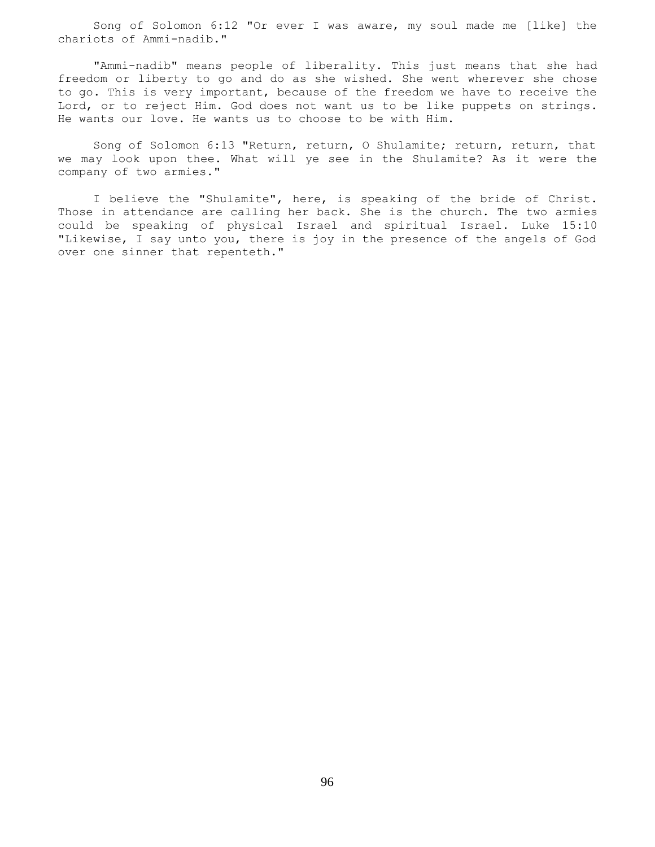Song of Solomon 6:12 "Or ever I was aware, my soul made me [like] the chariots of Ammi-nadib."

 "Ammi-nadib" means people of liberality. This just means that she had freedom or liberty to go and do as she wished. She went wherever she chose to go. This is very important, because of the freedom we have to receive the Lord, or to reject Him. God does not want us to be like puppets on strings. He wants our love. He wants us to choose to be with Him.

 Song of Solomon 6:13 "Return, return, O Shulamite; return, return, that we may look upon thee. What will ye see in the Shulamite? As it were the company of two armies."

 I believe the "Shulamite", here, is speaking of the bride of Christ. Those in attendance are calling her back. She is the church. The two armies could be speaking of physical Israel and spiritual Israel. Luke 15:10 "Likewise, I say unto you, there is joy in the presence of the angels of God over one sinner that repenteth."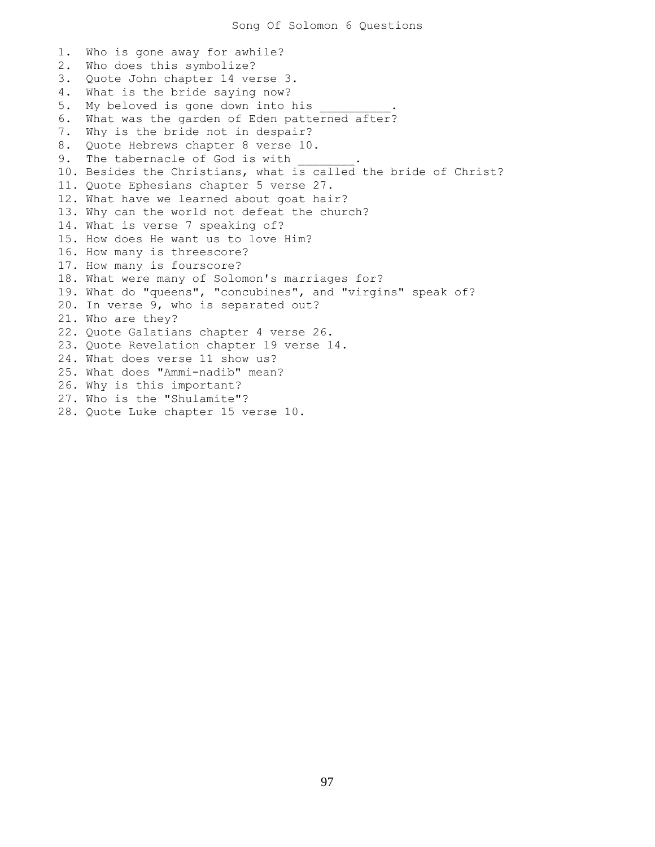1. Who is gone away for awhile? 2. Who does this symbolize? 3. Quote John chapter 14 verse 3. 4. What is the bride saying now? 5. My beloved is gone down into his 6. What was the garden of Eden patterned after? 7. Why is the bride not in despair? 8. Quote Hebrews chapter 8 verse 10. 9. The tabernacle of God is with 10. Besides the Christians, what is called the bride of Christ? 11. Quote Ephesians chapter 5 verse 27. 12. What have we learned about goat hair? 13. Why can the world not defeat the church? 14. What is verse 7 speaking of? 15. How does He want us to love Him? 16. How many is threescore? 17. How many is fourscore? 18. What were many of Solomon's marriages for? 19. What do "queens", "concubines", and "virgins" speak of? 20. In verse 9, who is separated out? 21. Who are they? 22. Quote Galatians chapter 4 verse 26. 23. Quote Revelation chapter 19 verse 14. 24. What does verse 11 show us? 25. What does "Ammi-nadib" mean? 26. Why is this important? 27. Who is the "Shulamite"? 28. Quote Luke chapter 15 verse 10.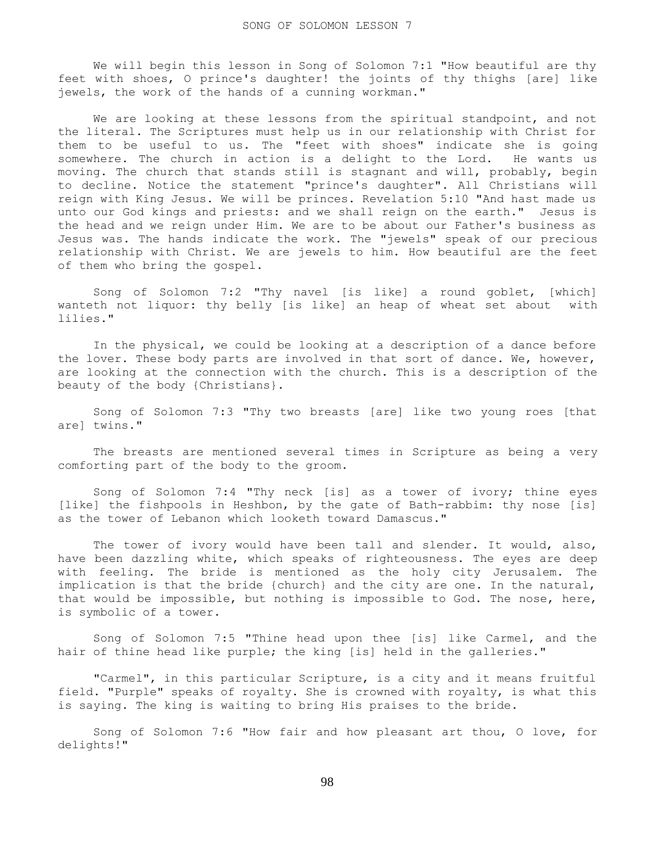We will begin this lesson in Song of Solomon 7:1 "How beautiful are thy feet with shoes, O prince's daughter! the joints of thy thighs [are] like jewels, the work of the hands of a cunning workman."

We are looking at these lessons from the spiritual standpoint, and not the literal. The Scriptures must help us in our relationship with Christ for them to be useful to us. The "feet with shoes" indicate she is going somewhere. The church in action is a delight to the Lord. He wants us moving. The church that stands still is stagnant and will, probably, begin to decline. Notice the statement "prince's daughter". All Christians will reign with King Jesus. We will be princes. Revelation 5:10 "And hast made us unto our God kings and priests: and we shall reign on the earth." Jesus is the head and we reign under Him. We are to be about our Father's business as Jesus was. The hands indicate the work. The "jewels" speak of our precious relationship with Christ. We are jewels to him. How beautiful are the feet of them who bring the gospel.

 Song of Solomon 7:2 "Thy navel [is like] a round goblet, [which] wanteth not liquor: thy belly [is like] an heap of wheat set about with lilies."

 In the physical, we could be looking at a description of a dance before the lover. These body parts are involved in that sort of dance. We, however, are looking at the connection with the church. This is a description of the beauty of the body {Christians}.

 Song of Solomon 7:3 "Thy two breasts [are] like two young roes [that are] twins."

 The breasts are mentioned several times in Scripture as being a very comforting part of the body to the groom.

 Song of Solomon 7:4 "Thy neck [is] as a tower of ivory; thine eyes [like] the fishpools in Heshbon, by the gate of Bath-rabbim: thy nose [is] as the tower of Lebanon which looketh toward Damascus."

The tower of ivory would have been tall and slender. It would, also, have been dazzling white, which speaks of righteousness. The eyes are deep with feeling. The bride is mentioned as the holy city Jerusalem. The implication is that the bride {church} and the city are one. In the natural, that would be impossible, but nothing is impossible to God. The nose, here, is symbolic of a tower.

 Song of Solomon 7:5 "Thine head upon thee [is] like Carmel, and the hair of thine head like purple; the king [is] held in the galleries."

 "Carmel", in this particular Scripture, is a city and it means fruitful field. "Purple" speaks of royalty. She is crowned with royalty, is what this is saying. The king is waiting to bring His praises to the bride.

 Song of Solomon 7:6 "How fair and how pleasant art thou, O love, for delights!"

98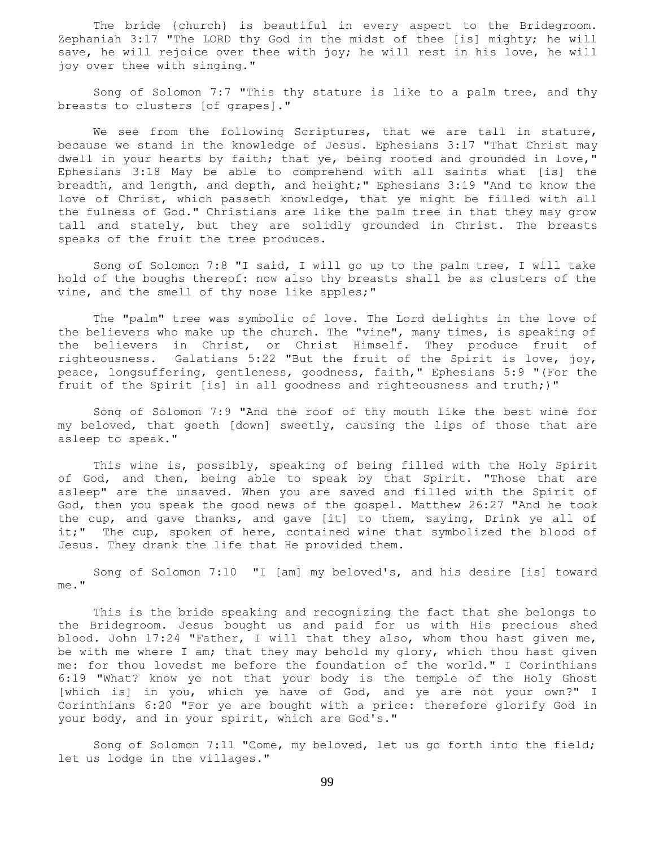The bride {church} is beautiful in every aspect to the Bridegroom. Zephaniah 3:17 "The LORD thy God in the midst of thee [is] mighty; he will save, he will rejoice over thee with joy; he will rest in his love, he will joy over thee with singing."

 Song of Solomon 7:7 "This thy stature is like to a palm tree, and thy breasts to clusters [of grapes]."

We see from the following Scriptures, that we are tall in stature, because we stand in the knowledge of Jesus. Ephesians 3:17 "That Christ may dwell in your hearts by faith; that ye, being rooted and grounded in love," Ephesians 3:18 May be able to comprehend with all saints what [is] the breadth, and length, and depth, and height;" Ephesians 3:19 "And to know the love of Christ, which passeth knowledge, that ye might be filled with all the fulness of God." Christians are like the palm tree in that they may grow tall and stately, but they are solidly grounded in Christ. The breasts speaks of the fruit the tree produces.

 Song of Solomon 7:8 "I said, I will go up to the palm tree, I will take hold of the boughs thereof: now also thy breasts shall be as clusters of the vine, and the smell of thy nose like apples;"

 The "palm" tree was symbolic of love. The Lord delights in the love of the believers who make up the church. The "vine", many times, is speaking of the believers in Christ, or Christ Himself. They produce fruit of righteousness. Galatians 5:22 "But the fruit of the Spirit is love, joy, peace, longsuffering, gentleness, goodness, faith," Ephesians 5:9 "(For the fruit of the Spirit [is] in all goodness and righteousness and truth;)"

 Song of Solomon 7:9 "And the roof of thy mouth like the best wine for my beloved, that goeth [down] sweetly, causing the lips of those that are asleep to speak."

 This wine is, possibly, speaking of being filled with the Holy Spirit of God, and then, being able to speak by that Spirit. "Those that are asleep" are the unsaved. When you are saved and filled with the Spirit of God, then you speak the good news of the gospel. Matthew 26:27 "And he took the cup, and gave thanks, and gave [it] to them, saying, Drink ye all of it;" The cup, spoken of here, contained wine that symbolized the blood of Jesus. They drank the life that He provided them.

 Song of Solomon 7:10 "I [am] my beloved's, and his desire [is] toward me."

 This is the bride speaking and recognizing the fact that she belongs to the Bridegroom. Jesus bought us and paid for us with His precious shed blood. John 17:24 "Father, I will that they also, whom thou hast given me, be with me where I am; that they may behold my glory, which thou hast given me: for thou lovedst me before the foundation of the world." I Corinthians 6:19 "What? know ye not that your body is the temple of the Holy Ghost [which is] in you, which ye have of God, and ye are not your own?" I Corinthians 6:20 "For ye are bought with a price: therefore glorify God in your body, and in your spirit, which are God's."

 Song of Solomon 7:11 "Come, my beloved, let us go forth into the field; let us lodge in the villages."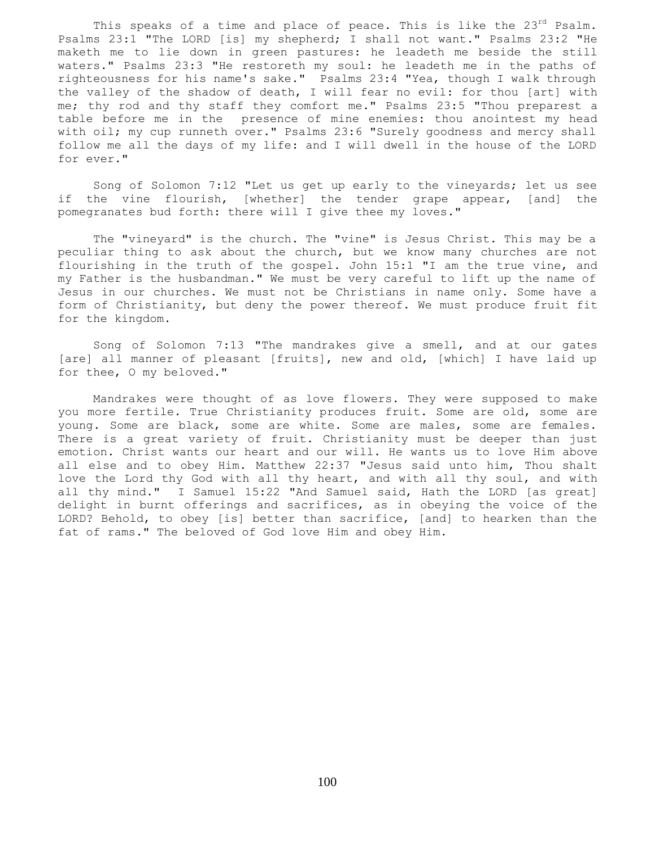This speaks of a time and place of peace. This is like the  $23^{rd}$  Psalm. Psalms 23:1 "The LORD [is] my shepherd; I shall not want." Psalms 23:2 "He maketh me to lie down in green pastures: he leadeth me beside the still waters." Psalms 23:3 "He restoreth my soul: he leadeth me in the paths of righteousness for his name's sake." Psalms 23:4 "Yea, though I walk through the valley of the shadow of death, I will fear no evil: for thou [art] with me; thy rod and thy staff they comfort me." Psalms 23:5 "Thou preparest a table before me in the presence of mine enemies: thou anointest my head with oil; my cup runneth over." Psalms 23:6 "Surely goodness and mercy shall follow me all the days of my life: and I will dwell in the house of the LORD for ever."

 Song of Solomon 7:12 "Let us get up early to the vineyards; let us see if the vine flourish, [whether] the tender grape appear, [and] the pomegranates bud forth: there will I give thee my loves."

 The "vineyard" is the church. The "vine" is Jesus Christ. This may be a peculiar thing to ask about the church, but we know many churches are not flourishing in the truth of the gospel. John 15:1 "I am the true vine, and my Father is the husbandman." We must be very careful to lift up the name of Jesus in our churches. We must not be Christians in name only. Some have a form of Christianity, but deny the power thereof. We must produce fruit fit for the kingdom.

 Song of Solomon 7:13 "The mandrakes give a smell, and at our gates [are] all manner of pleasant [fruits], new and old, [which] I have laid up for thee, O my beloved."

 Mandrakes were thought of as love flowers. They were supposed to make you more fertile. True Christianity produces fruit. Some are old, some are young. Some are black, some are white. Some are males, some are females. There is a great variety of fruit. Christianity must be deeper than just emotion. Christ wants our heart and our will. He wants us to love Him above all else and to obey Him. Matthew 22:37 "Jesus said unto him, Thou shalt love the Lord thy God with all thy heart, and with all thy soul, and with all thy mind." I Samuel 15:22 "And Samuel said, Hath the LORD [as great] delight in burnt offerings and sacrifices, as in obeying the voice of the LORD? Behold, to obey [is] better than sacrifice, [and] to hearken than the fat of rams." The beloved of God love Him and obey Him.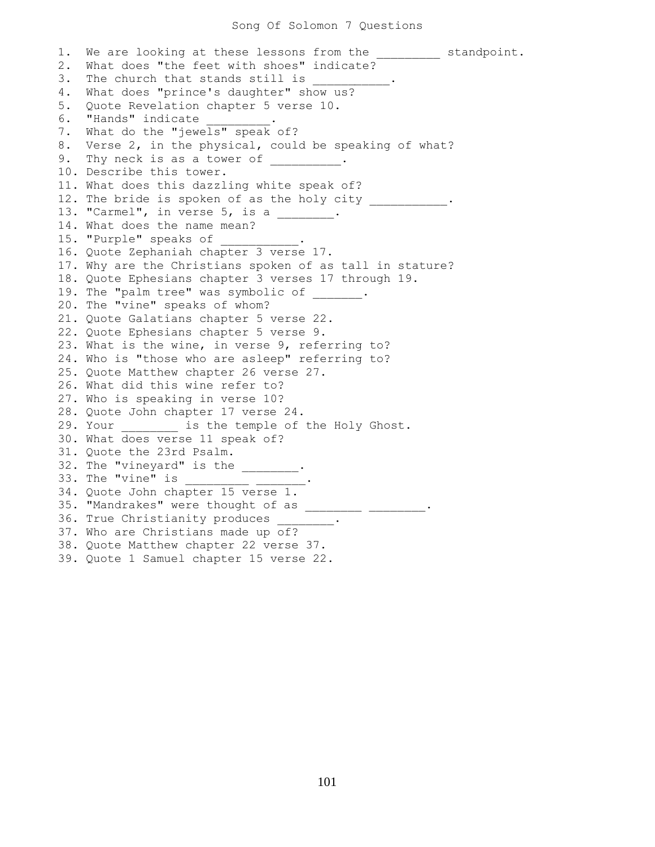1. We are looking at these lessons from the \_\_\_\_\_\_\_\_\_ standpoint. 2. What does "the feet with shoes" indicate? 3. The church that stands still is 4. What does "prince's daughter" show us? 5. Quote Revelation chapter 5 verse 10. 6. "Hands" indicate 7. What do the "jewels" speak of? 8. Verse 2, in the physical, could be speaking of what? 9. Thy neck is as a tower of  $\hspace{1cm}$ . 10. Describe this tower. 11. What does this dazzling white speak of? 12. The bride is spoken of as the holy city 13. "Carmel", in verse 5, is a \_\_\_\_\_\_\_. 14. What does the name mean? 15. "Purple" speaks of 16. Quote Zephaniah chapter 3 verse 17. 17. Why are the Christians spoken of as tall in stature? 18. Quote Ephesians chapter 3 verses 17 through 19. 19. The "palm tree" was symbolic of . 20. The "vine" speaks of whom? 21. Quote Galatians chapter 5 verse 22. 22. Quote Ephesians chapter 5 verse 9. 23. What is the wine, in verse 9, referring to? 24. Who is "those who are asleep" referring to? 25. Quote Matthew chapter 26 verse 27. 26. What did this wine refer to? 27. Who is speaking in verse 10? 28. Quote John chapter 17 verse 24. 29. Your **is the temple of the Holy Ghost**. 30. What does verse 11 speak of? 31. Quote the 23rd Psalm. 32. The "vineyard" is the \_\_\_\_\_\_\_\_. 33. The "vine" is \_\_\_\_\_\_\_\_\_ \_\_\_\_\_\_\_. 34. Quote John chapter 15 verse 1. 35. "Mandrakes" were thought of as \_\_\_\_\_\_\_\_\_ \_\_\_\_\_\_\_\_\_. 36. True Christianity produces \_\_\_\_ 37. Who are Christians made up of? 38. Quote Matthew chapter 22 verse 37. 39. Quote 1 Samuel chapter 15 verse 22.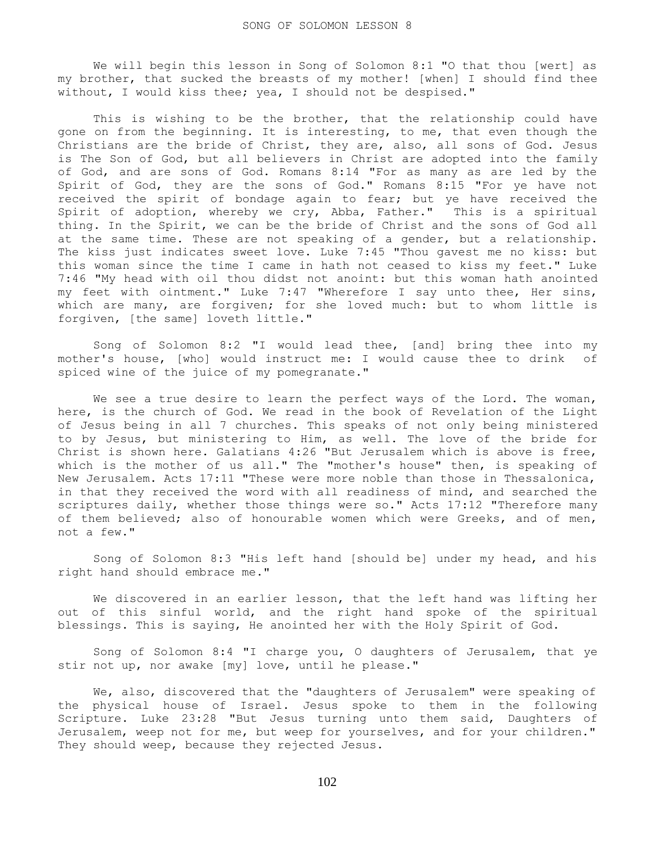We will begin this lesson in Song of Solomon 8:1 "O that thou [wert] as my brother, that sucked the breasts of my mother! [when] I should find thee without, I would kiss thee; yea, I should not be despised."

This is wishing to be the brother, that the relationship could have gone on from the beginning. It is interesting, to me, that even though the Christians are the bride of Christ, they are, also, all sons of God. Jesus is The Son of God, but all believers in Christ are adopted into the family of God, and are sons of God. Romans 8:14 "For as many as are led by the Spirit of God, they are the sons of God." Romans 8:15 "For ye have not received the spirit of bondage again to fear; but ye have received the Spirit of adoption, whereby we cry, Abba, Father." This is a spiritual thing. In the Spirit, we can be the bride of Christ and the sons of God all at the same time. These are not speaking of a gender, but a relationship. The kiss just indicates sweet love. Luke 7:45 "Thou gavest me no kiss: but this woman since the time I came in hath not ceased to kiss my feet." Luke 7:46 "My head with oil thou didst not anoint: but this woman hath anointed my feet with ointment." Luke 7:47 "Wherefore I say unto thee, Her sins, which are many, are forgiven; for she loved much: but to whom little is forgiven, [the same] loveth little."

 Song of Solomon 8:2 "I would lead thee, [and] bring thee into my mother's house, [who] would instruct me: I would cause thee to drink of spiced wine of the juice of my pomegranate."

We see a true desire to learn the perfect ways of the Lord. The woman, here, is the church of God. We read in the book of Revelation of the Light of Jesus being in all 7 churches. This speaks of not only being ministered to by Jesus, but ministering to Him, as well. The love of the bride for Christ is shown here. Galatians 4:26 "But Jerusalem which is above is free, which is the mother of us all." The "mother's house" then, is speaking of New Jerusalem. Acts 17:11 "These were more noble than those in Thessalonica, in that they received the word with all readiness of mind, and searched the scriptures daily, whether those things were so." Acts 17:12 "Therefore many of them believed; also of honourable women which were Greeks, and of men, not a few."

 Song of Solomon 8:3 "His left hand [should be] under my head, and his right hand should embrace me."

 We discovered in an earlier lesson, that the left hand was lifting her out of this sinful world, and the right hand spoke of the spiritual blessings. This is saying, He anointed her with the Holy Spirit of God.

 Song of Solomon 8:4 "I charge you, O daughters of Jerusalem, that ye stir not up, nor awake [my] love, until he please."

 We, also, discovered that the "daughters of Jerusalem" were speaking of the physical house of Israel. Jesus spoke to them in the following Scripture. Luke 23:28 "But Jesus turning unto them said, Daughters of Jerusalem, weep not for me, but weep for yourselves, and for your children." They should weep, because they rejected Jesus.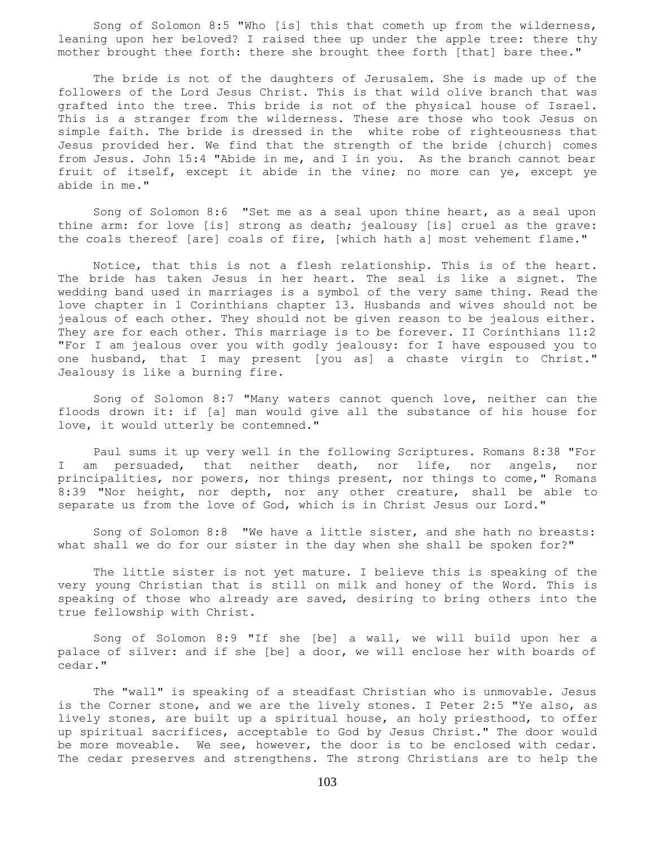Song of Solomon 8:5 "Who [is] this that cometh up from the wilderness, leaning upon her beloved? I raised thee up under the apple tree: there thy mother brought thee forth: there she brought thee forth [that] bare thee."

 The bride is not of the daughters of Jerusalem. She is made up of the followers of the Lord Jesus Christ. This is that wild olive branch that was grafted into the tree. This bride is not of the physical house of Israel. This is a stranger from the wilderness. These are those who took Jesus on simple faith. The bride is dressed in the white robe of righteousness that Jesus provided her. We find that the strength of the bride {church} comes from Jesus. John 15:4 "Abide in me, and I in you. As the branch cannot bear fruit of itself, except it abide in the vine; no more can ye, except ye abide in me."

 Song of Solomon 8:6 "Set me as a seal upon thine heart, as a seal upon thine arm: for love [is] strong as death; jealousy [is] cruel as the grave: the coals thereof [are] coals of fire, [which hath a] most vehement flame."

 Notice, that this is not a flesh relationship. This is of the heart. The bride has taken Jesus in her heart. The seal is like a signet. The wedding band used in marriages is a symbol of the very same thing. Read the love chapter in 1 Corinthians chapter 13. Husbands and wives should not be jealous of each other. They should not be given reason to be jealous either. They are for each other. This marriage is to be forever. II Corinthians 11:2 "For I am jealous over you with godly jealousy: for I have espoused you to one husband, that I may present [you as] a chaste virgin to Christ." Jealousy is like a burning fire.

 Song of Solomon 8:7 "Many waters cannot quench love, neither can the floods drown it: if [a] man would give all the substance of his house for love, it would utterly be contemned."

 Paul sums it up very well in the following Scriptures. Romans 8:38 "For I am persuaded, that neither death, nor life, nor angels, nor principalities, nor powers, nor things present, nor things to come," Romans 8:39 "Nor height, nor depth, nor any other creature, shall be able to separate us from the love of God, which is in Christ Jesus our Lord."

 Song of Solomon 8:8 "We have a little sister, and she hath no breasts: what shall we do for our sister in the day when she shall be spoken for?"

 The little sister is not yet mature. I believe this is speaking of the very young Christian that is still on milk and honey of the Word. This is speaking of those who already are saved, desiring to bring others into the true fellowship with Christ.

 Song of Solomon 8:9 "If she [be] a wall, we will build upon her a palace of silver: and if she [be] a door, we will enclose her with boards of cedar."

 The "wall" is speaking of a steadfast Christian who is unmovable. Jesus is the Corner stone, and we are the lively stones. I Peter 2:5 "Ye also, as lively stones, are built up a spiritual house, an holy priesthood, to offer up spiritual sacrifices, acceptable to God by Jesus Christ." The door would be more moveable. We see, however, the door is to be enclosed with cedar. The cedar preserves and strengthens. The strong Christians are to help the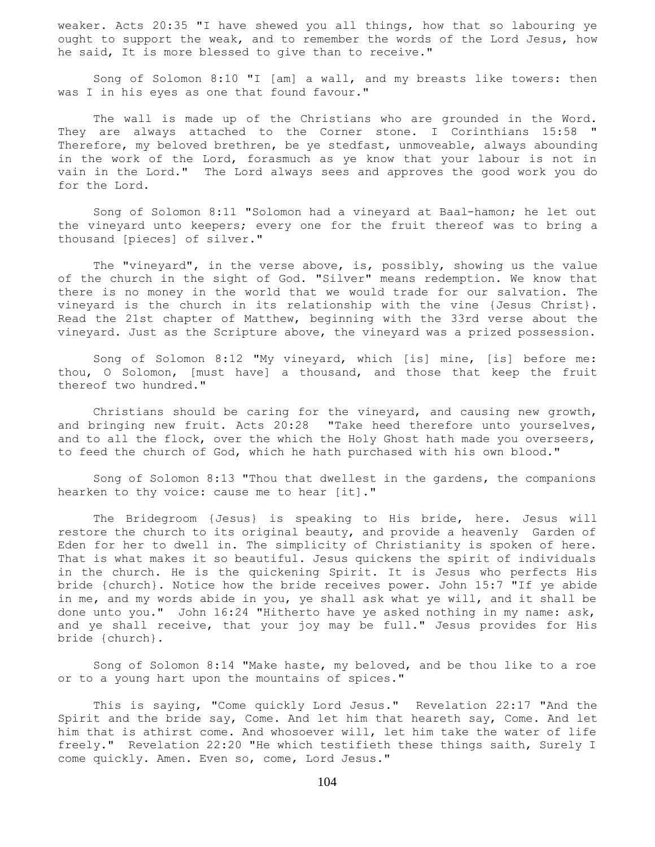weaker. Acts 20:35 "I have shewed you all things, how that so labouring ye ought to support the weak, and to remember the words of the Lord Jesus, how he said, It is more blessed to give than to receive."

 Song of Solomon 8:10 "I [am] a wall, and my breasts like towers: then was I in his eyes as one that found favour."

 The wall is made up of the Christians who are grounded in the Word. They are always attached to the Corner stone. I Corinthians 15:58 Therefore, my beloved brethren, be ye stedfast, unmoveable, always abounding in the work of the Lord, forasmuch as ye know that your labour is not in vain in the Lord." The Lord always sees and approves the good work you do for the Lord.

 Song of Solomon 8:11 "Solomon had a vineyard at Baal-hamon; he let out the vineyard unto keepers; every one for the fruit thereof was to bring a thousand [pieces] of silver."

The "vineyard", in the verse above, is, possibly, showing us the value of the church in the sight of God. "Silver" means redemption. We know that there is no money in the world that we would trade for our salvation. The vineyard is the church in its relationship with the vine {Jesus Christ}. Read the 21st chapter of Matthew, beginning with the 33rd verse about the vineyard. Just as the Scripture above, the vineyard was a prized possession.

 Song of Solomon 8:12 "My vineyard, which [is] mine, [is] before me: thou, O Solomon, [must have] a thousand, and those that keep the fruit thereof two hundred."

 Christians should be caring for the vineyard, and causing new growth, and bringing new fruit. Acts 20:28 "Take heed therefore unto yourselves, and to all the flock, over the which the Holy Ghost hath made you overseers, to feed the church of God, which he hath purchased with his own blood."

 Song of Solomon 8:13 "Thou that dwellest in the gardens, the companions hearken to thy voice: cause me to hear [it]."

 The Bridegroom {Jesus} is speaking to His bride, here. Jesus will restore the church to its original beauty, and provide a heavenly Garden of Eden for her to dwell in. The simplicity of Christianity is spoken of here. That is what makes it so beautiful. Jesus quickens the spirit of individuals in the church. He is the quickening Spirit. It is Jesus who perfects His bride {church}. Notice how the bride receives power. John 15:7 "If ye abide in me, and my words abide in you, ye shall ask what ye will, and it shall be done unto you." John 16:24 "Hitherto have ye asked nothing in my name: ask, and ye shall receive, that your joy may be full." Jesus provides for His bride {church}.

 Song of Solomon 8:14 "Make haste, my beloved, and be thou like to a roe or to a young hart upon the mountains of spices."

 This is saying, "Come quickly Lord Jesus." Revelation 22:17 "And the Spirit and the bride say, Come. And let him that heareth say, Come. And let him that is athirst come. And whosoever will, let him take the water of life freely." Revelation 22:20 "He which testifieth these things saith, Surely I come quickly. Amen. Even so, come, Lord Jesus."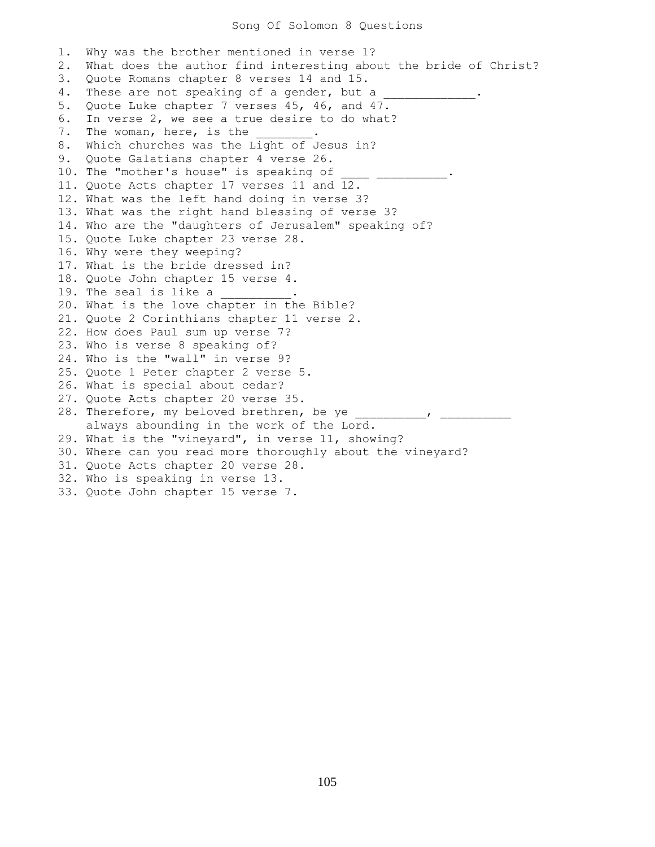1. Why was the brother mentioned in verse 1? 2. What does the author find interesting about the bride of Christ? 3. Quote Romans chapter 8 verses 14 and 15. 4. These are not speaking of a gender, but a 5. Quote Luke chapter 7 verses 45, 46, and 47. 6. In verse 2, we see a true desire to do what? 7. The woman, here, is the 8. Which churches was the Light of Jesus in? 9. Quote Galatians chapter 4 verse 26. 10. The "mother's house" is speaking of 11. Quote Acts chapter 17 verses 11 and 12. 12. What was the left hand doing in verse 3? 13. What was the right hand blessing of verse 3? 14. Who are the "daughters of Jerusalem" speaking of? 15. Quote Luke chapter 23 verse 28. 16. Why were they weeping? 17. What is the bride dressed in? 18. Quote John chapter 15 verse 4. 19. The seal is like a 20. What is the love chapter in the Bible? 21. Quote 2 Corinthians chapter 11 verse 2. 22. How does Paul sum up verse 7? 23. Who is verse 8 speaking of? 24. Who is the "wall" in verse 9? 25. Quote 1 Peter chapter 2 verse 5. 26. What is special about cedar? 27. Quote Acts chapter 20 verse 35. 28. Therefore, my beloved brethren, be ye \_\_\_\_\_\_\_\_\_\_\_, \_\_\_\_\_ always abounding in the work of the Lord. 29. What is the "vineyard", in verse 11, showing? 30. Where can you read more thoroughly about the vineyard? 31. Quote Acts chapter 20 verse 28. 32. Who is speaking in verse 13. 33. Quote John chapter 15 verse 7.